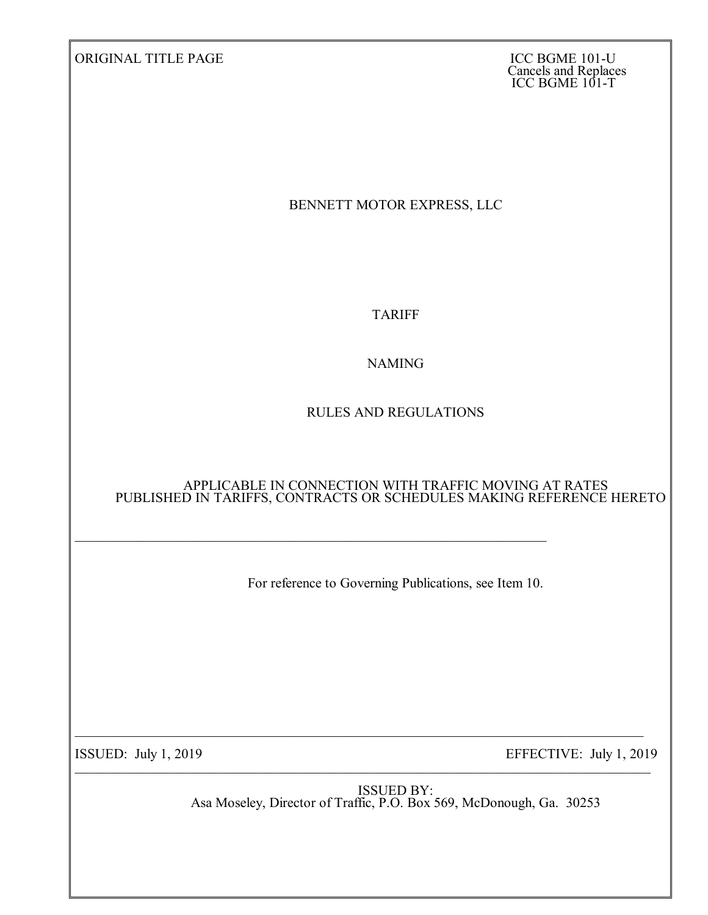| ORIGINAL TITLE PAGE                                   | ICC BGME 101-U<br><b>Cancels and Replaces<br/>ICC BGME 101-T</b>                                                           |  |
|-------------------------------------------------------|----------------------------------------------------------------------------------------------------------------------------|--|
|                                                       | BENNETT MOTOR EXPRESS, LLC                                                                                                 |  |
|                                                       | <b>TARIFF</b>                                                                                                              |  |
|                                                       | <b>NAMING</b>                                                                                                              |  |
|                                                       | <b>RULES AND REGULATIONS</b>                                                                                               |  |
|                                                       | APPLICABLE IN CONNECTION WITH TRAFFIC MOVING AT RATES PUBLISHED IN TARIFFS, CONTRACTS OR SCHEDULES MAKING REFERENCE HERETO |  |
| For reference to Governing Publications, see Item 10. |                                                                                                                            |  |
|                                                       |                                                                                                                            |  |
| ISSUED: July 1, 2019                                  | EFFECTIVE: July 1, 2019                                                                                                    |  |
|                                                       | ISSUED BY:<br>Asa Moseley, Director of Traffic, P.O. Box 569, McDonough, Ga. 30253                                         |  |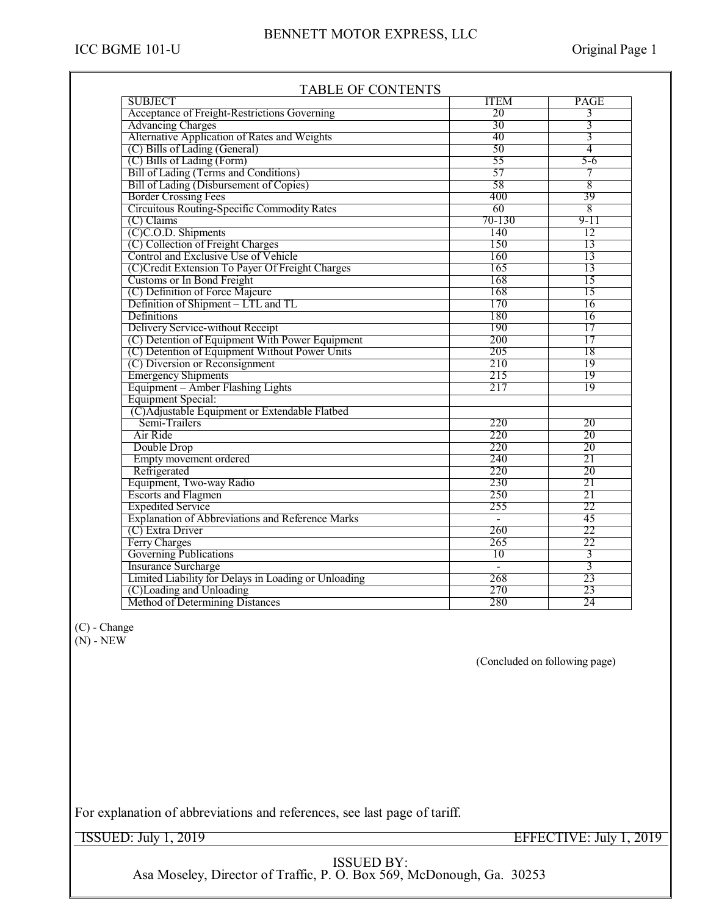## BENNETT MOTOR EXPRESS, LLC

| <b>TABLE OF CONTENTS</b><br><b>SUBJECT</b>              | <b>ITEM</b>  | <b>PAGE</b>    |
|---------------------------------------------------------|--------------|----------------|
| Acceptance of Freight-Restrictions Governing            | 20           | 3              |
| <b>Advancing Charges</b>                                | 30           | 3              |
| Alternative Application of Rates and Weights            | 40           | 3              |
| (C) Bills of Lading (General)                           | 50           | 4              |
| $\overline{(C)}$ Bills of Lading (Form)                 | 55           | 5-6            |
| Bill of Lading (Terms and Conditions)                   | 57           | 7              |
| <b>Bill of Lading (Disbursement of Copies)</b>          | 58           | 8              |
| <b>Border Crossing Fees</b>                             | 400          | 39             |
| <b>Circuitous Routing-Specific Commodity Rates</b>      | 60           | 8              |
| (C) Claims                                              | 70-130       | $9 - 11$       |
| (C)C.O.D. Shipments                                     | 140          | 12             |
| (C) Collection of Freight Charges                       | 150          | 13             |
| Control and Exclusive Use of Vehicle                    | 160          | 13             |
| (C)Credit Extension To Payer Of Freight Charges         | 165          | 13             |
| Customs or In Bond Freight                              | 168          | 15             |
| (C) Definition of Force Majeure                         | 168          | 15             |
| Definition of Shipment - LTL and TL                     | 170          | 16             |
| Definitions                                             | 180          | 16             |
| Delivery Service-without Receipt                        | 190          | 17             |
| (C) Detention of Equipment With Power Equipment         | 200          | 17             |
| (C) Detention of Equipment Without Power Units          | 205          | 18             |
| $\overline{(C)}$ Diversion or Reconsignment             | 210          | 19             |
| <b>Emergency Shipments</b>                              | 215          | 19             |
| Equipment – Amber Flashing Lights                       | 217          | 19             |
| Equipment Special:                                      |              |                |
| (C) Adjustable Equipment or Extendable Flatbed          |              |                |
| Semi-Trailers                                           | 220          | 20             |
| Air Ride                                                | 220          | 20             |
| Double Drop                                             | 220          | 20             |
| Empty movement ordered                                  | 240          | 21             |
| Refrigerated                                            | 220          | 20             |
| Equipment, Two-way Radio                                | 230          | 21             |
| <b>Escorts and Flagmen</b>                              | 250          | 21             |
| <b>Expedited Service</b>                                | 255          | 22             |
| <b>Explanation of Abbreviations and Reference Marks</b> | τ            | 45             |
| (C) Extra Driver                                        | 260          | 22             |
| Ferry Charges                                           | 265          | 22             |
| Governing Publications                                  | 10           | 3              |
| <b>Insurance Surcharge</b>                              | $\mathbf{r}$ | $\overline{3}$ |
| Limited Liability for Delays in Loading or Unloading    | 268          | 23             |
| (C)Loading and Unloading                                | 270          | 23             |
| Method of Determining Distances                         | 280          | 24             |

#### (C) - Change

(N) - NEW

(Concluded on following page)

For explanation of abbreviations and references, see last page of tariff.

ISSUED: July 1, 2019 EFFECTIVE: July 1, 2019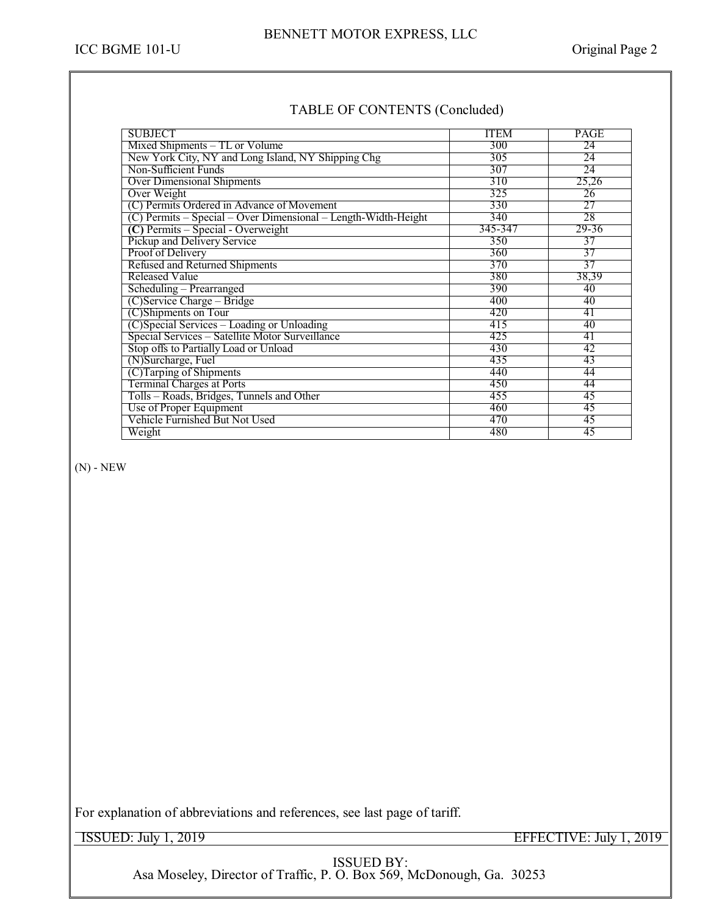# TABLE OF CONTENTS (Concluded)

| <b>SUBJECT</b>                                                 | <b>ITEM</b> | PAGE  |
|----------------------------------------------------------------|-------------|-------|
| Mixed Shipments – TL or Volume                                 | 300         | 24    |
| New York City, NY and Long Island, NY Shipping Chg             | 305         | 24    |
| Non-Sufficient Funds                                           | 307         | 24    |
| <b>Over Dimensional Shipments</b>                              | 310         | 25,26 |
| Over Weight                                                    | 325         | 26    |
| (C) Permits Ordered in Advance of Movement                     | 330         | 27    |
| (C) Permits – Special – Over Dimensional – Length-Width-Height | 340         | 28    |
| $(C)$ Permits – Special - Overweight                           | 345-347     | 29-36 |
| Pickup and Delivery Service                                    | 350         | 37    |
| Proof of Delivery                                              | 360         | 37    |
| <b>Refused and Returned Shipments</b>                          | 370         | 37    |
| <b>Released Value</b>                                          | 380         | 38,39 |
| Scheduling – Prearranged                                       | 390         | 40    |
| (C)Service Charge – Bridge                                     | 400         | 40    |
| (C)Shipments on Tour                                           | 420         | 41    |
| (C)Special Services - Loading or Unloading                     | 415         | 40    |
| Special Services - Satellite Motor Surveillance                | 425         | 41    |
| Stop offs to Partially Load or Unload                          | 430         | 42    |
| (N)Surcharge, Fuel                                             | 435         | 43    |
| (C)Tarping of Shipments                                        | 440         | 44    |
| Terminal Charges at Ports                                      | 450         | 44    |
| Tolls – Roads, Bridges, Tunnels and Other                      | 455         | 45    |
| Use of Proper Equipment                                        | 460         | 45    |
| Vehicle Furnished But Not Used                                 | 470         | 45    |
| Weight                                                         | 480         | 45    |

(N) - NEW

For explanation of abbreviations and references, see last page of tariff.

ISSUED: July 1, 2019 EFFECTIVE: July 1, 2019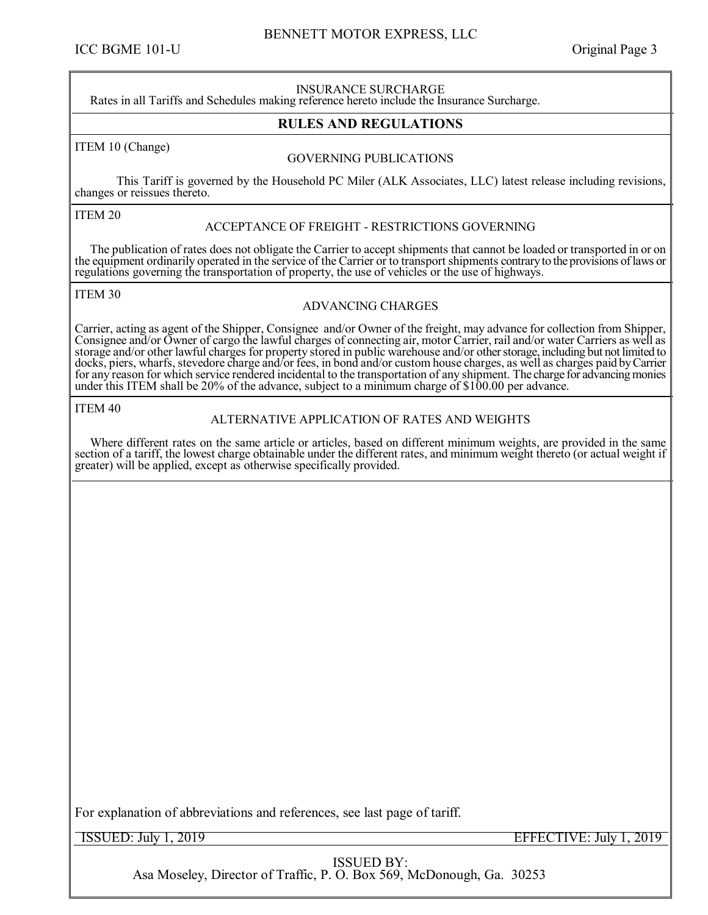#### INSURANCE SURCHARGE Rates in all Tariffs and Schedules making reference hereto include the Insurance Surcharge.

## **RULES AND REGULATIONS**

ITEM 10 (Change)

#### GOVERNING PUBLICATIONS

This Tariff is governed by the Household PC Miler (ALK Associates, LLC) latest release including revisions, changes or reissues thereto.

ITEM 20

#### ACCEPTANCE OF FREIGHT - RESTRICTIONS GOVERNING

 The publication of rates does not obligate the Carrier to accept shipments that cannot be loaded or transported in or on the equipment ordinarily operated in the service of the Carrier or to transport shipments contrary to the provisions of laws or regulations governing the transportation of property, the use of vehicles or the use of highways.

ITEM 30

#### ADVANCING CHARGES

Carrier, acting as agent of the Shipper, Consignee and/or Owner of the freight, may advance for collection from Shipper, Consignee and/or Owner of cargo the lawful charges of connecting air, motor Carrier, rail and/or water Carriers as well as storage and/or other lawful charges for property stored in public warehouse and/or other storage, including but not limited to docks, piers, wharfs, stevedore charge and/or fees, in bond and/or custom house charges, as well as charges paid by Carrier for any reason for which service rendered incidental to the transportation of any shipment. The charge for advancing monies under this ITEM shall be 20% of the advance, subject to a minimum charge of \$100.00 per advance.

#### ITEM 40

## ALTERNATIVE APPLICATION OF RATES AND WEIGHTS

 Where different rates on the same article or articles, based on different minimum weights, are provided in the same section of a tariff, the lowest charge obtainable under the different rates, and minimum weight thereto (or actual weight if greater) will be applied, except as otherwise specifically provided.

For explanation of abbreviations and references, see last page of tariff.

ISSUED: July 1, 2019 EFFECTIVE: July 1, 2019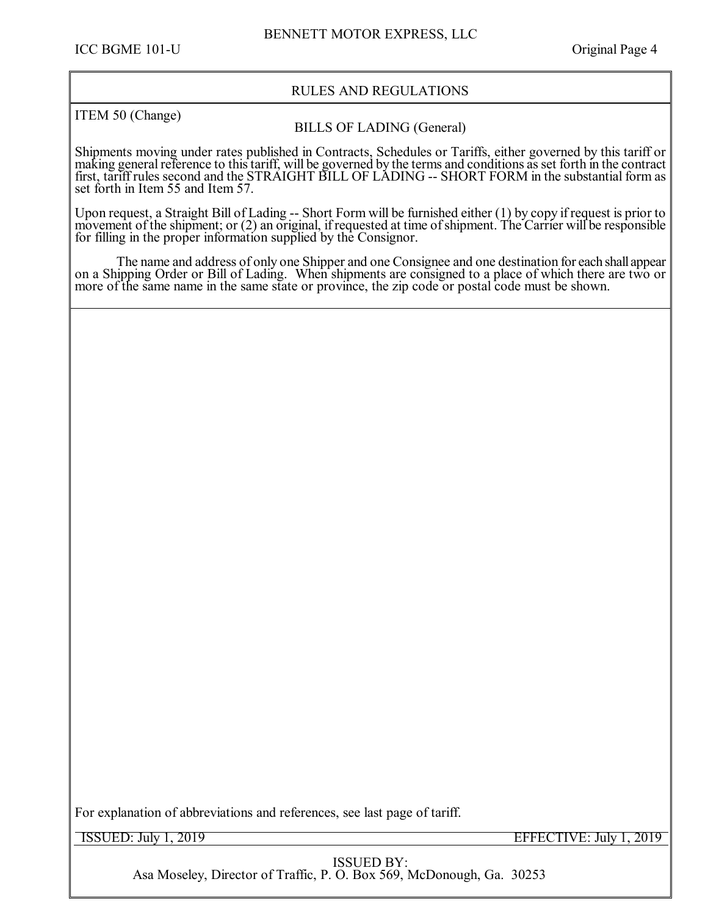ITEM 50 (Change)

## BILLS OF LADING (General)

Shipments moving under rates published in Contracts, Schedules or Tariffs, either governed by this tariff or making general reference to this tariff, will be governed by the terms and conditions as set forth in the contract first, tariff rules second and the STRAIGHT BILL OF LADING -- SHORT FORM in the substantial form as set forth in Item 55 and Item 57.

Upon request, a Straight Bill of Lading -- Short Form will be furnished either (1) by copy if request is prior to movement of the shipment; or (2) an original, if requested at time of shipment. The Carrier will be responsible for filling in the proper information supplied by the Consignor.

The name and address of only one Shipper and one Consignee and one destination for each shall appear on a Shipping Order or Bill of Lading. When shipments are consigned to a place of which there are two or more of the same name in the same state or province, the zip code or postal code must be shown.

For explanation of abbreviations and references, see last page of tariff.

ISSUED: July 1, 2019 EFFECTIVE: July 1, 2019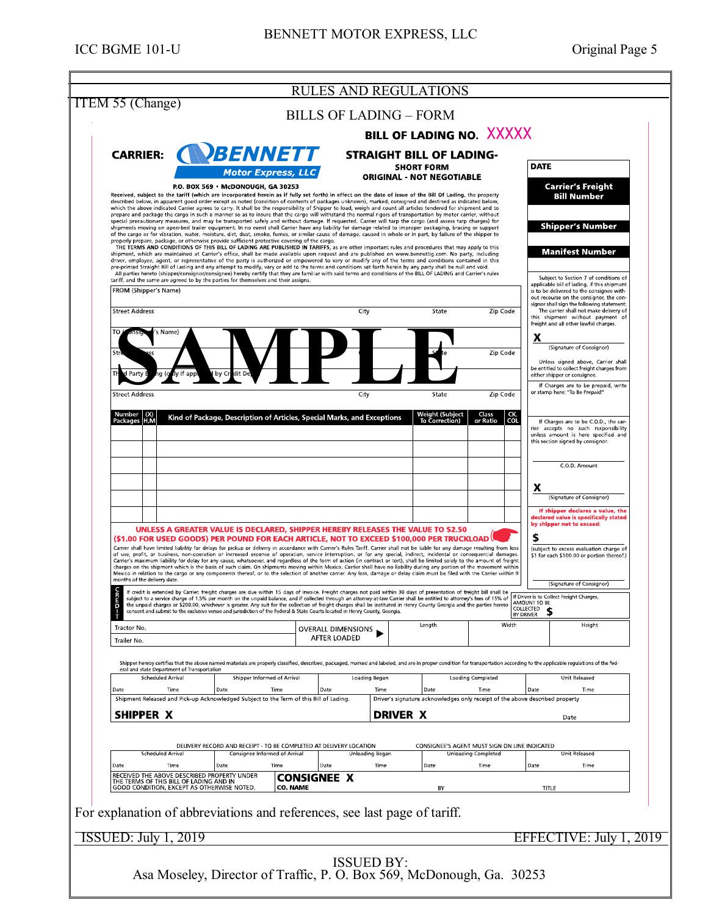|                                                                                                                         |                                                                                                                                                                                                                                                                                                                                                                                                                                                                                                                                                                                                                                                                                                                                                                                                                                                                                                                                                                                                                                                                                                                                                                                                                                                                                                                                                                                                                                                                                                                                                                                                                                                                                                                                                                                                                                                                                                                                                                                                                                                                                                                                                                                  | <b>RULES AND REGULATIONS</b>  |                                                                     |                                   |                                                                                      |                                                                                   |                                                                                                                                                                    |
|-------------------------------------------------------------------------------------------------------------------------|----------------------------------------------------------------------------------------------------------------------------------------------------------------------------------------------------------------------------------------------------------------------------------------------------------------------------------------------------------------------------------------------------------------------------------------------------------------------------------------------------------------------------------------------------------------------------------------------------------------------------------------------------------------------------------------------------------------------------------------------------------------------------------------------------------------------------------------------------------------------------------------------------------------------------------------------------------------------------------------------------------------------------------------------------------------------------------------------------------------------------------------------------------------------------------------------------------------------------------------------------------------------------------------------------------------------------------------------------------------------------------------------------------------------------------------------------------------------------------------------------------------------------------------------------------------------------------------------------------------------------------------------------------------------------------------------------------------------------------------------------------------------------------------------------------------------------------------------------------------------------------------------------------------------------------------------------------------------------------------------------------------------------------------------------------------------------------------------------------------------------------------------------------------------------------|-------------------------------|---------------------------------------------------------------------|-----------------------------------|--------------------------------------------------------------------------------------|-----------------------------------------------------------------------------------|--------------------------------------------------------------------------------------------------------------------------------------------------------------------|
| <b>ITEM 55 (Change)</b>                                                                                                 |                                                                                                                                                                                                                                                                                                                                                                                                                                                                                                                                                                                                                                                                                                                                                                                                                                                                                                                                                                                                                                                                                                                                                                                                                                                                                                                                                                                                                                                                                                                                                                                                                                                                                                                                                                                                                                                                                                                                                                                                                                                                                                                                                                                  | <b>BILLS OF LADING - FORM</b> |                                                                     |                                   |                                                                                      |                                                                                   |                                                                                                                                                                    |
|                                                                                                                         |                                                                                                                                                                                                                                                                                                                                                                                                                                                                                                                                                                                                                                                                                                                                                                                                                                                                                                                                                                                                                                                                                                                                                                                                                                                                                                                                                                                                                                                                                                                                                                                                                                                                                                                                                                                                                                                                                                                                                                                                                                                                                                                                                                                  |                               |                                                                     |                                   | <b>BILL OF LADING NO. XXXXX</b>                                                      |                                                                                   |                                                                                                                                                                    |
| <b>CARRIER:</b>                                                                                                         | <b>RENNETT</b><br><b>Motor Express, LLC</b>                                                                                                                                                                                                                                                                                                                                                                                                                                                                                                                                                                                                                                                                                                                                                                                                                                                                                                                                                                                                                                                                                                                                                                                                                                                                                                                                                                                                                                                                                                                                                                                                                                                                                                                                                                                                                                                                                                                                                                                                                                                                                                                                      |                               | <b>STRAIGHT BILL OF LADING-</b><br><b>ORIGINAL - NOT NEGOTIABLE</b> | <b>SHORT FORM</b>                 |                                                                                      | <b>DATE</b>                                                                       |                                                                                                                                                                    |
|                                                                                                                         | PO. BOX 569 · McDONOUGH, GA 30253<br>Received, subject to the tariff (which are incorporated herein as if fully set forth) in effect on the date of issue of the Bill Of Lading, the property<br>described below, in apparent good order except as noted (condition of contents of packages unknown), marked, consigned and destined as indicated below,<br>which the above indicated Carrier agrees to carry. It shall be the responsibility of Shipper to load, weigh and count all articles tendered for shipment and to<br>prepare and package the cargo in such a manner so as to insure that the cargo will withstand the normal rigors of transportation by motor carrier, without<br>special precautionary measures, and may be transported safely and without damage. If requested, Carrier will tarp the cargo (and assess tarp charges) for<br>shipments moving on open-bed trailer equipment. In no event shall Carrier have any liability for damage related to improper packaging, bracing or support<br>of the cargo or for vibration, water, moisture, dirt, dust, smoke, fumes, or similar cause of damage, caused in whole or in part, by failure of the shipper to<br>properly prepare, package, or otherwise provide sufficient protective covering of the cargo.<br>THE TERMS AND CONDITIONS OF THIS BILL OF LADING ARE PUBLISHED IN TARIFFS, as are other important rules and procedures that may apply to this<br>shipment, which are maintained at Carrier's office, shall be made available upon request and are published on www.bennettig.com. No party, including<br>driver, employee, agent, or representative of the party is authorized or empowered to vary or modify any of the terms and conditions contained in this<br>pre-printed Straight Bill of Lading and any attempt to modify, vary or add to the terms and conditions set forth herein by any party shall be null and void.<br>All parties hereto (shipper/consignor/consignee) hereby certify that they are familiar with said terms and conditions of the BILL OF LADING and Carrier's rules<br>tariff, and the same are agreed to by the parties for themselves and their assigns |                               |                                                                     |                                   |                                                                                      |                                                                                   | <b>Carrier's Freight</b><br><b>Bill Number</b><br><b>Shipper's Number</b><br><b>Manifest Number</b><br>Subject to Section 7 of conditions of                       |
| FROM (Shipper's Name)                                                                                                   |                                                                                                                                                                                                                                                                                                                                                                                                                                                                                                                                                                                                                                                                                                                                                                                                                                                                                                                                                                                                                                                                                                                                                                                                                                                                                                                                                                                                                                                                                                                                                                                                                                                                                                                                                                                                                                                                                                                                                                                                                                                                                                                                                                                  |                               |                                                                     |                                   |                                                                                      |                                                                                   | applicable bill of lading, if this shipment<br>is to be delivered to the consignee with-<br>out recourse on the consignor, the con-                                |
| <b>Street Address</b>                                                                                                   |                                                                                                                                                                                                                                                                                                                                                                                                                                                                                                                                                                                                                                                                                                                                                                                                                                                                                                                                                                                                                                                                                                                                                                                                                                                                                                                                                                                                                                                                                                                                                                                                                                                                                                                                                                                                                                                                                                                                                                                                                                                                                                                                                                                  | City                          |                                                                     | State                             | Zip Code                                                                             |                                                                                   | signor shall sign the following statement:<br>The carrier shall not make delivery of<br>this shipment without payment of<br>freight and all other lawful charges.  |
| то<br>s Name)                                                                                                           |                                                                                                                                                                                                                                                                                                                                                                                                                                                                                                                                                                                                                                                                                                                                                                                                                                                                                                                                                                                                                                                                                                                                                                                                                                                                                                                                                                                                                                                                                                                                                                                                                                                                                                                                                                                                                                                                                                                                                                                                                                                                                                                                                                                  |                               |                                                                     |                                   | Zip Code                                                                             | X                                                                                 | (Signature of Consignor)<br>Unless signed above, Carrier shall<br>be entitled to collect freight charges from                                                      |
| Party                                                                                                                   | by Cr                                                                                                                                                                                                                                                                                                                                                                                                                                                                                                                                                                                                                                                                                                                                                                                                                                                                                                                                                                                                                                                                                                                                                                                                                                                                                                                                                                                                                                                                                                                                                                                                                                                                                                                                                                                                                                                                                                                                                                                                                                                                                                                                                                            |                               |                                                                     |                                   |                                                                                      | either shipper or consignee.                                                      | If Charges are to be prepaid, write                                                                                                                                |
| <b>Street Address</b>                                                                                                   |                                                                                                                                                                                                                                                                                                                                                                                                                                                                                                                                                                                                                                                                                                                                                                                                                                                                                                                                                                                                                                                                                                                                                                                                                                                                                                                                                                                                                                                                                                                                                                                                                                                                                                                                                                                                                                                                                                                                                                                                                                                                                                                                                                                  | City                          |                                                                     | State                             | Zip Code                                                                             | or stamp here: "To Be Prepaid"                                                    |                                                                                                                                                                    |
| Number<br>(X)<br>H,N<br>Packages                                                                                        | Kind of Package, Description of Articles, Special Marks, and Exceptions                                                                                                                                                                                                                                                                                                                                                                                                                                                                                                                                                                                                                                                                                                                                                                                                                                                                                                                                                                                                                                                                                                                                                                                                                                                                                                                                                                                                                                                                                                                                                                                                                                                                                                                                                                                                                                                                                                                                                                                                                                                                                                          |                               |                                                                     | Weight (Subject<br>To Correction) | Class<br>$_{\rm COL}^{\rm CK}$<br>or Ratio                                           | this section signed by consignor.                                                 | If Charges are to be C.O.D., the car-<br>rier accepts no such responsibility<br>unless amount is here specified and                                                |
|                                                                                                                         |                                                                                                                                                                                                                                                                                                                                                                                                                                                                                                                                                                                                                                                                                                                                                                                                                                                                                                                                                                                                                                                                                                                                                                                                                                                                                                                                                                                                                                                                                                                                                                                                                                                                                                                                                                                                                                                                                                                                                                                                                                                                                                                                                                                  |                               |                                                                     |                                   |                                                                                      |                                                                                   | C.O.D. Amount                                                                                                                                                      |
|                                                                                                                         |                                                                                                                                                                                                                                                                                                                                                                                                                                                                                                                                                                                                                                                                                                                                                                                                                                                                                                                                                                                                                                                                                                                                                                                                                                                                                                                                                                                                                                                                                                                                                                                                                                                                                                                                                                                                                                                                                                                                                                                                                                                                                                                                                                                  |                               |                                                                     |                                   |                                                                                      | х                                                                                 | (Signature of Consignor)                                                                                                                                           |
| months of the delivery date.                                                                                            | UNLESS A GREATER VALUE IS DECLARED, SHIPPER HEREBY RELEASES THE VALUE TO \$2.50<br>(\$1.00 FOR USED GOODS) PER POUND FOR EACH ARTICLE, NOT TO EXCEED \$100,000 PER TRUCKLOAD<br>Carrier shall have limited liability for delays for pickup or delivery in accordance with Carrier's Rules Tariff. Carrier shall not be liable for any damage resulting from loss<br>of use, profit, or business, non-operation or increased expense of operation, service interruption, or for any special, indirect, incidental or consequential damages<br>Carrier's maximum liability for delay for any cause, whatsoever, and regardless of the form of action (in contract or tort), shall be limited solely to the amount of freight<br>charges on the shipment which is the basis of such claim. On shipments moving within Mexico. Carrier shall have no liability during any portion of the movement within<br>Mexico in relation to the cargo or any components thereof, or to the selection of another carrier. Any loss, damage or delay claim must be filed with the Carrier within 9                                                                                                                                                                                                                                                                                                                                                                                                                                                                                                                                                                                                                                                                                                                                                                                                                                                                                                                                                                                                                                                                                               |                               |                                                                     |                                   |                                                                                      | by shipper not to exceed:<br>\$                                                   | If shipper declares a value, the<br>declared value is specifically stated<br>(subject to excess evaluation charge of<br>\$1 for each \$100.00 or portion thereof.) |
|                                                                                                                         | If credit is extended by Carrier, freight charges are due within 15 days of invoice. Freight charges not paid within 30 days of presentation of freight bill shall be<br>subject to a service charge of 1.5% per month on the unpaid balance, and if collected through an attorney-at-law Carrier shall be entitled to attorney's fees of 15% of<br>the unpaid charges or \$200.00, whichever is greater. Any suit for the collection of freight charges shall be instituted in Henry County Georgia and the parties hereto<br>consent and submit to the exclusive venue and jurisdiction of the Federal & State Courts located in Henry County, Georgia.                                                                                                                                                                                                                                                                                                                                                                                                                                                                                                                                                                                                                                                                                                                                                                                                                                                                                                                                                                                                                                                                                                                                                                                                                                                                                                                                                                                                                                                                                                                        |                               |                                                                     |                                   |                                                                                      | If Driver is to Collect Freight Charges,<br>AMOUNT TO BE<br><b>COLLECTED</b><br>S | (Signature of Consignor)                                                                                                                                           |
| Tractor No.                                                                                                             |                                                                                                                                                                                                                                                                                                                                                                                                                                                                                                                                                                                                                                                                                                                                                                                                                                                                                                                                                                                                                                                                                                                                                                                                                                                                                                                                                                                                                                                                                                                                                                                                                                                                                                                                                                                                                                                                                                                                                                                                                                                                                                                                                                                  | OVERALL DIMENSIONS            |                                                                     | Length                            | Width                                                                                | BY DRIVER                                                                         | Height                                                                                                                                                             |
| Trailer No.                                                                                                             |                                                                                                                                                                                                                                                                                                                                                                                                                                                                                                                                                                                                                                                                                                                                                                                                                                                                                                                                                                                                                                                                                                                                                                                                                                                                                                                                                                                                                                                                                                                                                                                                                                                                                                                                                                                                                                                                                                                                                                                                                                                                                                                                                                                  | <b>AFTER LOADED</b>           |                                                                     |                                   |                                                                                      |                                                                                   |                                                                                                                                                                    |
| eral and state Department of Transportation                                                                             | Shipper hereby certifies that the above named materials are properly classified, described, packaged, marked and labeled, and are in proper condition for transportation according to the applicable requlations of the fed-                                                                                                                                                                                                                                                                                                                                                                                                                                                                                                                                                                                                                                                                                                                                                                                                                                                                                                                                                                                                                                                                                                                                                                                                                                                                                                                                                                                                                                                                                                                                                                                                                                                                                                                                                                                                                                                                                                                                                     |                               |                                                                     |                                   |                                                                                      |                                                                                   |                                                                                                                                                                    |
| <b>Scheduled Arrival</b>                                                                                                | Shipper Informed of Arrival                                                                                                                                                                                                                                                                                                                                                                                                                                                                                                                                                                                                                                                                                                                                                                                                                                                                                                                                                                                                                                                                                                                                                                                                                                                                                                                                                                                                                                                                                                                                                                                                                                                                                                                                                                                                                                                                                                                                                                                                                                                                                                                                                      |                               | Loading Began                                                       |                                   | <b>Loading Completed</b>                                                             |                                                                                   | <b>Unit Released</b>                                                                                                                                               |
| Date<br>Time<br>SHIPPER X                                                                                               | Date<br>Time<br>Shipment Released and Pick-up Acknowledged Subject to the Term of this Bill of Lading.                                                                                                                                                                                                                                                                                                                                                                                                                                                                                                                                                                                                                                                                                                                                                                                                                                                                                                                                                                                                                                                                                                                                                                                                                                                                                                                                                                                                                                                                                                                                                                                                                                                                                                                                                                                                                                                                                                                                                                                                                                                                           | Date                          | Time<br><b>DRIVER X</b>                                             | Date                              | Time<br>Driver's signature acknowledges only receipt of the above described property | Date<br>Date                                                                      | Time                                                                                                                                                               |
|                                                                                                                         | DELIVERY RECORD AND RECEIPT - TO BE COMPLETED AT DELIVERY LOCATION                                                                                                                                                                                                                                                                                                                                                                                                                                                                                                                                                                                                                                                                                                                                                                                                                                                                                                                                                                                                                                                                                                                                                                                                                                                                                                                                                                                                                                                                                                                                                                                                                                                                                                                                                                                                                                                                                                                                                                                                                                                                                                               |                               |                                                                     |                                   | CONSIGNEE'S AGENT MUST SIGN ON LINE INDICATED                                        |                                                                                   |                                                                                                                                                                    |
| Scheduled Arrival<br>Date<br>Time                                                                                       | Consignee Informed of Arrival<br>Date<br>Time                                                                                                                                                                                                                                                                                                                                                                                                                                                                                                                                                                                                                                                                                                                                                                                                                                                                                                                                                                                                                                                                                                                                                                                                                                                                                                                                                                                                                                                                                                                                                                                                                                                                                                                                                                                                                                                                                                                                                                                                                                                                                                                                    | Date                          | Unloading Began<br>Time                                             | Date                              | <b>Unloading Completed</b><br>Time                                                   | Date                                                                              | <b>Unit Released</b><br>Time                                                                                                                                       |
| RECEIVED THE ABOVE DESCRIBED PROPERTY UNDER<br>THE TERMS OF THIS BILL OF LADING AND IN                                  |                                                                                                                                                                                                                                                                                                                                                                                                                                                                                                                                                                                                                                                                                                                                                                                                                                                                                                                                                                                                                                                                                                                                                                                                                                                                                                                                                                                                                                                                                                                                                                                                                                                                                                                                                                                                                                                                                                                                                                                                                                                                                                                                                                                  | <b>CONSIGNEE X</b>            |                                                                     |                                   |                                                                                      |                                                                                   |                                                                                                                                                                    |
| GOOD CONDITION, EXCEPT AS OTHERWISE NOTED.<br>For explanation of abbreviations and references, see last page of tariff. | CO. NAME                                                                                                                                                                                                                                                                                                                                                                                                                                                                                                                                                                                                                                                                                                                                                                                                                                                                                                                                                                                                                                                                                                                                                                                                                                                                                                                                                                                                                                                                                                                                                                                                                                                                                                                                                                                                                                                                                                                                                                                                                                                                                                                                                                         |                               |                                                                     | BY                                |                                                                                      | <b>TITLE</b>                                                                      |                                                                                                                                                                    |
| ISSUED: July 1<br>. 2019                                                                                                |                                                                                                                                                                                                                                                                                                                                                                                                                                                                                                                                                                                                                                                                                                                                                                                                                                                                                                                                                                                                                                                                                                                                                                                                                                                                                                                                                                                                                                                                                                                                                                                                                                                                                                                                                                                                                                                                                                                                                                                                                                                                                                                                                                                  |                               |                                                                     |                                   |                                                                                      | EFFECTIVE: July                                                                   | 2019                                                                                                                                                               |
|                                                                                                                         |                                                                                                                                                                                                                                                                                                                                                                                                                                                                                                                                                                                                                                                                                                                                                                                                                                                                                                                                                                                                                                                                                                                                                                                                                                                                                                                                                                                                                                                                                                                                                                                                                                                                                                                                                                                                                                                                                                                                                                                                                                                                                                                                                                                  |                               |                                                                     |                                   |                                                                                      |                                                                                   |                                                                                                                                                                    |
|                                                                                                                         | Asa Moseley, Director of Traffic, P. O. Box 569, McDonough, Ga. 30253                                                                                                                                                                                                                                                                                                                                                                                                                                                                                                                                                                                                                                                                                                                                                                                                                                                                                                                                                                                                                                                                                                                                                                                                                                                                                                                                                                                                                                                                                                                                                                                                                                                                                                                                                                                                                                                                                                                                                                                                                                                                                                            |                               | <b>ISSUED BY:</b>                                                   |                                   |                                                                                      |                                                                                   |                                                                                                                                                                    |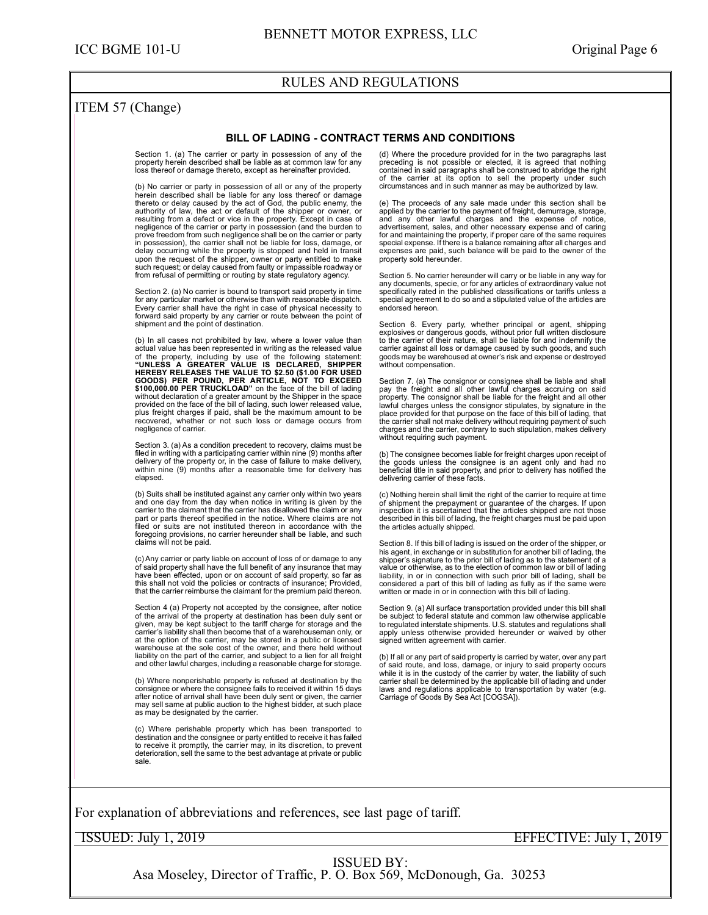#### ITEM 57 (Change)

#### **BILL OF LADING - CONTRACT TERMS AND CONDITIONS**

Section 1. (a) The carrier or party in possession of any of the property herein described shall be liable as at common law for any loss thereof or damage thereto, except as hereinafter provided.

(b) No carrier or party in possession of all or any of the property<br>herein described shall be liable for any loss thereof or damage<br>thereto or delay caused by the act of God, the public enemy, the<br>authority of law, the act negligence of the carrier or party in possession (and the burden to prove freedom from such negligence shall be on the carrier or party in possession), the carrier shall not be liable for loss, damage, or delay occurring while the property is stopped and held in transit upon the request of the shipper, owner or party entitled to make such request; or delay caused from faulty or impassible roadway or from refusal of permitting or routing by state regulatory agency.

Section 2. (a) No carrier is bound to transport said property in time for any particular market or otherwise than with reasonable dispatch. Every carrier shall have the right in case of physical necessity to forward said property by any carrier or route between the point of shipment and the point of destination.

(b) In all cases not prohibited by law, where a lower value than<br>actual value has been represented in writing as the released value<br>of the property, including by use of the following statement:<br>"UNLESS A GREATER VALUE IS D **GOODS) PER POUND, PER ARTICLE, NOT TO EXCEED \$100,000.00 PER TRUCKLOAD"** on the face of the bill of lading without declaration of a greater amount by the Shipper in the space provided on the face of the bill of lading, such lower released value, plus freight charges if paid, shall be the maximum amount to be recovered, whether or not such loss or damage occurs from negligence of carrier.

Section 3. (a) As a condition precedent to recovery, claims must be filed in writing with a participating carrier within nine (9) months after<br>delivery of the property or, in the case of failure to make delivery,<br>within nine (9) months after a reasonable time for delivery has elapsed.

(b) Suits shall be instituted against any carrier only within two years and one day from the day when notice in writing is given by the carrier to the claimant that the carrier has disallowed the claim or any part or parts thereof specified in the notice. Where claims are not filed or suits are not instituted thereon in accordance with the foregoing provisions, no carrier hereunder shall be liable, and such claims will not be paid.

(c) Any carrier or party liable on account of loss of or damage to any of said property shall have the full benefit of any insurance that may have been effected, upon or on account of said property, so far as this shall not void the policies or contracts of insurance; Provided, that the carrier reimburse the claimant for the premium paid thereon.

Section 4 (a) Property not accepted by the consignee, after notice<br>of the arrival of the property at destination has been duly sent or<br>given, may be kept subject to the tariff charge for storage and the<br>carrier's liability at the option of the carrier, may be stored in a public or licensed warehouse at the sole cost of the owner, and there held without liability on the part of the carrier, and subject to a lien for all freight and other lawful charges, including a reasonable charge for storage.

(b) Where nonperishable property is refused at destination by the consignee or where the consignee fails to received it within 15 days after notice of arrival shall have been duly sent or given, the carrier may sell same at public auction to the highest bidder, at such place as may be designated by the carrier.

(c) Where perishable property which has been transported to destination and the consignee or party entitled to receive it has failed to receive it promptly, the carrier may, in its discretion, to prevent deterioration, sell the same to the best advantage at private or public sale.

(d) Where the procedure provided for in the two paragraphs last preceding is not possible or elected, it is agreed that nothing contained in said paragraphs shall be construed to abridge the right of the carrier at its option to sell the property under such circumstances and in such manner as may be authorized by law.

(e) The proceeds of any sale made under this section shall be applied by the carrier to the payment of freight, demurrage, storage, and any other lawful charges and the expense of notice,<br>advertisement, sales, and other necessary expense and of caring<br>for and maintaining the property, if proper care of the same requires special expense. If there is a balance remaining after all charges and expenses are paid, such balance will be paid to the owner of the property sold hereunder.

Section 5. No carrier hereunder will carry or be liable in any way for any documents, specie, or for any articles of extraordinary value not specifically rated in the published classifications or tariffs unless a special agreement to do so and a stipulated value of the articles are endorsed hereon.

Section 6. Every party, whether principal or agent, shipping explosives or dangerous goods, without prior full written disclosure to the carrier of their nature, shall be liable for and indemnify the carrier against all loss or damage caused by such goods, and such goods may be warehoused at owner's risk and expense or destroyed without compensation.

Section 7. (a) The consignor or consignee shall be liable and shall pay the freight and all other lawful charges accruing on said property. The consignor shall be liable for the freight and all other lawful charges unless the consignor stipulates, by signature in the place provided for that purpose on the face of this bill of lading, that the carrier shall not make delivery without requiring payment of such charges and the carrier, contrary to such stipulation, makes delivery without requiring such payment.

(b) The consignee becomes liable for freight charges upon receipt of the goods unless the consignee is an agent only and had no beneficial title in said property, and prior to delivery has notified the delivering carrier of these facts.

(c) Nothing herein shall limit the right of the carrier to require at time of shipment the prepayment or guarantee of the charges. If upon inspection it is ascertained that the articles shipped are not those described in this bill of lading, the freight charges must be paid upon the articles actually shipped.

Section 8. If this bill of lading is issued on the order of the shipper, or his agent, in exchange or in substitution for another bill of lading, the shipper's signature to the prior bill of lading as to the statement of a value or otherwise, as to the election of common law or bill of lading liability, in or in connection with such prior bill of lading, shall be considered a part of this bill of lading as fully as if the same were written or made in or in connection with this bill of lading.

Section 9. (a) All surface transportation provided under this bill shall be subject to federal statute and common law otherwise applicable to regulated interstate shipments. U.S. statutes and regulations shall apply unless otherwise provided hereunder or waived by other signed written agreement with carrier.

(b) If all or any part of said property is carried by water, over any part<br>of said route, and loss, damage, or injury to said property occurs<br>while it is in the custody of the carrier by water, the liability of such<br>carrie Carriage of Goods By Sea Act [COGSA]).

For explanation of abbreviations and references, see last page of tariff.

ISSUED: July 1, 2019 EFFECTIVE: July 1, 2019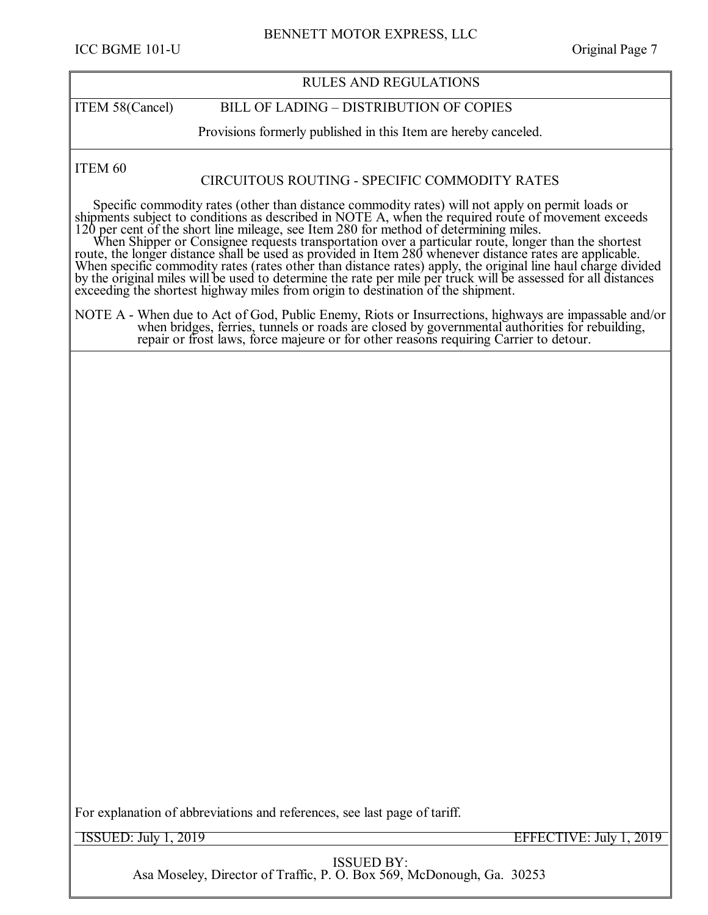## ITEM 58(Cancel) BILL OF LADING – DISTRIBUTION OF COPIES

Provisions formerly published in this Item are hereby canceled.

ITEM 60

## CIRCUITOUS ROUTING - SPECIFIC COMMODITY RATES

 Specific commodity rates (other than distance commodity rates) will not apply on permit loads or shipments subject to conditions as described in NOTE A, when the required route of movement exceeds 120 per cent of the short line mileage, see Item 280 for method of determining miles.

 When Shipper or Consignee requests transportation over a particular route, longer than the shortest route, the longer distance shall be used as provided in Item 280 whenever distance rates are applicable. When specific commodity rates (rates other than distance rates) apply, the original line haul charge divided by the original miles will be used to determine the rate per mile per truck will be assessed for all distances exceeding the shortest highway miles from origin to destination of the shipment.

NOTE A - When due to Act of God, Public Enemy, Riots or Insurrections, highways are impassable and/or when bridges, ferries, tunnels or roads are closed by governmental authorities for rebuilding, repair or frost laws, force majeure or for other reasons requiring Carrier to detour.

For explanation of abbreviations and references, see last page of tariff.

ISSUED: July 1, 2019 EFFECTIVE: July 1, 2019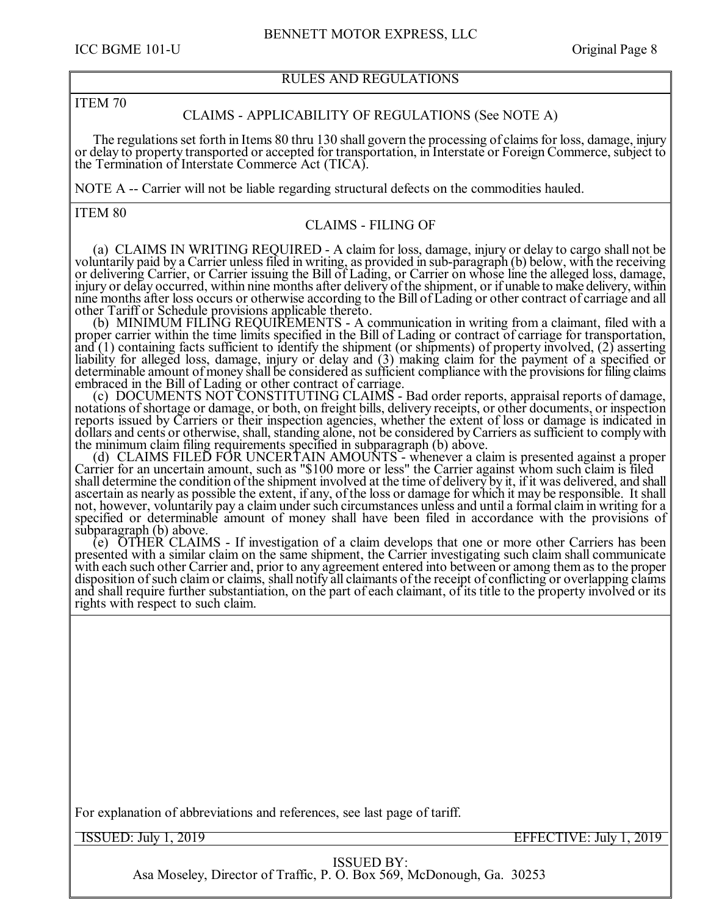### ITEM 70

#### CLAIMS - APPLICABILITY OF REGULATIONS (See NOTE A)

 The regulations set forth in Items 80 thru 130 shall govern the processing of claims for loss, damage, injury or delay to property transported or accepted for transportation, in Interstate or Foreign Commerce, subject to the Termination of Interstate Commerce Act (TICA).

NOTE A -- Carrier will not be liable regarding structural defects on the commodities hauled.

ITEM 80

## CLAIMS - FILING OF

 (a) CLAIMS IN WRITING REQUIRED - A claim for loss, damage, injury or delay to cargo shall not be voluntarily paid by a Carrier unless filed in writing, as provided in sub-paragraph (b) below, with the receiving or delivering Carrier, or Carrier issuing the Bill of Lading, or Carrier on whose line the alleged loss, damage, injury or delay occurred, within nine months after delivery of the shipment, or if unable to make delivery, within nine months after loss occurs or otherwise according to the Bill of Lading or other contract of carriage and all other Tariff or Schedule provisions applicable thereto.

 (b) MINIMUM FILING REQUIREMENTS - A communication in writing from a claimant, filed with a proper carrier within the time limits specified in the Bill of Lading or contract of carriage for transportation, and (1) containing facts sufficient to identify the shipment (or shipments) of property involved, (2) asserting liability for alleged loss, damage, injury or delay and (3) making claim for the payment of a specified or determinable amount of money shall be considered as sufficient compliance with the provisions for filing claims embraced in the Bill of Lading or other contract of carriage.

 (c) DOCUMENTS NOT CONSTITUTING CLAIMS - Bad order reports, appraisal reports of damage, notations of shortage or damage, or both, on freight bills, delivery receipts, or other documents, or inspection reports issued by Carriers or their inspection agencies, whether the extent of loss or damage is indicated in dollars and cents or otherwise, shall, standing alone, not be considered by Carriers as sufficient to comply with the minimum claim filing requirements specified in subparagraph (b) above.

 (d) CLAIMS FILED FOR UNCERTAIN AMOUNTS - whenever a claim is presented against a proper Carrier for an uncertain amount, such as "\$100 more or less" the Carrier against whom such claim is filed shall determine the condition of the shipment involved at the time of delivery by it, if it was delivered, and shall ascertain as nearly as possible the extent, if any, of the loss or damage for which it may be responsible. It shall not, however, voluntarily pay a claim under such circumstances unless and until a formal claim in writing for a specified or determinable amount of money shall have been filed in accordance with the provisions of subparagraph (b) above.

 (e) OTHER CLAIMS - If investigation of a claim develops that one or more other Carriers has been presented with a similar claim on the same shipment, the Carrier investigating such claim shall communicate with each such other Carrier and, prior to any agreement entered into between or among them as to the proper disposition of such claim or claims, shall notify all claimants of the receipt of conflicting or overlapping claims and shall require further substantiation, on the part of each claimant, of its title to the property involved or its rights with respect to such claim.

For explanation of abbreviations and references, see last page of tariff.

ISSUED: July 1, 2019 EFFECTIVE: July 1, 2019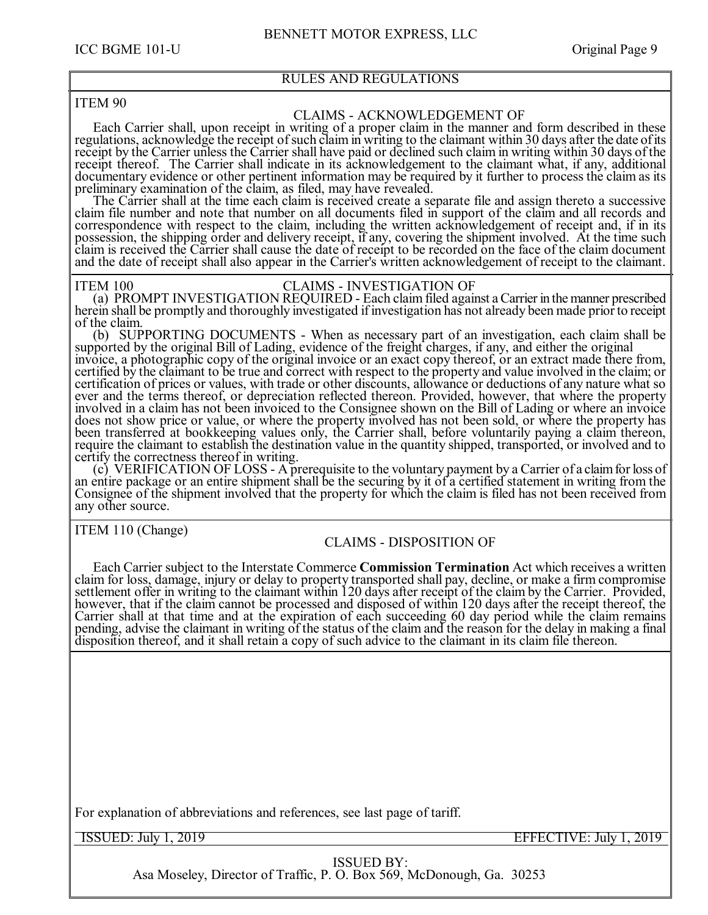#### ITEM 90

#### CLAIMS - ACKNOWLEDGEMENT OF

 Each Carrier shall, upon receipt in writing of a proper claim in the manner and form described in these regulations, acknowledge the receipt of such claim in writing to the claimant within 30 days after the date of its receipt by the Carrier unless the Carrier shall have paid or declined such claim in writing within 30 days of the receipt thereof. The Carrier shall indicate in its acknowledgement to the claimant what, if any, additional documentary evidence or other pertinent information may be required by it further to process the claim as its preliminary examination of the claim, as filed, may have revealed.

 The Carrier shall at the time each claim is received create a separate file and assign thereto a successive claim file number and note that number on all documents filed in support of the claim and all records and correspondence with respect to the claim, including the written acknowledgement of receipt and, if in its possession, the shipping order and delivery receipt, if any, covering the shipment involved. At the time such claim is received the Carrier shall cause the date of receipt to be recorded on the face of the claim document and the date of receipt shall also appear in the Carrier's written acknowledgement of receipt to the claimant.

## ITEM 100 CLAIMS - INVESTIGATION OF

 (a) PROMPT INVESTIGATION REQUIRED - Each claim filed against a Carrier in the manner prescribed herein shall be promptly and thoroughly investigated if investigation has not already been made prior to receipt of the claim.

 (b) SUPPORTING DOCUMENTS - When as necessary part of an investigation, each claim shall be supported by the original Bill of Lading, evidence of the freight charges, if any, and either the original invoice, a photographic copy of the original invoice or an exact copy thereof, or an extract made there from, certified by the claimant to be true and correct with respect to the property and value involved in the claim; or certification of prices or values, with trade or other discounts, allowance or deductions of any nature what so ever and the terms thereof, or depreciation reflected thereon. Provided, however, that where the property involved in a claim has not been invoiced to the Consignee shown on the Bill of Lading or where an invoice does not show price or value, or where the property involved has not been sold, or where the property has been transferred at bookkeeping values only, the Carrier shall, before voluntarily paying a claim thereon, require the claimant to establish the destination value in the quantity shipped, transported, or involved and to certify the correctness thereof in writing.

 (c) VERIFICATION OF LOSS - A prerequisite to the voluntary payment by a Carrier of a claim for loss of an entire package or an entire shipment shall be the securing by it of a certified statement in writing from the Consignee of the shipment involved that the property for which the claim is filed has not been received from any other source.

ITEM 110 (Change)

## CLAIMS - DISPOSITION OF

 Each Carrier subject to the Interstate Commerce **Commission Termination** Act which receives a written claim for loss, damage, injury or delay to property transported shall pay, decline, or make a firm compromise settlement offer in writing to the claimant within 120 days after receipt of the claim by the Carrier. Provided, however, that if the claim cannot be processed and disposed of within 120 days after the receipt thereof, the Carrier shall at that time and at the expiration of each succeeding 60 day period while the claim remains pending, advise the claimant in writing of the status of the claim and the reason for the delay in making a final disposition thereof, and it shall retain a copy of such advice to the claimant in its claim file thereon.

For explanation of abbreviations and references, see last page of tariff.

ISSUED: July 1, 2019 EFFECTIVE: July 1, 2019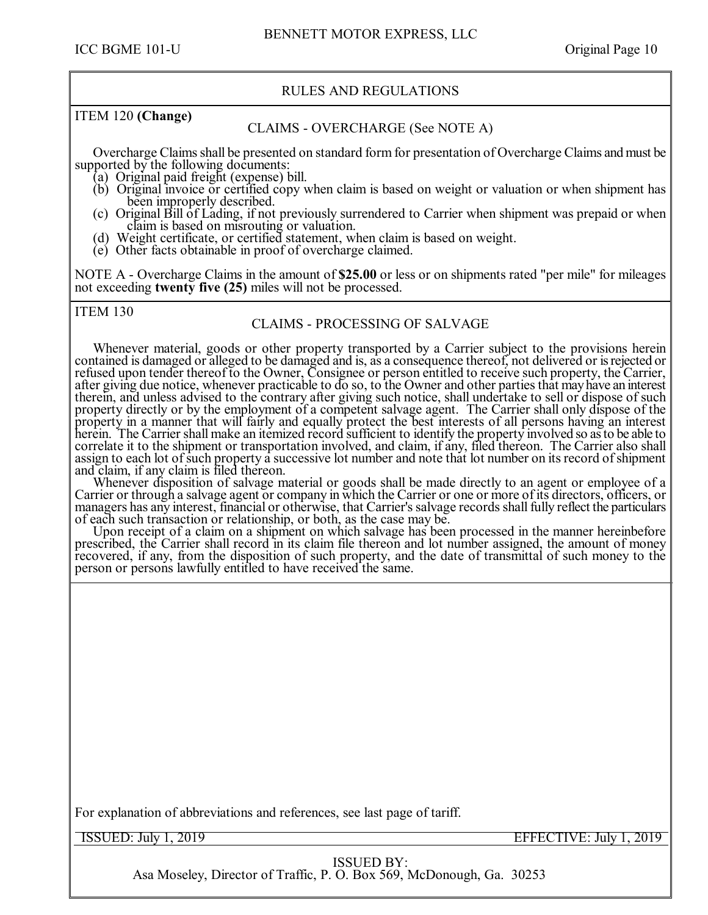ITEM 120 **(Change)**

## CLAIMS - OVERCHARGE (See NOTE A)

 Overcharge Claims shall be presented on standard form for presentation of Overcharge Claims and must be supported by the following documents:

- (a) Original paid freight (expense) bill.
- (b) Original invoice or certified copy when claim is based on weight or valuation or when shipment has been improperly described.
- (c) Original Bill of Lading, if not previously surrendered to Carrier when shipment was prepaid or when claim is based on misrouting or valuation.
- (d) Weight certificate, or certified statement, when claim is based on weight.
	- (e) Other facts obtainable in proof of overcharge claimed.

NOTE A - Overcharge Claims in the amount of **\$25.00** or less or on shipments rated "per mile" for mileages not exceeding **twenty five (25)** miles will not be processed.

#### ITEM 130

## CLAIMS - PROCESSING OF SALVAGE

 Whenever material, goods or other property transported by a Carrier subject to the provisions herein contained is damaged or alleged to be damaged and is, as a consequence thereof, not delivered or is rejected or refused upon tender thereof to the Owner, Consignee or person entitled to receive such property, the Carrier, after giving due notice, whenever practicable to do so, to the Owner and other parties that may have an interest therein, and unless advised to the contrary after giving such notice, shall undertake to sell or dispose of such property directly or by the employment of a competent salvage agent. The Carrier shall only dispose of the property in a manner that will fairly and equally protect the best interests of all persons having an interest herein. The Carrier shall make an itemized record sufficient to identify the property involved so as to be able to correlate it to the shipment or transportation involved, and claim, if any, filed thereon. The Carrier also shall assign to each lot of such property a successive lot number and note that lot number on its record of shipment and claim, if any claim is filed thereon.

 Whenever disposition of salvage material or goods shall be made directly to an agent or employee of a Carrier or through a salvage agent or company in which the Carrier or one or more of its directors, officers, or managers has any interest, financial or otherwise, that Carrier's salvage records shall fully reflect the particulars of each such transaction or relationship, or both, as the case may be.

 Upon receipt of a claim on a shipment on which salvage has been processed in the manner hereinbefore prescribed, the Carrier shall record in its claim file thereon and lot number assigned, the amount of money recovered, if any, from the disposition of such property, and the date of transmittal of such money to the person or persons lawfully entitled to have received the same.

For explanation of abbreviations and references, see last page of tariff.

ISSUED: July 1, 2019 EFFECTIVE: July 1, 2019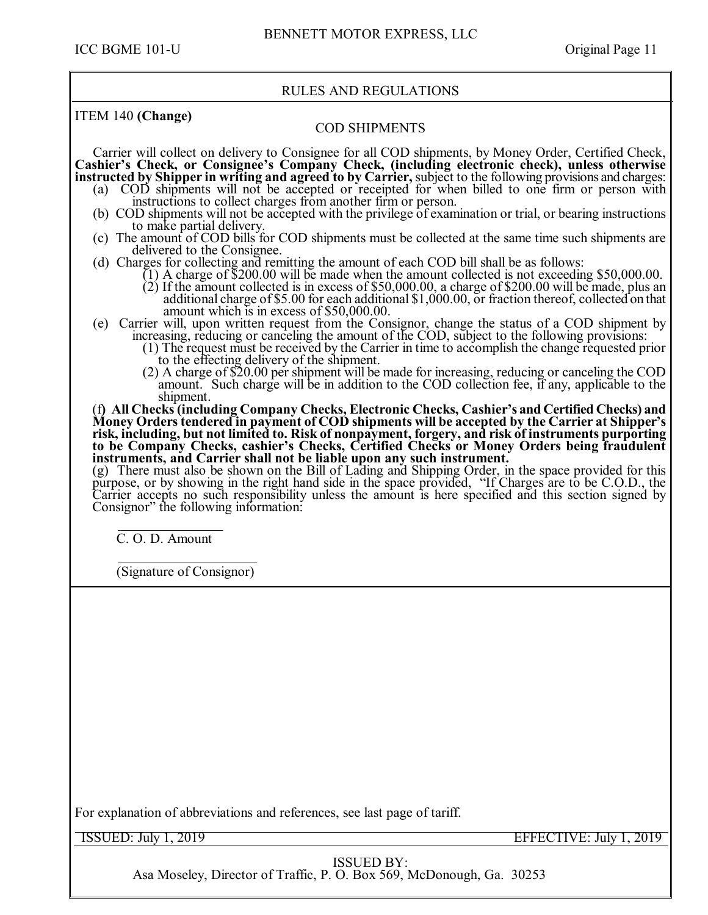ITEM 140 **(Change)**

## COD SHIPMENTS

 Carrier will collect on delivery to Consignee for all COD shipments, by Money Order, Certified Check, **Cashier's Check, or Consignee's Company Check, (including electronic check), unless otherwise instructed by Shipper in writing and agreed to by Carrier,** subject to the following provisions and charges: (a) COD shipments will not be accepted or receipted for when billed to one firm or person with

- instructions to collect charges from another firm or person.
- (b) COD shipments will not be accepted with the privilege of examination or trial, or bearing instructions to make partial delivery.
- (c) The amount of COD bills for COD shipments must be collected at the same time such shipments are delivered to the Consignee.
- (d) Charges for collecting and remitting the amount of each COD bill shall be as follows:
	- (1) A charge of \$200.00 will be made when the amount collected is not exceeding \$50,000.00. (2) If the amount collected is in excess of \$50,000.00, a charge of \$200.00 will be made, plus an additional charge of \$5.00 for each additional \$1,000.00, or fraction thereof, collected on that amount which is in excess of \$50,000.00.
- (e) Carrier will, upon written request from the Consignor, change the status of a COD shipment by increasing, reducing or canceling the amount of the COD, subject to the following provisions:
	- (1) The request must be received by the Carrier in time to accomplish the change requested prior to the effecting delivery of the shipment.
	- (2) A charge of \$20.00 per shipment will be made for increasing, reducing or canceling the COD amount. Such charge will be in addition to the COD collection fee, if any, applicable to the shipment.

(f**) All Checks (including Company Checks, Electronic Checks, Cashier's and Certified Checks) and Money Orders tendered in payment of COD shipments will be accepted by the Carrier at Shipper's risk, including, but not limited to. Risk of nonpayment, forgery, and risk of instruments purporting to be Company Checks, cashier's Checks, Certified Checks or Money Orders being fraudulent instruments, and Carrier shall not be liable upon any such instrument.**

(g) There must also be shown on the Bill of Lading and Shipping Order, in the space provided for this purpose, or by showing in the right hand side in the space provided, "If Charges are to be C.O.D., the Carrier accepts no such responsibility unless the amount is here specified and this section signed by Consignor" the following information:

C. O. D. Amount

(Signature of Consignor)

For explanation of abbreviations and references, see last page of tariff.

ISSUED: July 1, 2019 EFFECTIVE: July 1, 2019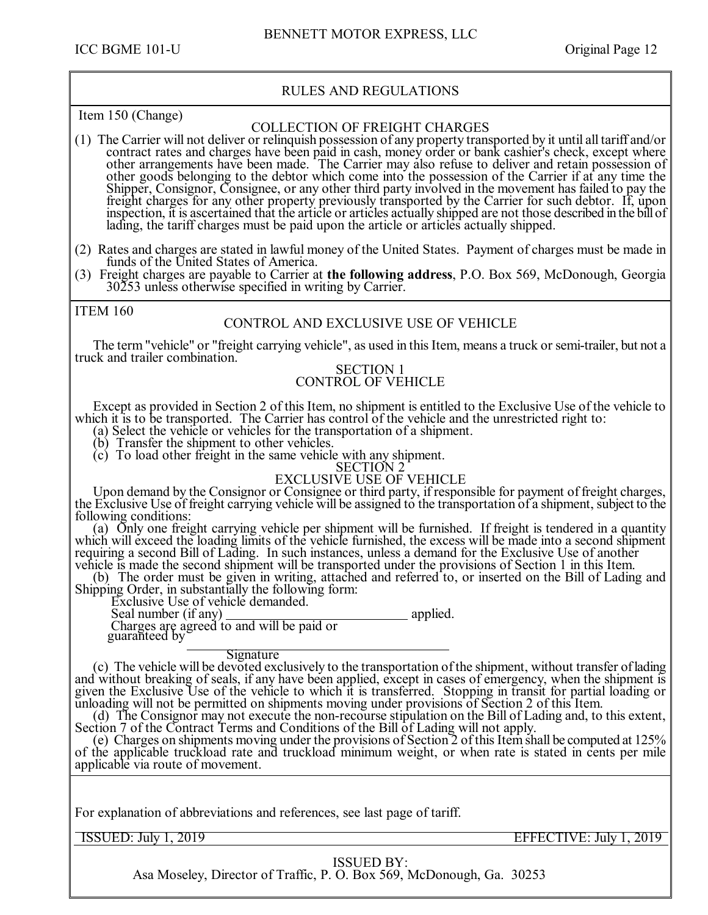Item 150 (Change)

#### COLLECTION OF FREIGHT CHARGES

(1) The Carrier will not deliver or relinquish possession of any property transported by it until all tariff and/or contract rates and charges have been paid in cash, money order or bank cashier's check, except where other arrangements have been made. The Carrier may also refuse to deliver and retain possession of other goods belonging to the debtor which come into the possession of the Carrier if at any time the Shipper, Consignor, Consignee, or any other third party involved in the movement has failed to pay the freight charges for any other property previously transported by the Carrier for such debtor. If, upon inspection, it is ascertained that the article or articles actually shipped are not those described in the bill of lading, the tariff charges must be paid upon the article or articles actually shipped.

- (2) Rates and charges are stated in lawful money of the United States. Payment of charges must be made in funds of the United States of America.
- (3) Freight charges are payable to Carrier at **the following address**, P.O. Box 569, McDonough, Georgia 30253 unless otherwise specified in writing by Carrier.

### ITEM 160

## CONTROL AND EXCLUSIVE USE OF VEHICLE

 The term "vehicle" or "freight carrying vehicle", as used in this Item, means a truck or semi-trailer, but not a truck and trailer combination.

#### SECTION 1 CONTROL OF VEHICLE

 Except as provided in Section 2 of this Item, no shipment is entitled to the Exclusive Use of the vehicle to which it is to be transported. The Carrier has control of the vehicle and the unrestricted right to:

(a) Select the vehicle or vehicles for the transportation of a shipment.

(b) Transfer the shipment to other vehicles.

(c) To load other freight in the same vehicle with any shipment.

SECTION 2

EXCLUSIVE USE OF VEHICLE

 Upon demand by the Consignor or Consignee or third party, if responsible for payment of freight charges, the Exclusive Use of freight carrying vehicle will be assigned to the transportation of a shipment, subject to the following conditions:

 (a) Only one freight carrying vehicle per shipment will be furnished. If freight is tendered in a quantity which will exceed the loading limits of the vehicle furnished, the excess will be made into a second shipment requiring a second Bill of Lading. In such instances, unless a demand for the Exclusive Use of another vehicle is made the second shipment will be transported under the provisions of Section 1 in this Item.

 (b) The order must be given in writing, attached and referred to, or inserted on the Bill of Lading and Shipping Order, in substantially the following form:

Exclusive Use of vehicle demanded.

 Seal number (if any) applied. Charges are agreed to and will be paid or guaranteed by

Signature

 (c) The vehicle will be devoted exclusively to the transportation of the shipment, without transfer of lading and without breaking of seals, if any have been applied, except in cases of emergency, when the shipment is given the Exclusive Use of the vehicle to which it is transferred. Stopping in transit for partial loading or unloading will not be permitted on shipments moving under provisions of Section 2 of this Item.

 (d) The Consignor may not execute the non-recourse stipulation on the Bill of Lading and, to this extent, Section 7 of the Contract Terms and Conditions of the Bill of Lading will not apply.

 (e) Charges on shipments moving under the provisions of Section 2 of this Item shall be computed at 125% of the applicable truckload rate and truckload minimum weight, or when rate is stated in cents per mile applicable via route of movement.

For explanation of abbreviations and references, see last page of tariff.

ISSUED: July 1, 2019 EFFECTIVE: July 1, 2019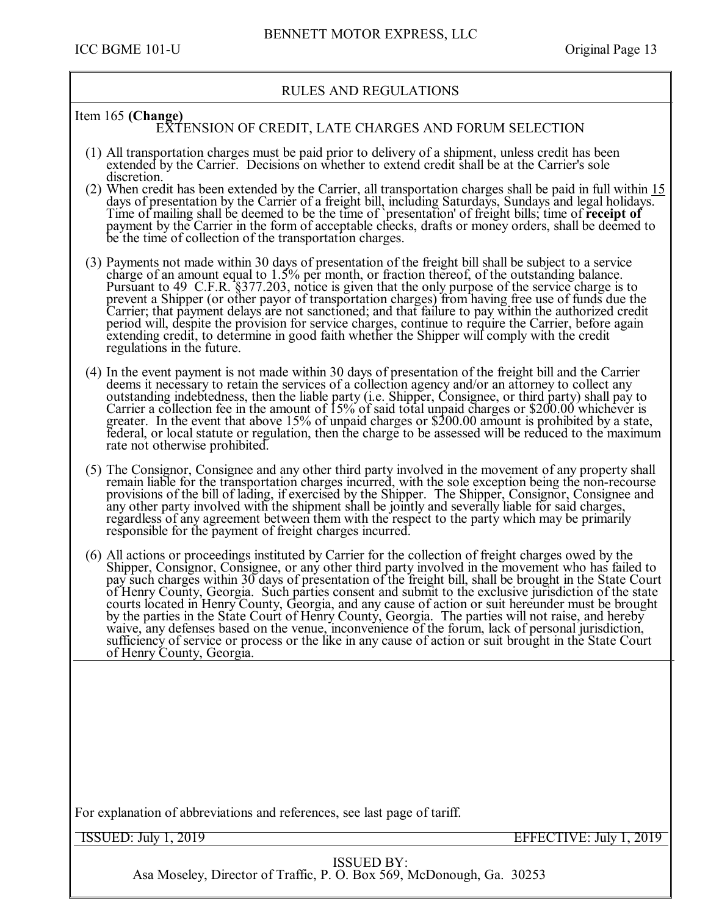| <b>RULES AND REGULATIONS</b>                                                                                                                                                                                                                                                                                                                                                                                                                                                                                                                                                                                                                                                                                                                                       |  |  |
|--------------------------------------------------------------------------------------------------------------------------------------------------------------------------------------------------------------------------------------------------------------------------------------------------------------------------------------------------------------------------------------------------------------------------------------------------------------------------------------------------------------------------------------------------------------------------------------------------------------------------------------------------------------------------------------------------------------------------------------------------------------------|--|--|
| Item 165 (Change)<br>EXTENSION OF CREDIT, LATE CHARGES AND FORUM SELECTION                                                                                                                                                                                                                                                                                                                                                                                                                                                                                                                                                                                                                                                                                         |  |  |
| (1) All transportation charges must be paid prior to delivery of a shipment, unless credit has been<br>extended by the Carrier. Decisions on whether to extend credit shall be at the Carrier's sole<br>discretion.                                                                                                                                                                                                                                                                                                                                                                                                                                                                                                                                                |  |  |
| (2) When credit has been extended by the Carrier, all transportation charges shall be paid in full within $15$<br>days of presentation by the Carrier of a freight bill, including Saturdays, Sundays and legal holidays.<br>Time of mailing shall be deemed to be the time of `presentation' of freight bills; time of receipt of<br>payment by the Carrier in the form of acceptable checks, drafts or money orders, shall be deemed to<br>be the time of collection of the transportation charges.                                                                                                                                                                                                                                                              |  |  |
| (3) Payments not made within 30 days of presentation of the freight bill shall be subject to a service<br>charge of an amount equal to 1.5% per month, or fraction thereof, of the outstanding balance.<br>Pursuant to 49 C.F.R. §377.203, notice is given that the only purpose of the service charge is to<br>prevent a Shipper (or other payor of transportation charges) from having free use of funds due the<br>Carrier; that payment delays are not sanctioned; and that failure to pay within the authorized credit<br>period will, despite the provision for service charges, continue to require the Carrier, before again<br>extending credit, to determine in good faith whether the Shipper will comply with the credit<br>regulations in the future. |  |  |
| (4) In the event payment is not made within 30 days of presentation of the freight bill and the Carrier<br>deems it necessary to retain the services of a collection agency and/or an attorney to collect any<br>outstanding indebtedness, then the liable party (i.e. Shipper, Consignee, or third party) shall pay to<br>Carrier a collection fee in the amount of 15% of said total unpaid charges or \$200.00 whichever is<br>greater. In the event that above 15% of unpaid charges or $$200.00$ amount is prohibited by a state,<br>federal, or local statute or regulation, then the charge to be assessed will be reduced to the maximum<br>rate not otherwise prohibited.                                                                                 |  |  |
| (5) The Consignor, Consignee and any other third party involved in the movement of any property shall<br>remain liable for the transportation charges incurred, with the sole exception being the non-recourse<br>provisions of the bill of lading, if exercised by the Shipper. The Shipper, Consignor, Consignee and<br>any other party involved with the shipment shall be jointly and severally liable for said charges,<br>regardless of any agreement between them with the respect to the party which may be primarily<br>responsible for the payment of freight charges incurred.                                                                                                                                                                          |  |  |
| (6) All actions or proceedings instituted by Carrier for the collection of freight charges owed by the<br>Shipper, Consignor, Consignee, or any other third party involved in the movement who has failed to<br>pay such charges within 30 days of presentation of the freight bill, shall be brought in the State Court<br>of Henry County, Georgia. Such parties consent and submit to the exclusive jurisdiction of the state<br>courts located in Henry County, Georgia, and any cause of action or suit hereunder must be brought<br>by the parties in the State Court of Henry County, Georgia. The parties will not raise, and hereby<br>waive, any defenses base<br>of Henry County, Georgia.                                                              |  |  |
|                                                                                                                                                                                                                                                                                                                                                                                                                                                                                                                                                                                                                                                                                                                                                                    |  |  |
|                                                                                                                                                                                                                                                                                                                                                                                                                                                                                                                                                                                                                                                                                                                                                                    |  |  |
|                                                                                                                                                                                                                                                                                                                                                                                                                                                                                                                                                                                                                                                                                                                                                                    |  |  |
|                                                                                                                                                                                                                                                                                                                                                                                                                                                                                                                                                                                                                                                                                                                                                                    |  |  |
| For explanation of abbreviations and references, see last page of tariff.                                                                                                                                                                                                                                                                                                                                                                                                                                                                                                                                                                                                                                                                                          |  |  |
| <b>ISSUED:</b> July 1, 2019<br>EFFECTIVE: July 1, 2019                                                                                                                                                                                                                                                                                                                                                                                                                                                                                                                                                                                                                                                                                                             |  |  |
| <b>ISSUED BY:</b>                                                                                                                                                                                                                                                                                                                                                                                                                                                                                                                                                                                                                                                                                                                                                  |  |  |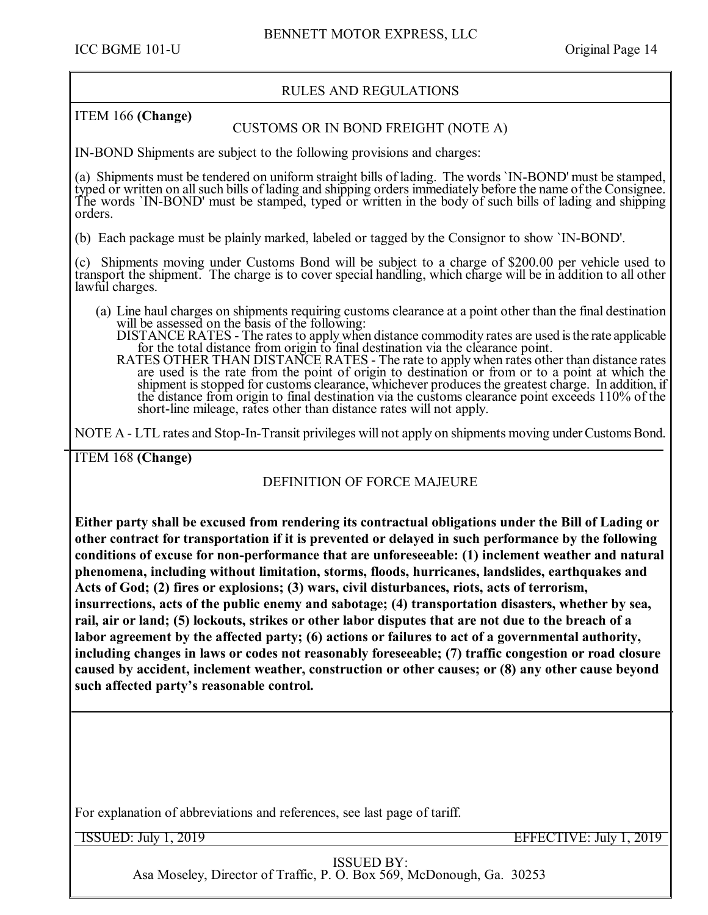ITEM 166 **(Change)**

## CUSTOMS OR IN BOND FREIGHT (NOTE A)

IN-BOND Shipments are subject to the following provisions and charges:

(a) Shipments must be tendered on uniform straight bills of lading. The words `IN-BOND' must be stamped, typed or written on all such bills of lading and shipping orders immediately before the name of the Consignee. The words `IN-BOND' must be stamped, typed or written in the body of such bills of lading and shipping orders.

(b) Each package must be plainly marked, labeled or tagged by the Consignor to show `IN-BOND'.

(c) Shipments moving under Customs Bond will be subject to a charge of \$200.00 per vehicle used to transport the shipment. The charge is to cover special handling, which charge will be in addition to all other lawful charges.

(a) Line haul charges on shipments requiring customs clearance at a point other than the final destination will be assessed on the basis of the following:

DISTANCE RATES - The rates to apply when distance commodity rates are used is the rate applicable for the total distance from origin to final destination via the clearance point.

RATES OTHER THAN DISTANCE RATES - The rate to apply when rates other than distance rates are used is the rate from the point of origin to destination or from or to a point at which the shipment is stopped for customs clearance, whichever produces the greatest charge. In addition, if the distance from origin to final destination via the customs clearance point exceeds 110% of the short-line mileage, rates other than distance rates will not apply.

NOTE A - LTL rates and Stop-In-Transit privileges will not apply on shipments moving under Customs Bond.

ITEM 168 **(Change)** 

## DEFINITION OF FORCE MAJEURE

**Either party shall be excused from rendering its contractual obligations under the Bill of Lading or other contract for transportation if it is prevented or delayed in such performance by the following conditions of excuse for non-performance that are unforeseeable: (1) inclement weather and natural phenomena, including without limitation, storms, floods, hurricanes, landslides, earthquakes and Acts of God; (2) fires or explosions; (3) wars, civil disturbances, riots, acts of terrorism, insurrections, acts of the public enemy and sabotage; (4) transportation disasters, whether by sea, rail, air or land; (5) lockouts, strikes or other labor disputes that are not due to the breach of a labor agreement by the affected party; (6) actions or failures to act of a governmental authority, including changes in laws or codes not reasonably foreseeable; (7) traffic congestion or road closure caused by accident, inclement weather, construction or other causes; or (8) any other cause beyond such affected party's reasonable control.** 

For explanation of abbreviations and references, see last page of tariff.

ISSUED: July 1, 2019 EFFECTIVE: July 1, 2019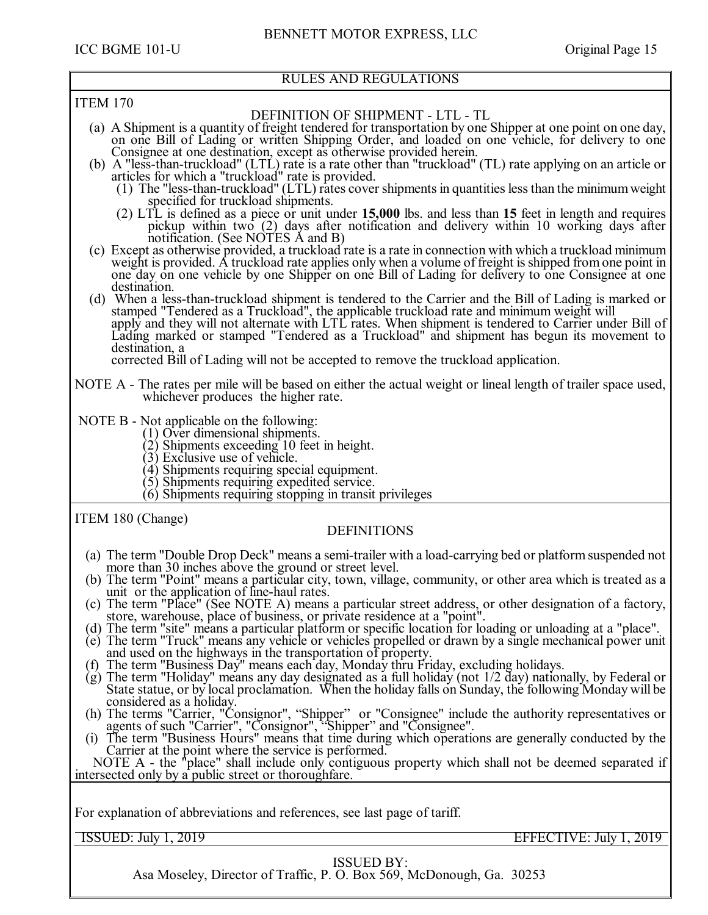| <b>ITEM 170</b>                                                                                                                                                                                                                                                                                                                                                                                                                                                                                                                                                                                                                                                                                                                                                                                                                                                                                                                                                                                                                                                                                                                                                                                                                                                                                                                                                                                                                                                                                                                                                                                                      |
|----------------------------------------------------------------------------------------------------------------------------------------------------------------------------------------------------------------------------------------------------------------------------------------------------------------------------------------------------------------------------------------------------------------------------------------------------------------------------------------------------------------------------------------------------------------------------------------------------------------------------------------------------------------------------------------------------------------------------------------------------------------------------------------------------------------------------------------------------------------------------------------------------------------------------------------------------------------------------------------------------------------------------------------------------------------------------------------------------------------------------------------------------------------------------------------------------------------------------------------------------------------------------------------------------------------------------------------------------------------------------------------------------------------------------------------------------------------------------------------------------------------------------------------------------------------------------------------------------------------------|
| DEFINITION OF SHIPMENT - LTL - TL<br>(a) A Shipment is a quantity of freight tendered for transportation by one Shipper at one point on one day,<br>on one Bill of Lading or written Shipping Order, and loaded on one vehicle, for delivery to one<br>Consignee at one destination, except as otherwise provided herein.                                                                                                                                                                                                                                                                                                                                                                                                                                                                                                                                                                                                                                                                                                                                                                                                                                                                                                                                                                                                                                                                                                                                                                                                                                                                                            |
| (b) A "less-than-truckload" (LTL) rate is a rate other than "truckload" (TL) rate applying on an article or articles for which a "truckload" rate is provided.                                                                                                                                                                                                                                                                                                                                                                                                                                                                                                                                                                                                                                                                                                                                                                                                                                                                                                                                                                                                                                                                                                                                                                                                                                                                                                                                                                                                                                                       |
| (1) The "less-than-truckload" (LTL) rates cover shipments in quantities less than the minimum weight<br>specified for truckload shipments.                                                                                                                                                                                                                                                                                                                                                                                                                                                                                                                                                                                                                                                                                                                                                                                                                                                                                                                                                                                                                                                                                                                                                                                                                                                                                                                                                                                                                                                                           |
| (2) LTL is defined as a piece or unit under 15,000 lbs. and less than 15 feet in length and requires<br>pickup within two (2) days after notification and delivery within 10 working days after<br>notification. (See NOTES A and B)                                                                                                                                                                                                                                                                                                                                                                                                                                                                                                                                                                                                                                                                                                                                                                                                                                                                                                                                                                                                                                                                                                                                                                                                                                                                                                                                                                                 |
| (c) Except as otherwise provided, a truckload rate is a rate in connection with which a truckload minimum<br>weight is provided. A truckload rate applies only when a volume of freight is shipped from one point in<br>one day on one vehicle by one Shipper on one Bill of Lading for delivery to one Consignee at one                                                                                                                                                                                                                                                                                                                                                                                                                                                                                                                                                                                                                                                                                                                                                                                                                                                                                                                                                                                                                                                                                                                                                                                                                                                                                             |
| destination.<br>(d) When a less-than-truckload shipment is tendered to the Carrier and the Bill of Lading is marked or<br>stamped "Tendered as a Truckload", the applicable truckload rate and minimum weight will<br>apply and they will not alternate with LTL rates. When shipment is tendered to Carrier under Bill of<br>Lading marked or stamped "Tendered as a Truckload" and shipment has begun its movement to<br>destination, a                                                                                                                                                                                                                                                                                                                                                                                                                                                                                                                                                                                                                                                                                                                                                                                                                                                                                                                                                                                                                                                                                                                                                                            |
| corrected Bill of Lading will not be accepted to remove the truckload application.                                                                                                                                                                                                                                                                                                                                                                                                                                                                                                                                                                                                                                                                                                                                                                                                                                                                                                                                                                                                                                                                                                                                                                                                                                                                                                                                                                                                                                                                                                                                   |
| NOTE A - The rates per mile will be based on either the actual weight or lineal length of trailer space used,<br>whichever produces the higher rate.                                                                                                                                                                                                                                                                                                                                                                                                                                                                                                                                                                                                                                                                                                                                                                                                                                                                                                                                                                                                                                                                                                                                                                                                                                                                                                                                                                                                                                                                 |
| NOTE B - Not applicable on the following:<br>(1) Over dimensional shipments.<br>$(2)$ Shipments exceeding 10 feet in height.<br>(3) Exclusive use of vehicle.<br>(4) Shipments requiring special equipment.<br>(5) Shipments requiring expedited service.<br>(6) Shipments requiring stopping in transit privileges                                                                                                                                                                                                                                                                                                                                                                                                                                                                                                                                                                                                                                                                                                                                                                                                                                                                                                                                                                                                                                                                                                                                                                                                                                                                                                  |
| ITEM 180 (Change)<br><b>DEFINITIONS</b>                                                                                                                                                                                                                                                                                                                                                                                                                                                                                                                                                                                                                                                                                                                                                                                                                                                                                                                                                                                                                                                                                                                                                                                                                                                                                                                                                                                                                                                                                                                                                                              |
| (a) The term "Double Drop Deck" means a semi-trailer with a load-carrying bed or platform suspended not<br>more than 30 inches above the ground or street level.<br>(b) The term "Point" means a particular city, town, village, community, or other area which is treated as a<br>unit or the application of line-haul rates.<br>(c) The term "Place" (See NOTE A) means a particular street address, or other designation of a factory,<br>store, warehouse, place of business, or private residence at a "point".<br>(d) The term "site" means a particular platform or specific location for loading or unloading at a "place".<br>(e) The term "Truck" means any vehicle or vehicles propelled or drawn by a single mechanical power unit<br>and used on the highways in the transportation of property.<br>The term "Business Day" means each day, Monday thru Friday, excluding holidays.<br>(1)<br>(g) The term "Holiday" means any day designated as a full holiday (not 1/2 day) nationally, by Federal or<br>State statue, or by local proclamation. When the holiday falls on Sunday, the following Monday will be<br>considered as a holiday.<br>(h) The terms "Carrier, "Consignor", "Shipper" or "Consignee" include the authority representatives or agents of such "Carrier", "Consignor", "Shipper" and "Consignee".<br>(i) The term "Business Hours" means that time during<br>Carrier at the point where the service is performed.<br>NOTE A - the "place" shall include only contiguous property which shall not be deemed separated if<br>intersected only by a public street or thoroughfare. |
| For explanation of abbreviations and references, see last page of tariff.                                                                                                                                                                                                                                                                                                                                                                                                                                                                                                                                                                                                                                                                                                                                                                                                                                                                                                                                                                                                                                                                                                                                                                                                                                                                                                                                                                                                                                                                                                                                            |
| ISSUED: July $1, 2019$<br>EFFECTIVE: July 1, $2019$                                                                                                                                                                                                                                                                                                                                                                                                                                                                                                                                                                                                                                                                                                                                                                                                                                                                                                                                                                                                                                                                                                                                                                                                                                                                                                                                                                                                                                                                                                                                                                  |
| <b>ISSUED BY:</b><br>Asa Moseley, Director of Traffic, P. O. Box 569, McDonough, Ga. 30253                                                                                                                                                                                                                                                                                                                                                                                                                                                                                                                                                                                                                                                                                                                                                                                                                                                                                                                                                                                                                                                                                                                                                                                                                                                                                                                                                                                                                                                                                                                           |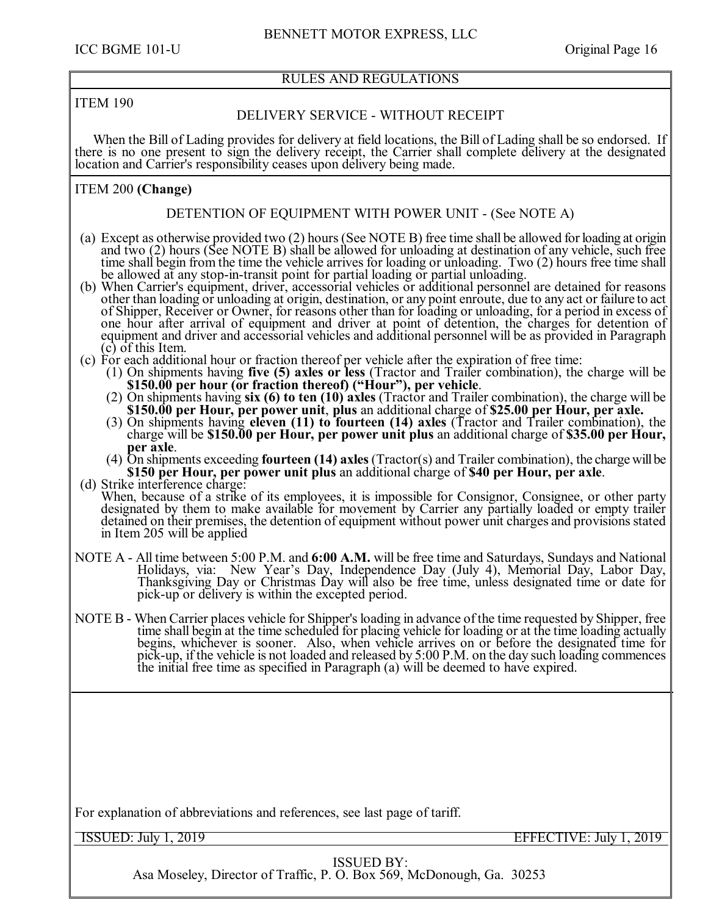#### ITEM 190

#### DELIVERY SERVICE - WITHOUT RECEIPT

 When the Bill of Lading provides for delivery at field locations, the Bill of Lading shall be so endorsed. If there is no one present to sign the delivery receipt, the Carrier shall complete delivery at the designated location and Carrier's responsibility ceases upon delivery being made.

#### ITEM 200 **(Change)**

#### DETENTION OF EQUIPMENT WITH POWER UNIT - (See NOTE A)

- (a) Except as otherwise provided two (2) hours (See NOTE B) free time shall be allowed for loading at origin and two (2) hours (See NOTE B) shall be allowed for unloading at destination of any vehicle, such free time shall begin from the time the vehicle arrives for loading or unloading. Two (2) hours free time shall be allowed at any stop-in-transit point for partial loading or partial unloading.
- (b) When Carrier's equipment, driver, accessorial vehicles or additional personnel are detained for reasons other than loading or unloading at origin, destination, or any point enroute, due to any act or failure to act of Shipper, Receiver or Owner, for reasons other than for loading or unloading, for a period in excess of one hour after arrival of equipment and driver at point of detention, the charges for detention of equipment and driver and accessorial vehicles and additional personnel will be as provided in Paragraph (c) of this Item.
- (c) For each additional hour or fraction thereof per vehicle after the expiration of free time:
	- (1) On shipments having **five (5) axles or less** (Tractor and Trailer combination), the charge will be **\$150.00 per hour (or fraction thereof) ("Hour"), per vehicle**.
	- (2) On shipments having **six (6) to ten (10) axles** (Tractor and Trailer combination), the charge will be **\$150.00 per Hour, per power unit**, **plus** an additional charge of **\$25.00 per Hour, per axle.**
	- (3) On shipments having **eleven (11) to fourteen (14) axles** (Tractor and Trailer combination), the charge will be **\$150.00 per Hour, per power unit plus** an additional charge of **\$35.00 per Hour, per axle**.
	- (4) On shipments exceeding **fourteen (14) axles** (Tractor(s) and Trailer combination), the charge will be **\$150 per Hour, per power unit plus** an additional charge of **\$40 per Hour, per axle**.

(d) Strike interference charge: When, because of a strike of its employees, it is impossible for Consignor, Consignee, or other party designated by them to make available for movement by Carrier any partially loaded or empty trailer detained on their premises, the detention of equipment without power unit charges and provisions stated in Item 205 will be applied

- NOTE A All time between 5:00 P.M. and **6:00 A.M.** will be free time and Saturdays, Sundays and National Holidays, via: New Year's Day, Independence Day (July 4), Memorial Day, Labor Day, Thanksgiving Day or Christmas Day will also be free time, unless designated time or date for pick-up or delivery is within the excepted period.
- NOTE B When Carrier places vehicle for Shipper's loading in advance of the time requested by Shipper, free time shall begin at the time scheduled for placing vehicle for loading or at the time loading actually begins, whichever is sooner. Also, when vehicle arrives on or before the designated time for pick-up, if the vehicle is not loaded and released by 5:00 P.M. on the day such loading commences the initial free time as specified in Paragraph (a) will be deemed to have expired.

For explanation of abbreviations and references, see last page of tariff.

ISSUED: July 1, 2019 EFFECTIVE: July 1, 2019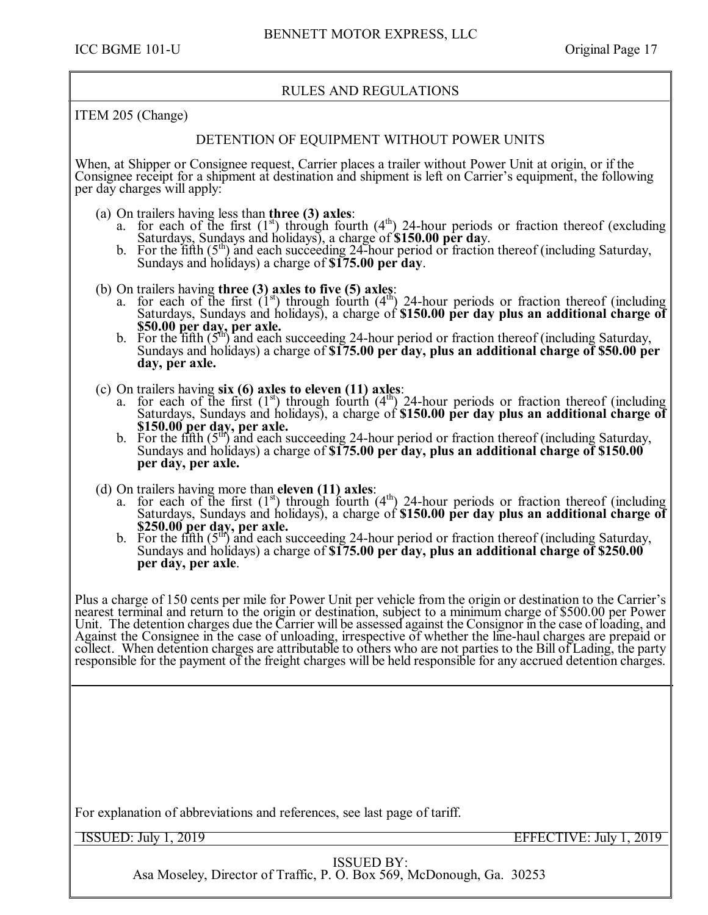ITEM 205 (Change)

## DETENTION OF EQUIPMENT WITHOUT POWER UNITS

When, at Shipper or Consignee request, Carrier places a trailer without Power Unit at origin, or if the Consignee receipt for a shipment at destination and shipment is left on Carrier's equipment, the following per day charges will apply:

- (a) On trailers having less than **three (3) axles**:
	- a. for each of the first  $(1<sup>st</sup>)$  through fourth  $(4<sup>th</sup>)$  24-hour periods or fraction thereof (excluding Saturdays, Sundays and holidays), a charge of **\$150.00 per da**y.
	- b. For the fifth (5<sup>th</sup>) and each succeeding 24-hour period or fraction thereof (including Saturday, Sundays and holidays) a charge of **\$175.00 per day**.
- (b) On trailers having **three (3) axles to five (5) axles**:
	- a. for each of the first  $(1^s)$  through fourth  $(4^{\text{th}})$  24-hour periods or fraction thereof (including Saturdays, Sundays and holidays), a charge of **\$150.00 per day plus an additional charge of \$50.00 per day, per axle.**
	- b. For the fifth  $(5<sup>th</sup>)$  and each succeeding 24-hour period or fraction thereof (including Saturday, Sundays and holidays) a charge of **\$175.00 per day, plus an additional charge of \$50.00 per day, per axle.**
- (c) On trailers having **six (6) axles to eleven (11) axles**:
	- a. for each of the first  $(1^s)$  through fourth  $(4^{\text{th}})$  24-hour periods or fraction thereof (including Saturdays, Sundays and holidays), a charge of **\$150.00 per day plus an additional charge of \$150.00 per day, per axle.**
	- b. For the fifth (5<sup>th</sup>) and each succeeding 24-hour period or fraction thereof (including Saturday, Sundays and holidays) a charge of **\$175.00 per day, plus an additional charge of \$150.00 per day, per axle.**
- (d) On trailers having more than **eleven (11) axles**:
	- a. for each of the first  $(1<sup>st</sup>)$  through fourth  $(4<sup>th</sup>)$  24-hour periods or fraction thereof (including Saturdays, Sundays and holidays), a charge of **\$150.00 per day plus an additional charge of \$250.00 per day, per axle.**
	- b. For the fifth (5<sup>th</sup>) and each succeeding 24-hour period or fraction thereof (including Saturday, Sundays and holidays) a charge of **\$175.00 per day, plus an additional charge of \$250.00 per day, per axle**.

Plus a charge of 150 cents per mile for Power Unit per vehicle from the origin or destination to the Carrier's nearest terminal and return to the origin or destination, subject to a minimum charge of \$500.00 per Power Unit. The detention charges due the Carrier will be assessed against the Consignor in the case of loading, and Against the Consignee in the case of unloading, irrespective of whether the line-haul charges are prepaid or collect. When detention charges are attributable to others who are not parties to the Bill of Lading, the party responsible for the payment of the freight charges will be held responsible for any accrued detention charges.

For explanation of abbreviations and references, see last page of tariff.

ISSUED: July 1, 2019 EFFECTIVE: July 1, 2019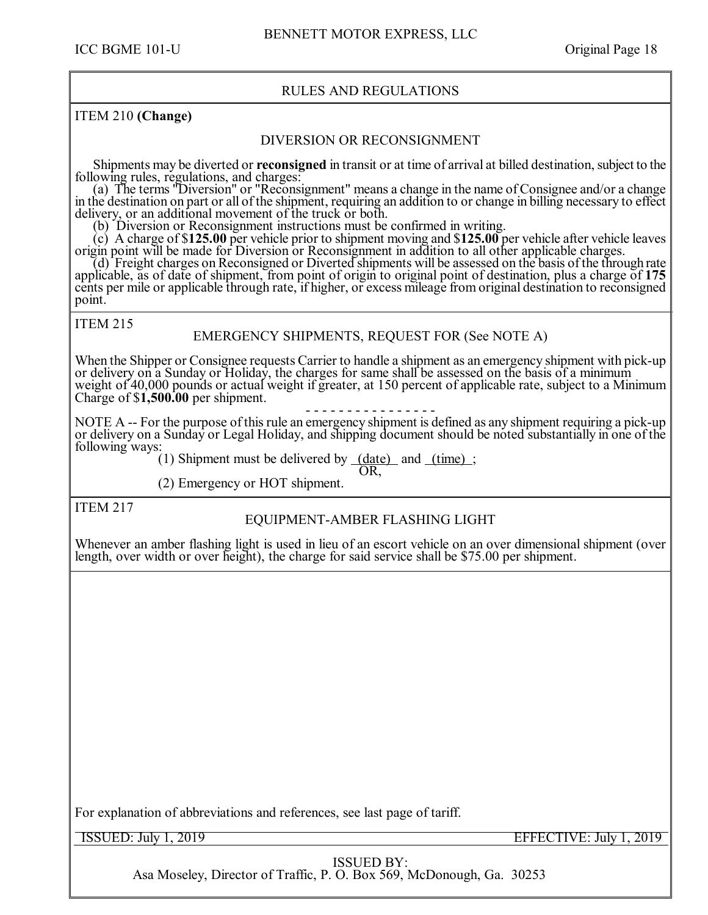ITEM 210 **(Change)**

## DIVERSION OR RECONSIGNMENT

 Shipments may be diverted or **reconsigned** in transit or at time of arrival at billed destination, subject to the following rules, regulations, and charges:

 (a) The terms "Diversion" or "Reconsignment" means a change in the name of Consignee and/or a change in the destination on part or all of the shipment, requiring an addition to or change in billing necessary to effect delivery, or an additional movement of the truck or both.

(b) Diversion or Reconsignment instructions must be confirmed in writing.

 (c) A charge of \$**125.00** per vehicle prior to shipment moving and \$**125.00** per vehicle after vehicle leaves origin point will be made for Diversion or Reconsignment in addition to all other applicable charges.

 (d) Freight charges on Reconsigned or Diverted shipments will be assessed on the basis of the through rate applicable, as of date of shipment, from point of origin to original point of destination, plus a charge of **175** cents per mile or applicable through rate, if higher, or excess mileage from original destination to reconsigned point.

ITEM 215

## EMERGENCY SHIPMENTS, REQUEST FOR (See NOTE A)

When the Shipper or Consignee requests Carrier to handle a shipment as an emergency shipment with pick-up or delivery on a Sunday or Holiday, the charges for same shall be assessed on the basis of a minimum weight of 40,000 pounds or actual weight if greater, at 150 percent of applicable rate, subject to a Minimum Charge of \$**1,500.00** per shipment.

- - - - - - - - - - - - - - - - NOTE A -- For the purpose of this rule an emergency shipment is defined as any shipment requiring a pick-up or delivery on a Sunday or Legal Holiday, and shipping document should be noted substantially in one of the following ways:

(1) Shipment must be delivered by (date) and (time) ; OR,

(2) Emergency or HOT shipment.

ITEM 217

## EQUIPMENT-AMBER FLASHING LIGHT

Whenever an amber flashing light is used in lieu of an escort vehicle on an over dimensional shipment (over length, over width or over height), the charge for said service shall be \$75.00 per shipment.

For explanation of abbreviations and references, see last page of tariff.

ISSUED: July 1, 2019 EFFECTIVE: July 1, 2019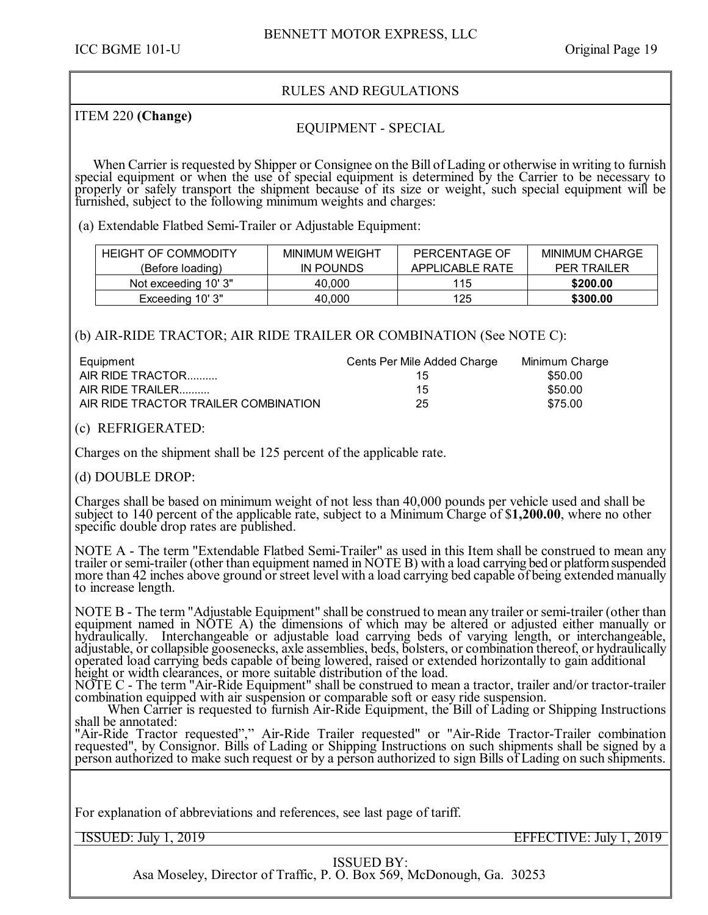ITEM 220 **(Change)**

## EQUIPMENT - SPECIAL

 When Carrier is requested by Shipper or Consignee on the Bill of Lading or otherwise in writing to furnish special equipment or when the use of special equipment is determined by the Carrier to be necessary to properly or safely transport the shipment because of its size or weight, such special equipment will be furnished, subject to the following minimum weights and charges:

(a) Extendable Flatbed Semi-Trailer or Adjustable Equipment:

| <b>HEIGHT OF COMMODITY</b> | MINIMUM WEIGHT | PERCENTAGE OF   | <b>MINIMUM CHARGE</b> |
|----------------------------|----------------|-----------------|-----------------------|
| (Before loading)           | IN POUNDS      | APPLICABLE RATE | PFR TRAILER           |
| Not exceeding 10' 3"       | 40.000         | 115             | \$200.00              |
| Exceeding 10' 3"           | 40.000         | 125             | \$300.00              |

## (b) AIR-RIDE TRACTOR; AIR RIDE TRAILER OR COMBINATION (See NOTE C):

| Equipment                            | Cents Per Mile Added Charge | Minimum Charge |
|--------------------------------------|-----------------------------|----------------|
| AIR RIDE TRACTOR                     | 15                          | \$50.00        |
| AIR RIDE TRAILER                     | 15                          | \$50.00        |
| AIR RIDE TRACTOR TRAILER COMBINATION | 25                          | \$75.00        |

(c) REFRIGERATED:

Charges on the shipment shall be 125 percent of the applicable rate.

(d) DOUBLE DROP:

Charges shall be based on minimum weight of not less than 40,000 pounds per vehicle used and shall be subject to 140 percent of the applicable rate, subject to a Minimum Charge of \$**1,200.00**, where no other specific double drop rates are published.

NOTE A - The term "Extendable Flatbed Semi-Trailer" as used in this Item shall be construed to mean any trailer or semi-trailer (other than equipment named in NOTE B) with a load carrying bed or platform suspended more than 42 inches above ground or street level with a load carrying bed capable of being extended manually to increase length.

NOTE B - The term "Adjustable Equipment" shall be construed to mean any trailer or semi-trailer (other than equipment named in NOTE A) the dimensions of which may be altered or adjusted either manually or hydraulically. Interchangeable or adjustable load carrying beds of varying length, or interchangeable, adjustable, or collapsible goosenecks, axle assemblies, beds, bolsters, or combination thereof, or hydraulically operated load carrying beds capable of being lowered, raised or extended horizontally to gain additional height or width clearances, or more suitable distribution of the load.

NOTE C - The term "Air-Ride Equipment" shall be construed to mean a tractor, trailer and/or tractor-trailer combination equipped with air suspension or comparable soft or easy ride suspension.

When Carrier is requested to furnish Air-Ride Equipment, the Bill of Lading or Shipping Instructions shall be annotated:

"Air-Ride Tractor requested"," Air-Ride Trailer requested" or "Air-Ride Tractor-Trailer combination requested", by Consignor. Bills of Lading or Shipping Instructions on such shipments shall be signed by a person authorized to make such request or by a person authorized to sign Bills of Lading on such shipments.

For explanation of abbreviations and references, see last page of tariff.

ISSUED: July 1, 2019 EFFECTIVE: July 1, 2019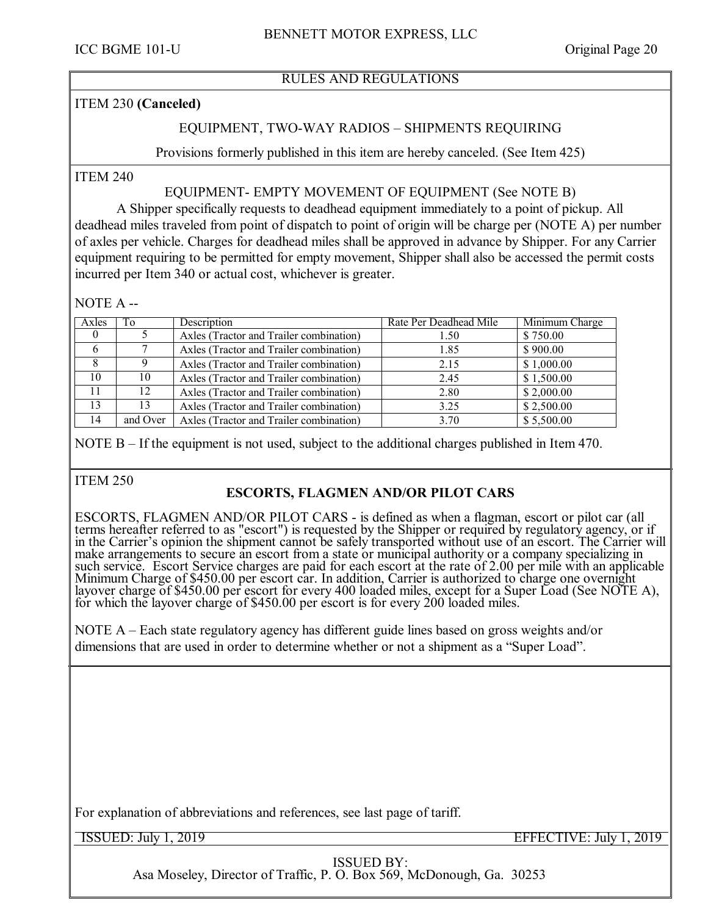## ITEM 230 **(Canceled)**

## EQUIPMENT, TWO-WAY RADIOS – SHIPMENTS REQUIRING

Provisions formerly published in this item are hereby canceled. (See Item 425)

ITEM 240

## EQUIPMENT- EMPTY MOVEMENT OF EQUIPMENT (See NOTE B)

 A Shipper specifically requests to deadhead equipment immediately to a point of pickup. All deadhead miles traveled from point of dispatch to point of origin will be charge per (NOTE A) per number of axles per vehicle. Charges for deadhead miles shall be approved in advance by Shipper. For any Carrier equipment requiring to be permitted for empty movement, Shipper shall also be accessed the permit costs incurred per Item 340 or actual cost, whichever is greater.

NOTE A --

| Axles | 10       | Description                             | Rate Per Deadhead Mile | Minimum Charge |
|-------|----------|-----------------------------------------|------------------------|----------------|
| 0     |          | Axles (Tractor and Trailer combination) | 1.50                   | \$750.00       |
| 6     |          | Axles (Tractor and Trailer combination) | 1.85                   | \$900.00       |
| 8     |          | Axles (Tractor and Trailer combination) | 2.15                   | \$1,000.00     |
| 10    | 10       | Axles (Tractor and Trailer combination) | 2.45                   | \$1,500.00     |
| 11    | 12       | Axles (Tractor and Trailer combination) | 2.80                   | \$2,000.00     |
| 13    | 13       | Axles (Tractor and Trailer combination) | 3.25                   | \$2,500.00     |
| 14    | and Over | Axles (Tractor and Trailer combination) | 3.70                   | \$5,500.00     |

NOTE B – If the equipment is not used, subject to the additional charges published in Item 470.

ITEM 250

# **ESCORTS, FLAGMEN AND/OR PILOT CARS**

ESCORTS, FLAGMEN AND/OR PILOT CARS - is defined as when a flagman, escort or pilot car (all terms hereafter referred to as "escort") is requested by the Shipper or required by regulatory agency, or if in the Carrier's opinion the shipment cannot be safely transported without use of an escort. The Carrier will make arrangements to secure an escort from a state or municipal authority or a company specializing in such service. Escort Service charges are paid for each escort at the rate of 2.00 per mile with an applicable Minimum Charge of \$450.00 per escort car. In addition, Carrier is authorized to charge one overnight layover charge of \$450.00 per escort for every 400 loaded miles, except for a Super Load (See NOTE A), for which the layover charge of \$450.00 per escort is for every 200 loaded miles.

NOTE A – Each state regulatory agency has different guide lines based on gross weights and/or dimensions that are used in order to determine whether or not a shipment as a "Super Load".

For explanation of abbreviations and references, see last page of tariff.

ISSUED: July 1, 2019 EFFECTIVE: July 1, 2019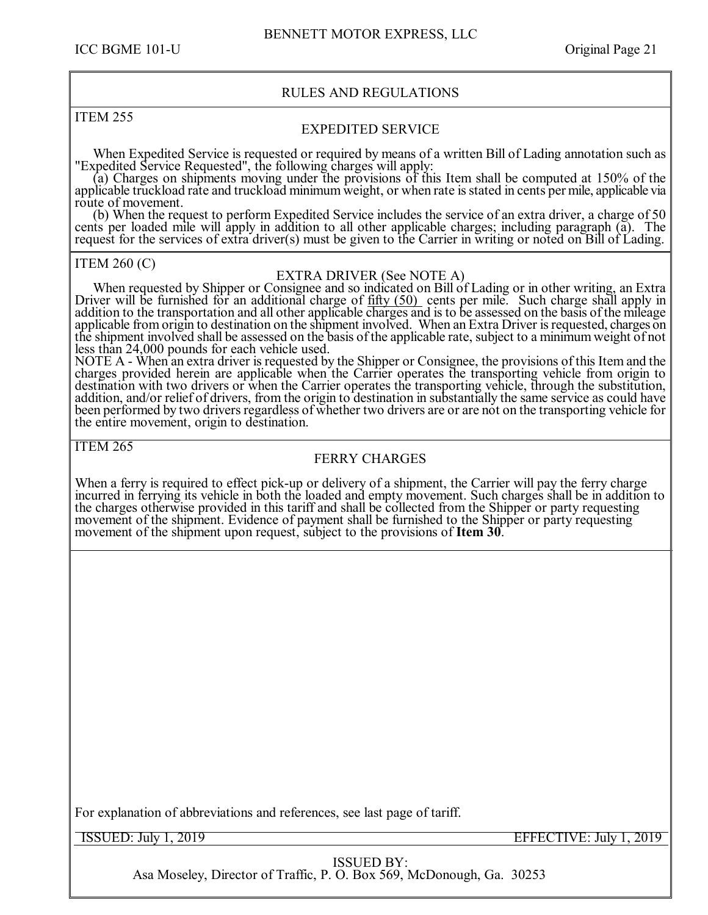ITEM 255

## EXPEDITED SERVICE

 When Expedited Service is requested or required by means of a written Bill of Lading annotation such as "Expedited Service Requested", the following charges will apply:

 (a) Charges on shipments moving under the provisions of this Item shall be computed at 150% of the applicable truckload rate and truckload minimum weight, or when rate is stated in cents per mile, applicable via route of movement.

 (b) When the request to perform Expedited Service includes the service of an extra driver, a charge of 50 cents per loaded mile will apply in addition to all other applicable charges; including paragraph (a). The request for the services of extra driver(s) must be given to the Carrier in writing or noted on Bill of Lading.

#### ITEM 260 (C)

## EXTRA DRIVER (See NOTE A)

 When requested by Shipper or Consignee and so indicated on Bill of Lading or in other writing, an Extra Driver will be furnished for an additional charge of fifty (50) cents per mile. Such charge shall apply in addition to the transportation and all other applicable charges and is to be assessed on the basis of the mileage applicable from origin to destination on the shipment involved. When an Extra Driver is requested, charges on the shipment involved shall be assessed on the basis of the applicable rate, subject to a minimum weight of not less than 24,000 pounds for each vehicle used.

NOTE A - When an extra driver is requested by the Shipper or Consignee, the provisions of this Item and the charges provided herein are applicable when the Carrier operates the transporting vehicle from origin to destination with two drivers or when the Carrier operates the transporting vehicle, through the substitution, addition, and/or relief of drivers, from the origin to destination in substantially the same service as could have been performed by two drivers regardless of whether two drivers are or are not on the transporting vehicle for the entire movement, origin to destination.

### ITEM 265

#### FERRY CHARGES

When a ferry is required to effect pick-up or delivery of a shipment, the Carrier will pay the ferry charge incurred in ferrying its vehicle in both the loaded and empty movement. Such charges shall be in addition to the charges otherwise provided in this tariff and shall be collected from the Shipper or party requesting movement of the shipment. Evidence of payment shall be furnished to the Shipper or party requesting movement of the shipment upon request, subject to the provisions of **Item 30**.

For explanation of abbreviations and references, see last page of tariff.

ISSUED: July 1, 2019 EFFECTIVE: July 1, 2019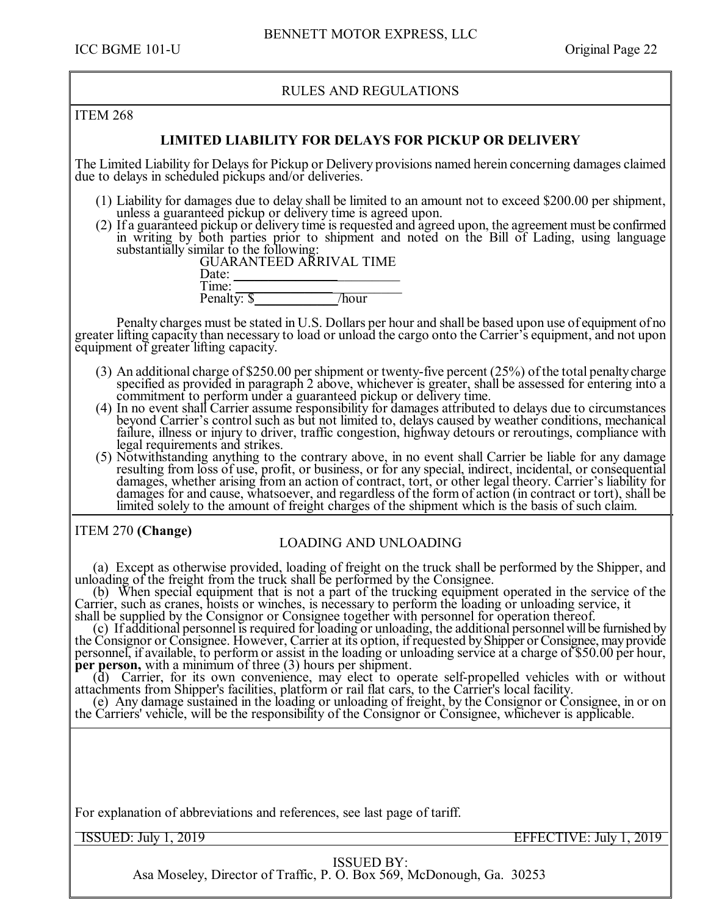ITEM 268

#### **LIMITED LIABILITY FOR DELAYS FOR PICKUP OR DELIVERY**

The Limited Liability for Delays for Pickup or Delivery provisions named herein concerning damages claimed due to delays in scheduled pickups and/or deliveries.

- (1) Liability for damages due to delay shall be limited to an amount not to exceed \$200.00 per shipment, unless a guaranteed pickup or delivery time is agreed upon.
- (2) If a guaranteed pickup or delivery time is requested and agreed upon, the agreement must be confirmed in writing by both parties prior to shipment and noted on the Bill of Lading, using language substantially similar to the following:

| <b>GUARANTEED ARRIVAL TIME</b> |       |
|--------------------------------|-------|
| Date:                          |       |
| Time:                          |       |
| Penalty: $\sqrt{s}$            | hour/ |

 Penalty charges must be stated in U.S. Dollars per hour and shall be based upon use of equipment of no greater lifting capacity than necessary to load or unload the cargo onto the Carrier's equipment, and not upon equipment of greater lifting capacity.

- (3) An additional charge of \$250.00 per shipment or twenty-five percent (25%) of the total penalty charge specified as provided in paragraph 2 above, whichever is greater, shall be assessed for entering into a commitment to perform under a guaranteed pickup or delivery time.
- (4) In no event shall Carrier assume responsibility for damages attributed to delays due to circumstances beyond Carrier's control such as but not limited to, delays caused by weather conditions, mechanical failure, illness or injury to driver, traffic congestion, highway detours or reroutings, compliance with legal requirements and strikes.
- (5) Notwithstanding anything to the contrary above, in no event shall Carrier be liable for any damage resulting from loss of use, profit, or business, or for any special, indirect, incidental, or consequential damages, whether arising from an action of contract, tort, or other legal theory. Carrier's liability for damages for and cause, whatsoever, and regardless of the form of action (in contract or tort), shall be limited solely to the amount of freight charges of the shipment which is the basis of such claim.

ITEM 270 **(Change)** 

## LOADING AND UNLOADING

 (a) Except as otherwise provided, loading of freight on the truck shall be performed by the Shipper, and unloading of the freight from the truck shall be performed by the Consignee.

 (b) When special equipment that is not a part of the trucking equipment operated in the service of the Carrier, such as cranes, hoists or winches, is necessary to perform the loading or unloading service, it shall be supplied by the Consignor or Consignee together with personnel for operation thereof.

 (c) If additional personnel is required for loading or unloading, the additional personnel will be furnished by the Consignor or Consignee. However, Carrier at its option, if requested by Shipper or Consignee, may provide personnel, if available, to perform or assist in the loading or unloading service at a charge of \$50.00 per hour, **per person,** with a minimum of three (3) hours per shipment.

 (d) Carrier, for its own convenience, may elect to operate self-propelled vehicles with or without attachments from Shipper's facilities, platform or rail flat cars, to the Carrier's local facility.

 (e) Any damage sustained in the loading or unloading of freight, by the Consignor or Consignee, in or on the Carriers' vehicle, will be the responsibility of the Consignor or Consignee, whichever is applicable.

For explanation of abbreviations and references, see last page of tariff.

ISSUED: July 1, 2019 EFFECTIVE: July 1, 2019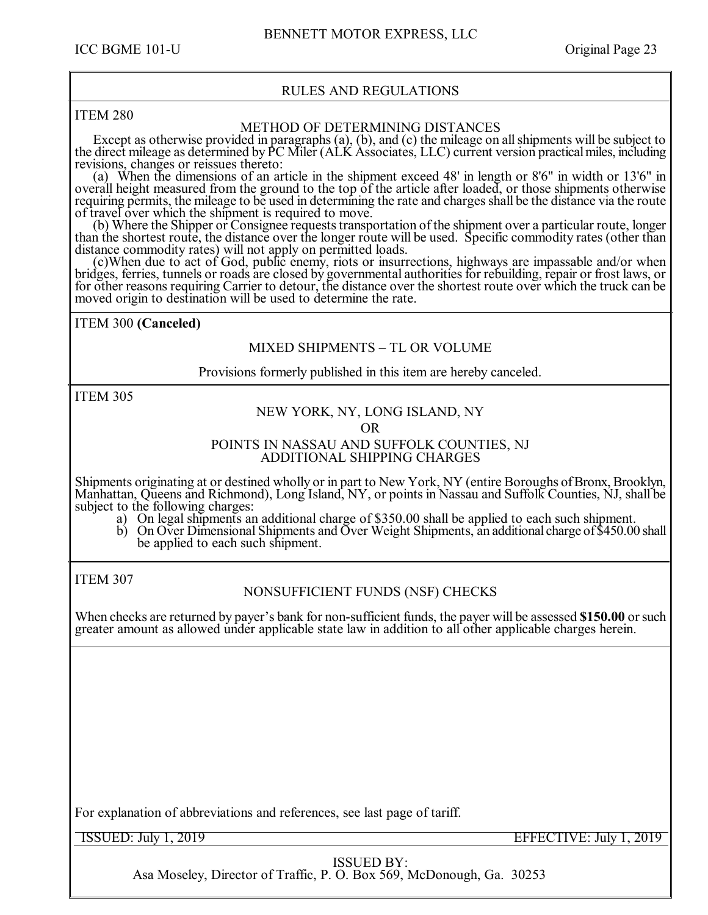#### ITEM 280

#### METHOD OF DETERMINING DISTANCES

 Except as otherwise provided in paragraphs (a), (b), and (c) the mileage on all shipments will be subject to the direct mileage as determined by PC Miler (ALK Associates, LLC) current version practical miles, including revisions, changes or reissues thereto:

 (a) When the dimensions of an article in the shipment exceed 48' in length or 8'6" in width or 13'6" in overall height measured from the ground to the top of the article after loaded, or those shipments otherwise requiring permits, the mileage to be used in determining the rate and charges shall be the distance via the route of travel over which the shipment is required to move.

 (b) Where the Shipper or Consignee requests transportation of the shipment over a particular route, longer than the shortest route, the distance over the longer route will be used. Specific commodity rates (other than distance commodity rates) will not apply on permitted loads.

 (c)When due to act of God, public enemy, riots or insurrections, highways are impassable and/or when bridges, ferries, tunnels or roads are closed by governmental authorities for rebuilding, repair or frost laws, or for other reasons requiring Carrier to detour, the distance over the shortest route over which the truck can be moved origin to destination will be used to determine the rate.

ITEM 300 **(Canceled)**

## MIXED SHIPMENTS – TL OR VOLUME

Provisions formerly published in this item are hereby canceled.

ITEM 305

## NEW YORK, NY, LONG ISLAND, NY

OR

## POINTS IN NASSAU AND SUFFOLK COUNTIES, NJ ADDITIONAL SHIPPING CHARGES

Shipments originating at or destined wholly or in part to New York, NY (entire Boroughs of Bronx, Brooklyn, Manhattan, Queens and Richmond), Long Island, NY, or points in Nassau and Suffolk Counties, NJ, shall be subject to the following charges:

- a) On legal shipments an additional charge of \$350.00 shall be applied to each such shipment.
- b) On Over Dimensional Shipments and Over Weight Shipments, an additional charge of \$450.00 shall be applied to each such shipment.

ITEM 307

## NONSUFFICIENT FUNDS (NSF) CHECKS

When checks are returned by payer's bank for non-sufficient funds, the payer will be assessed **\$150.00** or such greater amount as allowed under applicable state law in addition to all other applicable charges herein.

For explanation of abbreviations and references, see last page of tariff.

ISSUED: July 1, 2019 EFFECTIVE: July 1, 2019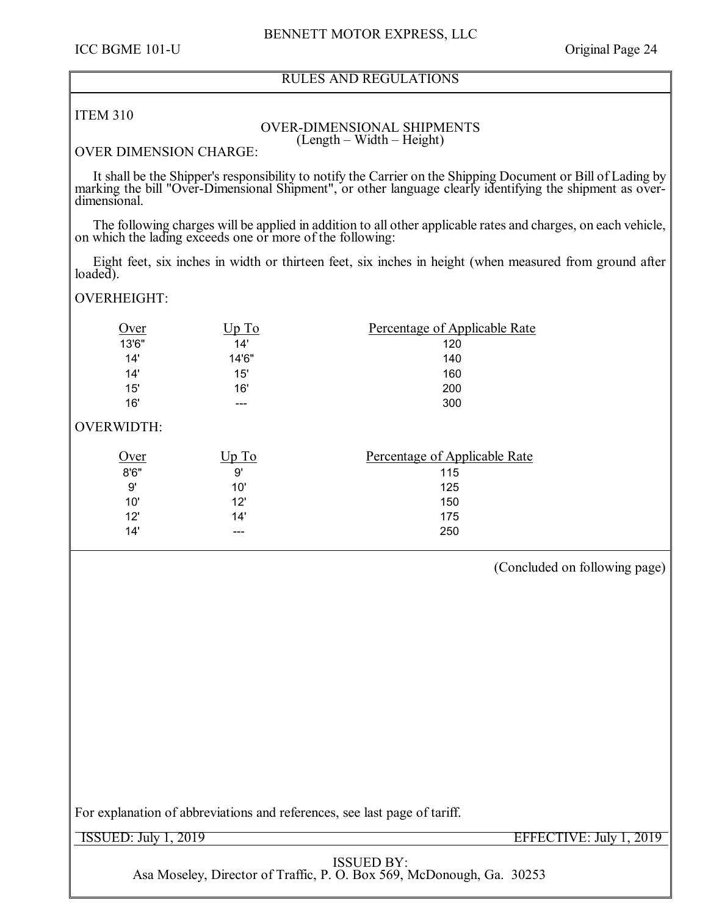ITEM 310

#### OVER-DIMENSIONAL SHIPMENTS (Length – Width – Height)

## OVER DIMENSION CHARGE:

 It shall be the Shipper's responsibility to notify the Carrier on the Shipping Document or Bill of Lading by marking the bill "Over-Dimensional Shipment", or other language clearly identifying the shipment as overdimensional.

 The following charges will be applied in addition to all other applicable rates and charges, on each vehicle, on which the lading exceeds one or more of the following:

 Eight feet, six inches in width or thirteen feet, six inches in height (when measured from ground after loaded).

OVERHEIGHT:

| ) ver | To    | Percentage of Applicable Rate |
|-------|-------|-------------------------------|
| 13'6" | 14'   | 120                           |
| 14'   | 14'6" | 140                           |
| 14'   | 15'   | 160                           |
| 15'   | 16'   | 200                           |
| 16'   | ---   | 300                           |

OVERWIDTH:

| )ver  |     | Percentage of Applicable Rate |
|-------|-----|-------------------------------|
| 8'6'' | 9'  | 115                           |
| 9'    | 10' | 125                           |
| 10'   | 12' | 150                           |
| 12'   | 14' | 175                           |
| 14'   | --- | 250                           |

(Concluded on following page)

For explanation of abbreviations and references, see last page of tariff.

ISSUED: July 1, 2019 EFFECTIVE: July 1, 2019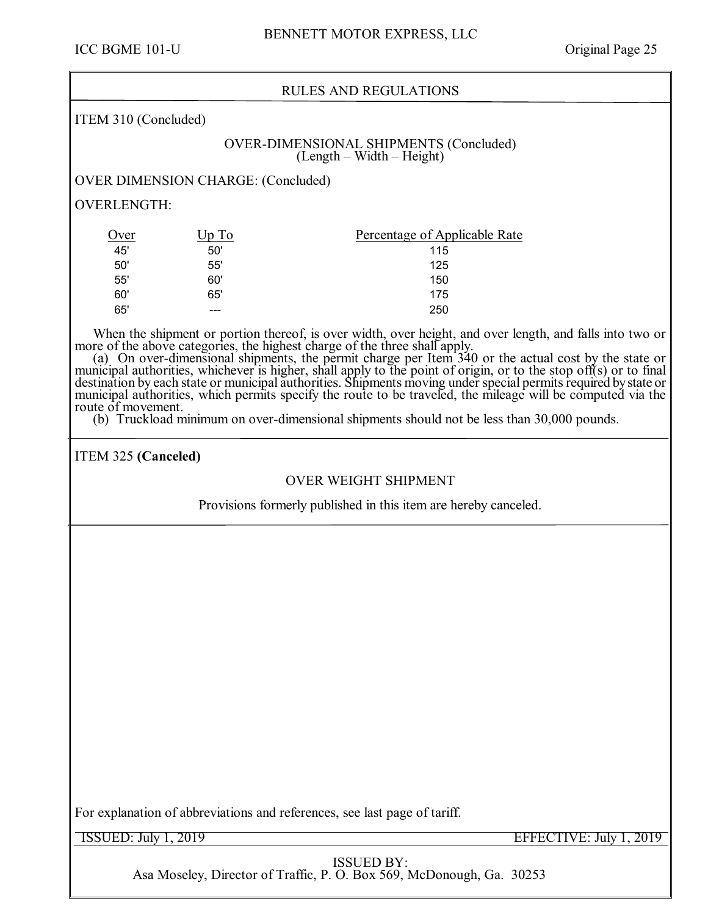ITEM 310 (Concluded)

#### OVER-DIMENSIONAL SHIPMENTS (Concluded) (Length – Width – Height)

## OVER DIMENSION CHARGE: (Concluded)

## OVERLENGTH:

| Over | Jp To | Percentage of Applicable Rate |
|------|-------|-------------------------------|
| 45'  | 50'   | 115                           |
| 50'  | 55'   | 125                           |
| 55'  | 60'   | 150                           |
| 60'  | 65'   | 175                           |
| 65'  |       | 250                           |

 When the shipment or portion thereof, is over width, over height, and over length, and falls into two or more of the above categories, the highest charge of the three shall apply.

 (a) On over-dimensional shipments, the permit charge per Item 340 or the actual cost by the state or municipal authorities, whichever is higher, shall apply to the point of origin, or to the stop off(s) or to final destination by each state or municipal authorities. Shipments moving under special permits required by state or municipal authorities, which permits specify the route to be traveled, the mileage will be computed via the route of movement.

(b) Truckload minimum on over-dimensional shipments should not be less than 30,000 pounds.

## ITEM 325 **(Canceled)**

## OVER WEIGHT SHIPMENT

Provisions formerly published in this item are hereby canceled.

For explanation of abbreviations and references, see last page of tariff.

ISSUED: July 1, 2019 EFFECTIVE: July 1, 2019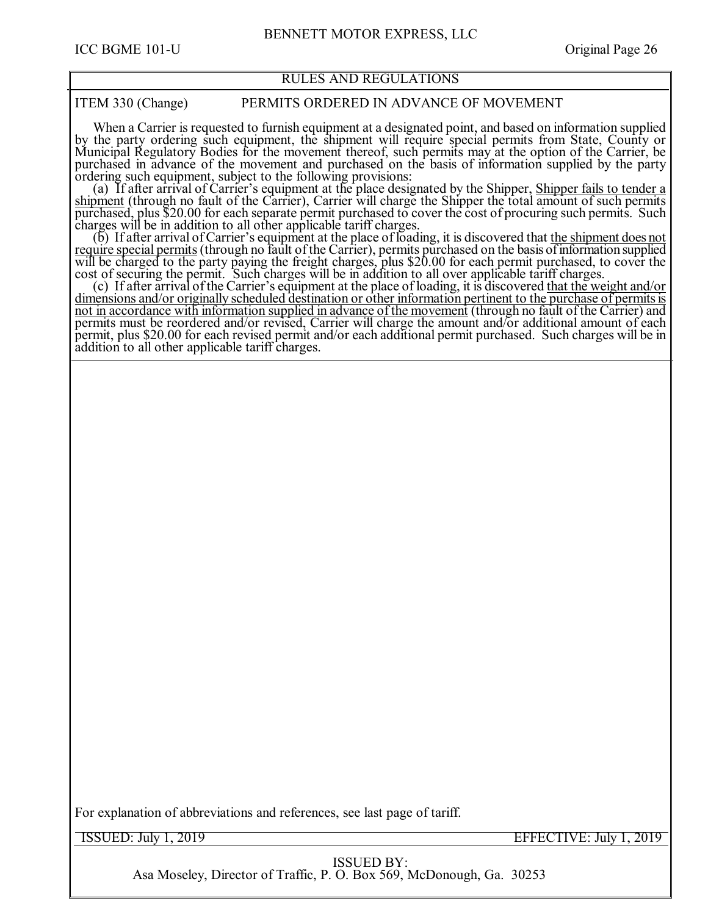#### ITEM 330 (Change) PERMITS ORDERED IN ADVANCE OF MOVEMENT

When a Carrier is requested to furnish equipment at a designated point, and based on information supplied by the party ordering such equipment, the shipment will require special permits from State, County or Municipal Regulatory Bodies for the movement thereof, such permits may at the option of the Carrier, be purchased in advance of the movement and purchased on the basis of information supplied by the party ordering such equipment, subject to the following provisions:

 (a) If after arrival of Carrier's equipment at the place designated by the Shipper, Shipper fails to tender a shipment (through no fault of the Carrier), Carrier will charge the Shipper the total amount of such permits purchased, plus \$20.00 for each separate permit purchased to cover the cost of procuring such permits. Such charges will be in addition to all other applicable tariff charges.

 (b) If after arrival of Carrier's equipment at the place of loading, it is discovered that the shipment does not require special permits (through no fault of the Carrier), permits purchased on the basis of information supplied will be charged to the party paying the freight charges, plus \$20.00 for each permit purchased, to cover the cost of securing the permit. Such charges will be in addition to all over applicable tariff charges.

 (c) If after arrival of the Carrier's equipment at the place of loading, it is discovered that the weight and/or dimensions and/or originally scheduled destination or other information pertinent to the purchase of permits is not in accordance with information supplied in advance of the movement (through no fault of the Carrier) and permits must be reordered and/or revised, Carrier will charge the amount and/or additional amount of each permit, plus \$20.00 for each revised permit and/or each additional permit purchased. Such charges will be in addition to all other applicable tariff charges.

For explanation of abbreviations and references, see last page of tariff.

ISSUED: July 1, 2019 EFFECTIVE: July 1, 2019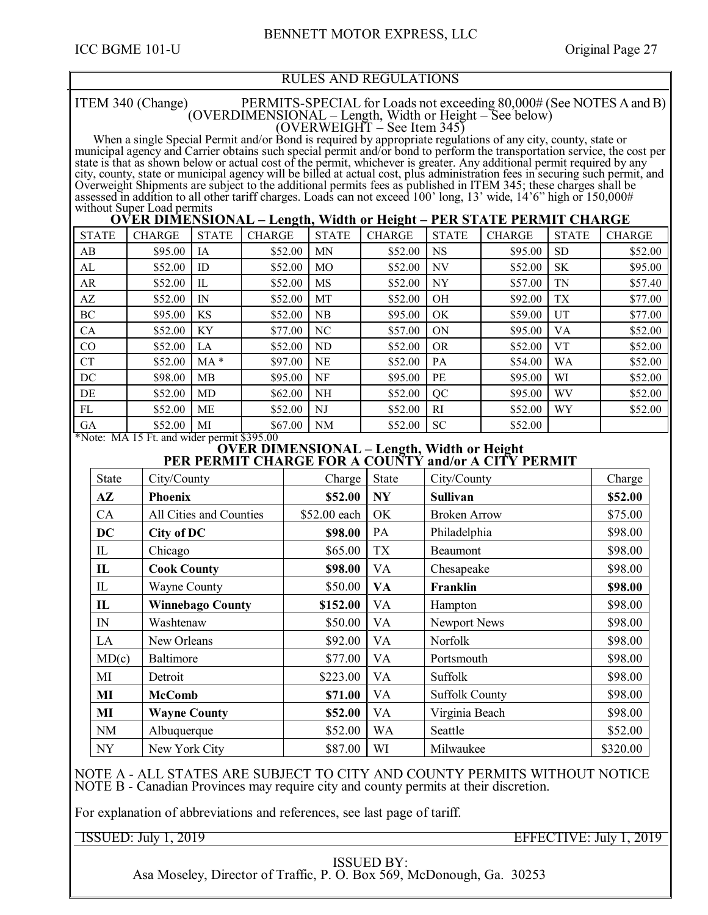## ITEM 340 (Change) PERMITS-SPECIAL for Loads not exceeding 80,000# (See NOTES A and B) (OVERDIMENSIONAL – Length, Width or Height – See below)

#### (OVERWEIGHT – See Item 345)

 When a single Special Permit and/or Bond is required by appropriate regulations of any city, county, state or municipal agency and Carrier obtains such special permit and/or bond to perform the transportation service, the cost per state is that as shown below or actual cost of the permit, whichever is greater. Any additional permit required by any city, county, state or municipal agency will be billed at actual cost, plus administration fees in securing such permit, and Overweight Shipments are subject to the additional permits fees as published in ITEM 345; these charges shall be assessed in addition to all other tariff charges. Loads can not exceed 100' long, 13' wide, 14'6" high or 150,000# without Super Load permits

#### **OVER DIMENSIONAL – Length, Width or Height – PER STATE PERMIT CHARGE**

| <b>STATE</b> | <b>CHARGE</b>                              | <b>STATE</b> | <b>CHARGE</b> | <b>STATE</b> | <b>CHARGE</b> | <b>STATE</b> | <b>CHARGE</b> | <b>STATE</b> | <b>CHARGE</b> |
|--------------|--------------------------------------------|--------------|---------------|--------------|---------------|--------------|---------------|--------------|---------------|
| AB           | \$95.00                                    | IA           | \$52.00       | MN           | \$52.00       | <b>NS</b>    | \$95.00       | <b>SD</b>    | \$52.00       |
| AL           | \$52.00                                    | ID           | \$52.00       | <b>MO</b>    | \$52.00       | NV           | \$52.00       | SK           | \$95.00       |
| AR           | \$52.00                                    | IL           | \$52.00       | MS           | \$52.00       | NY           | \$57.00       | TN           | \$57.40       |
| AZ           | \$52.00                                    | $\mathbb{N}$ | \$52.00       | MT           | \$52.00       | <b>OH</b>    | \$92.00       | TX           | \$77.00       |
| BC           | \$95.00                                    | KS.          | \$52.00       | NB           | \$95.00       | OK.          | \$59.00       | UT           | \$77.00       |
| CA           | \$52.00                                    | KY           | \$77.00       | NC           | \$57.00       | <b>ON</b>    | \$95.00       | VA           | \$52.00       |
| CO           | \$52.00                                    | LA           | \$52.00       | <b>ND</b>    | \$52.00       | <b>OR</b>    | \$52.00       | <b>VT</b>    | \$52.00       |
| <b>CT</b>    | \$52.00                                    | $MA*$        | \$97.00       | NE           | \$52.00       | PA           | \$54.00       | <b>WA</b>    | \$52.00       |
| DC           | \$98.00                                    | MB           | \$95.00       | NF           | \$95.00       | PE           | \$95.00       | WI           | \$52.00       |
| DE           | \$52.00                                    | MD           | \$62.00       | NH           | \$52.00       | QC           | \$95.00       | WV           | \$52.00       |
| FL           | \$52.00                                    | <b>ME</b>    | \$52.00       | NJ           | \$52.00       | RI.          | \$52.00       | WY           | \$52.00       |
| GA           | \$52.00                                    | MI           | \$67.00       | NM           | \$52.00       | <b>SC</b>    | \$52.00       |              |               |
|              | *Note: MA 15 Ft. and wider permit \$395.00 |              |               |              |               |              |               |              |               |

#### **OVER DIMENSIONAL – Length, Width or Height PER PERMIT CHARGE FOR A COUNTY and/or A CITY PERMIT**

| <b>State</b>  | City/County             | Charge       | <b>State</b> | City/County           | Charge   |
|---------------|-------------------------|--------------|--------------|-----------------------|----------|
| $A\mathbf{Z}$ | <b>Phoenix</b>          | \$52.00      | <b>NY</b>    | <b>Sullivan</b>       | \$52.00  |
| CA            | All Cities and Counties | \$52.00 each | OK           | Broken Arrow          | \$75.00  |
| DC            | City of DC              | \$98.00      | PA           | Philadelphia          | \$98.00  |
| $\mathbb{L}$  | Chicago                 | \$65.00      | <b>TX</b>    | <b>Beaumont</b>       | \$98.00  |
| $\mathbf{L}$  | <b>Cook County</b>      | \$98.00      | VA           | Chesapeake            | \$98.00  |
| $\mathbb{L}$  | <b>Wayne County</b>     | \$50.00      | VA           | Franklin              | \$98.00  |
| ${\bf I}$     | <b>Winnebago County</b> | \$152.00     | VA           | Hampton               | \$98.00  |
| $\mathbb{N}$  | Washtenaw               | \$50.00      | VA           | Newport News          | \$98.00  |
| LA            | New Orleans             | \$92.00      | VA           | Norfolk               | \$98.00  |
| MD(c)         | Baltimore               | \$77.00      | VA           | Portsmouth            | \$98.00  |
| MI            | Detroit                 | \$223.00     | VA           | Suffolk               | \$98.00  |
| MI            | <b>McComb</b>           | \$71.00      | VA           | <b>Suffolk County</b> | \$98.00  |
| MI            | <b>Wayne County</b>     | \$52.00      | VA           | Virginia Beach        | \$98.00  |
| <b>NM</b>     | Albuquerque             | \$52.00      | <b>WA</b>    | Seattle               | \$52.00  |
| NY            | New York City           | \$87.00      | WI           | Milwaukee             | \$320.00 |

NOTE A - ALL STATES ARE SUBJECT TO CITY AND COUNTY PERMITS WITHOUT NOTICE NOTE B - Canadian Provinces may require city and county permits at their discretion.

For explanation of abbreviations and references, see last page of tariff.

ISSUED: July 1, 2019 EFFECTIVE: July 1, 2019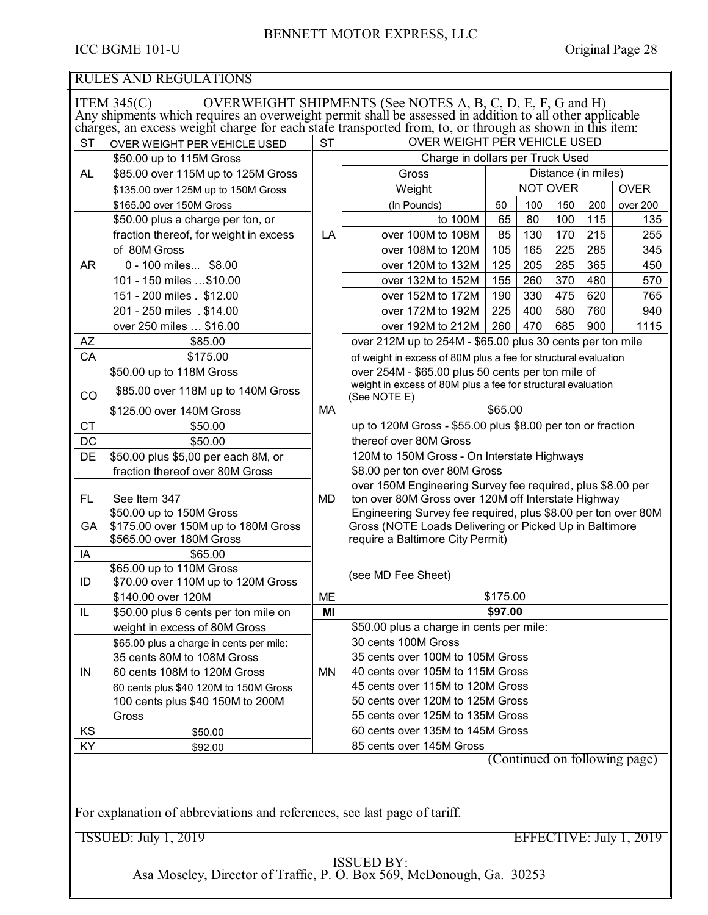|           | ITEM $345(C)$<br>Any shipments which requires an overweight permit shall be assessed in addition to all other applicable                |           | OVERWEIGHT SHIPMENTS (See NOTES A, B, C, D, E, F, G and H)                                                              |          |     |                     |     |             |
|-----------|-----------------------------------------------------------------------------------------------------------------------------------------|-----------|-------------------------------------------------------------------------------------------------------------------------|----------|-----|---------------------|-----|-------------|
| ST        | charges, an excess weight charge for each state transported from, to, or through as shown in this item:<br>OVER WEIGHT PER VEHICLE USED | <b>ST</b> | OVER WEIGHT PER VEHICLE USED                                                                                            |          |     |                     |     |             |
|           | \$50.00 up to 115M Gross                                                                                                                |           | Charge in dollars per Truck Used                                                                                        |          |     |                     |     |             |
| <b>AL</b> | \$85.00 over 115M up to 125M Gross                                                                                                      |           | Gross                                                                                                                   |          |     | Distance (in miles) |     |             |
|           | \$135.00 over 125M up to 150M Gross                                                                                                     |           | Weight                                                                                                                  |          |     | NOT OVER            |     | <b>OVER</b> |
|           | \$165.00 over 150M Gross                                                                                                                |           | (In Pounds)                                                                                                             | 50       | 100 | 150                 | 200 | over 200    |
|           | \$50.00 plus a charge per ton, or                                                                                                       |           | to 100M                                                                                                                 | 65       | 80  | 100                 | 115 | 135         |
|           | fraction thereof, for weight in excess                                                                                                  | LA        | over 100M to 108M                                                                                                       | 85       | 130 | 170                 | 215 | 255         |
|           | of 80M Gross                                                                                                                            |           | over 108M to 120M                                                                                                       | 105      | 165 | 225                 | 285 | 345         |
| AR        | 0 - 100 miles \$8.00                                                                                                                    |           | over 120M to 132M                                                                                                       | 125      | 205 | 285                 | 365 | 450         |
|           | 101 - 150 miles  \$10.00                                                                                                                |           | over 132M to 152M                                                                                                       | 155      | 260 | 370                 | 480 | 570         |
|           | 151 - 200 miles . \$12.00                                                                                                               |           | over 152M to 172M                                                                                                       | 190      | 330 | 475                 | 620 | 765         |
|           | 201 - 250 miles . \$14.00                                                                                                               |           | over 172M to 192M                                                                                                       | 225      | 400 | 580                 | 760 | 940         |
|           | over 250 miles  \$16.00                                                                                                                 |           | over 192M to 212M                                                                                                       | 260      | 470 | 685                 | 900 | 1115        |
| AZ        | \$85.00                                                                                                                                 |           | over 212M up to 254M - \$65.00 plus 30 cents per ton mile                                                               |          |     |                     |     |             |
| CA        | \$175.00                                                                                                                                |           | of weight in excess of 80M plus a fee for structural evaluation                                                         |          |     |                     |     |             |
|           | \$50.00 up to 118M Gross                                                                                                                |           | over 254M - \$65.00 plus 50 cents per ton mile of                                                                       |          |     |                     |     |             |
| CO        | \$85.00 over 118M up to 140M Gross                                                                                                      |           | weight in excess of 80M plus a fee for structural evaluation<br>(See NOTE E)                                            |          |     |                     |     |             |
|           | \$125.00 over 140M Gross                                                                                                                | MA        |                                                                                                                         | \$65.00  |     |                     |     |             |
| <b>CT</b> | \$50.00                                                                                                                                 |           | up to 120M Gross - \$55.00 plus \$8.00 per ton or fraction                                                              |          |     |                     |     |             |
| DC        | \$50.00                                                                                                                                 |           | thereof over 80M Gross                                                                                                  |          |     |                     |     |             |
| DE        | \$50.00 plus \$5,00 per each 8M, or                                                                                                     |           | 120M to 150M Gross - On Interstate Highways                                                                             |          |     |                     |     |             |
|           | fraction thereof over 80M Gross                                                                                                         |           | \$8.00 per ton over 80M Gross                                                                                           |          |     |                     |     |             |
|           |                                                                                                                                         |           | over 150M Engineering Survey fee required, plus \$8.00 per                                                              |          |     |                     |     |             |
| FL        | See Item 347                                                                                                                            | MD        | ton over 80M Gross over 120M off Interstate Highway                                                                     |          |     |                     |     |             |
| GA        | \$50.00 up to 150M Gross<br>\$175.00 over 150M up to 180M Gross                                                                         |           | Engineering Survey fee required, plus \$8.00 per ton over 80M<br>Gross (NOTE Loads Delivering or Picked Up in Baltimore |          |     |                     |     |             |
|           | \$565.00 over 180M Gross                                                                                                                |           | require a Baltimore City Permit)                                                                                        |          |     |                     |     |             |
| IA        | \$65.00                                                                                                                                 |           |                                                                                                                         |          |     |                     |     |             |
|           | \$65.00 up to 110M Gross                                                                                                                |           |                                                                                                                         |          |     |                     |     |             |
| ID        | \$70.00 over 110M up to 120M Gross                                                                                                      |           | (see MD Fee Sheet)                                                                                                      |          |     |                     |     |             |
|           | \$140.00 over 120M                                                                                                                      | ME        |                                                                                                                         | \$175.00 |     |                     |     |             |
| $\sf IL$  | \$50.00 plus 6 cents per ton mile on                                                                                                    | MI        |                                                                                                                         | \$97.00  |     |                     |     |             |
|           | weight in excess of 80M Gross                                                                                                           |           | \$50.00 plus a charge in cents per mile:                                                                                |          |     |                     |     |             |
|           | \$65.00 plus a charge in cents per mile:                                                                                                |           | 30 cents 100M Gross                                                                                                     |          |     |                     |     |             |
|           | 35 cents 80M to 108M Gross                                                                                                              |           | 35 cents over 100M to 105M Gross                                                                                        |          |     |                     |     |             |
| IN        | 60 cents 108M to 120M Gross                                                                                                             | ΜN        | 40 cents over 105M to 115M Gross                                                                                        |          |     |                     |     |             |
|           | 60 cents plus \$40 120M to 150M Gross                                                                                                   |           | 45 cents over 115M to 120M Gross                                                                                        |          |     |                     |     |             |
|           | 100 cents plus \$40 150M to 200M                                                                                                        |           | 50 cents over 120M to 125M Gross                                                                                        |          |     |                     |     |             |
|           | Gross                                                                                                                                   |           | 55 cents over 125M to 135M Gross                                                                                        |          |     |                     |     |             |
| KS        | \$50.00                                                                                                                                 |           | 60 cents over 135M to 145M Gross                                                                                        |          |     |                     |     |             |
| KY.       | \$92.00                                                                                                                                 |           | 85 cents over 145M Gross                                                                                                |          |     |                     |     |             |

(Continued on following page)

For explanation of abbreviations and references, see last page of tariff.

ISSUED: July 1, 2019 EFFECTIVE: July 1, 2019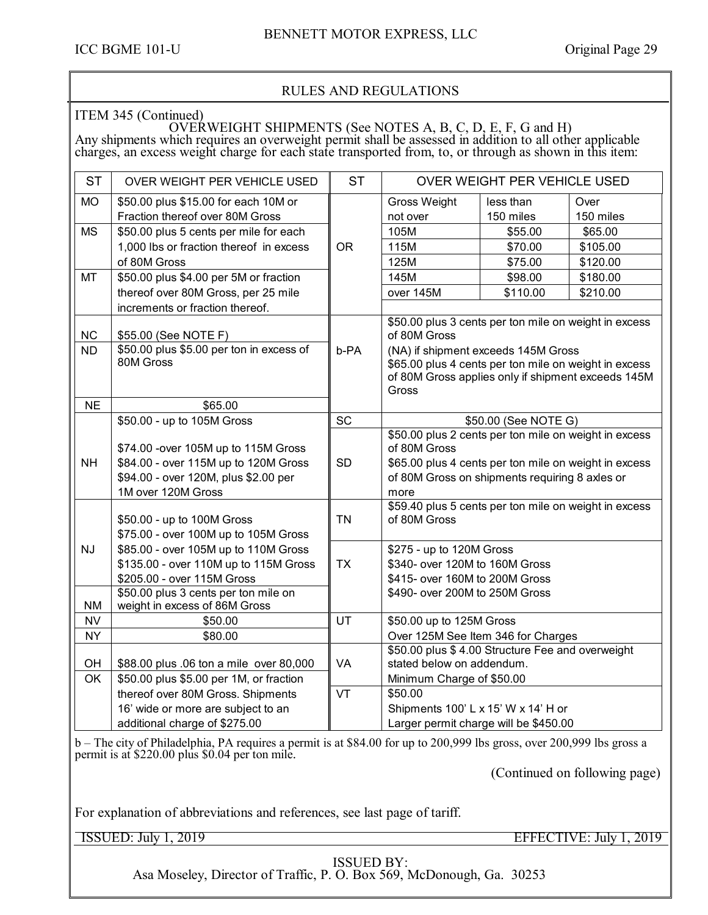ITEM 345 (Continued)

OVERWEIGHT SHIPMENTS (See NOTES A, B, C, D, E, F, G and H) Any shipments which requires an overweight permit shall be assessed in addition to all other applicable charges, an excess weight charge for each state transported from, to, or through as shown in this item:

| <b>ST</b> | OVER WEIGHT PER VEHICLE USED                                       | <b>ST</b> | OVER WEIGHT PER VEHICLE USED                                          |                      |           |  |
|-----------|--------------------------------------------------------------------|-----------|-----------------------------------------------------------------------|----------------------|-----------|--|
| <b>MO</b> | \$50.00 plus \$15.00 for each 10M or                               |           | Gross Weight                                                          | less than            | Over      |  |
|           | Fraction thereof over 80M Gross                                    |           | not over                                                              | 150 miles            | 150 miles |  |
| <b>MS</b> | \$50.00 plus 5 cents per mile for each                             |           | 105M                                                                  | \$55.00              | \$65.00   |  |
|           | 1,000 lbs or fraction thereof in excess                            | <b>OR</b> | 115M                                                                  | \$70.00              | \$105.00  |  |
|           | of 80M Gross                                                       |           | 125M                                                                  | \$75.00              | \$120.00  |  |
| <b>MT</b> | \$50.00 plus \$4.00 per 5M or fraction                             |           | 145M                                                                  | \$98.00              | \$180.00  |  |
|           | thereof over 80M Gross, per 25 mile                                |           | over 145M                                                             | \$110.00             | \$210.00  |  |
|           | increments or fraction thereof.                                    |           |                                                                       |                      |           |  |
| NC        | \$55.00 (See NOTE F)                                               |           | \$50.00 plus 3 cents per ton mile on weight in excess<br>of 80M Gross |                      |           |  |
| <b>ND</b> | \$50.00 plus \$5.00 per ton in excess of                           | b-PA      | (NA) if shipment exceeds 145M Gross                                   |                      |           |  |
|           | 80M Gross                                                          |           | \$65.00 plus 4 cents per ton mile on weight in excess                 |                      |           |  |
|           |                                                                    |           | of 80M Gross applies only if shipment exceeds 145M                    |                      |           |  |
|           |                                                                    |           | Gross                                                                 |                      |           |  |
| <b>NE</b> | \$65.00                                                            |           |                                                                       |                      |           |  |
|           | \$50.00 - up to 105M Gross                                         | SC        | \$50.00 plus 2 cents per ton mile on weight in excess                 | \$50.00 (See NOTE G) |           |  |
|           | \$74.00 -over 105M up to 115M Gross                                |           | of 80M Gross                                                          |                      |           |  |
| <b>NH</b> | \$84.00 - over 115M up to 120M Gross                               | <b>SD</b> | \$65.00 plus 4 cents per ton mile on weight in excess                 |                      |           |  |
|           | \$94.00 - over 120M, plus \$2.00 per                               |           | of 80M Gross on shipments requiring 8 axles or                        |                      |           |  |
|           | 1M over 120M Gross                                                 |           | more                                                                  |                      |           |  |
|           |                                                                    |           | \$59.40 plus 5 cents per ton mile on weight in excess                 |                      |           |  |
|           | \$50.00 - up to 100M Gross                                         | TN        | of 80M Gross                                                          |                      |           |  |
|           | \$75.00 - over 100M up to 105M Gross                               |           |                                                                       |                      |           |  |
| <b>NJ</b> | \$85.00 - over 105M up to 110M Gross                               |           | \$275 - up to 120M Gross                                              |                      |           |  |
|           | \$135.00 - over 110M up to 115M Gross                              | <b>TX</b> | \$340- over 120M to 160M Gross                                        |                      |           |  |
|           | \$205.00 - over 115M Gross<br>\$50.00 plus 3 cents per ton mile on |           | \$415- over 160M to 200M Gross                                        |                      |           |  |
| <b>NM</b> | weight in excess of 86M Gross                                      |           | \$490- over 200M to 250M Gross                                        |                      |           |  |
| <b>NV</b> | \$50.00                                                            | UT        | \$50.00 up to 125M Gross                                              |                      |           |  |
| <b>NY</b> | \$80.00                                                            |           | Over 125M See Item 346 for Charges                                    |                      |           |  |
|           |                                                                    |           | \$50.00 plus \$4.00 Structure Fee and overweight                      |                      |           |  |
| OH        | \$88.00 plus .06 ton a mile over 80,000                            | VA        | stated below on addendum.                                             |                      |           |  |
| <b>OK</b> | \$50.00 plus \$5.00 per 1M, or fraction                            |           | Minimum Charge of \$50.00                                             |                      |           |  |
|           | thereof over 80M Gross. Shipments                                  | VT        | \$50.00                                                               |                      |           |  |
|           | 16' wide or more are subject to an                                 |           | Shipments 100' L x 15' W x 14' H or                                   |                      |           |  |
|           | additional charge of \$275.00                                      |           | Larger permit charge will be \$450.00                                 |                      |           |  |

b – The city of Philadelphia, PA requires a permit is at \$84.00 for up to 200,999 lbs gross, over 200,999 lbs gross a permit is at \$220.00 plus \$0.04 per ton mile.

(Continued on following page)

For explanation of abbreviations and references, see last page of tariff.

ISSUED: July 1, 2019 EFFECTIVE: July 1, 2019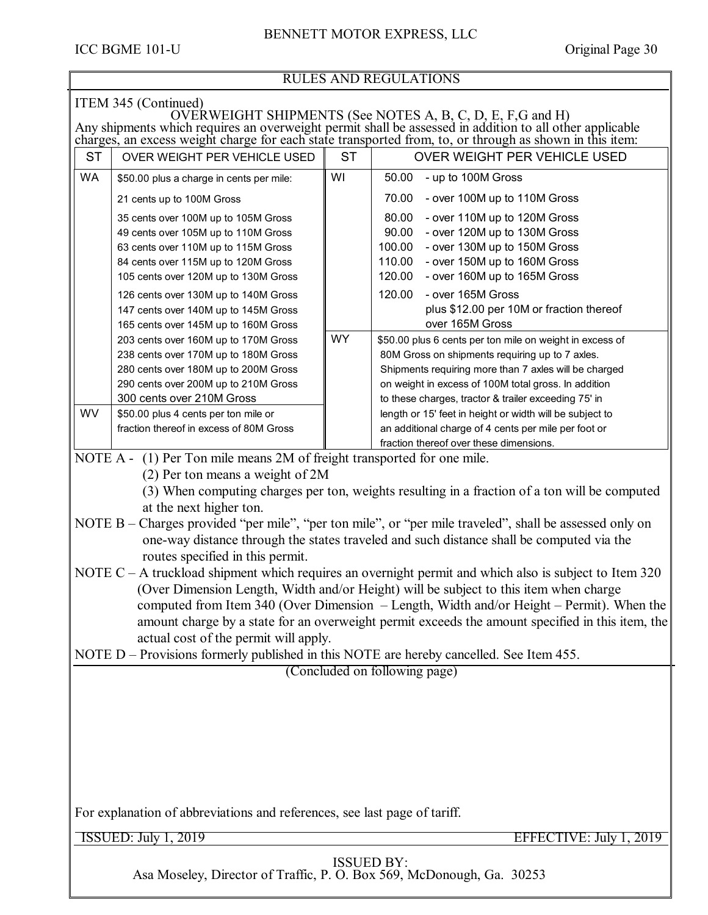|           | ITEM 345 (Continued)                                                                    |                   |                                                                                                                                                                                                                    |
|-----------|-----------------------------------------------------------------------------------------|-------------------|--------------------------------------------------------------------------------------------------------------------------------------------------------------------------------------------------------------------|
|           |                                                                                         |                   | Any shipments which requires an overweight permit shall be assessed in addition to all other applicable<br>charges, an excess weight charge for each state transported from, to, or through as shown in this item: |
| <b>ST</b> | OVER WEIGHT PER VEHICLE USED                                                            | <b>ST</b>         | OVER WEIGHT PER VEHICLE USED                                                                                                                                                                                       |
| <b>WA</b> | \$50.00 plus a charge in cents per mile:                                                | WI                | 50.00<br>- up to 100M Gross                                                                                                                                                                                        |
|           | 21 cents up to 100M Gross                                                               |                   | - over 100M up to 110M Gross<br>70.00                                                                                                                                                                              |
|           | 35 cents over 100M up to 105M Gross                                                     |                   | 80.00<br>- over 110M up to 120M Gross                                                                                                                                                                              |
|           | 49 cents over 105M up to 110M Gross                                                     |                   | 90.00<br>- over 120M up to 130M Gross                                                                                                                                                                              |
|           | 63 cents over 110M up to 115M Gross                                                     |                   | 100.00<br>- over 130M up to 150M Gross                                                                                                                                                                             |
|           | 84 cents over 115M up to 120M Gross                                                     |                   | 110.00<br>- over 150M up to 160M Gross                                                                                                                                                                             |
|           | 105 cents over 120M up to 130M Gross                                                    |                   | 120.00<br>- over 160M up to 165M Gross                                                                                                                                                                             |
|           | 126 cents over 130M up to 140M Gross                                                    |                   | 120.00<br>- over 165M Gross                                                                                                                                                                                        |
|           | 147 cents over 140M up to 145M Gross                                                    |                   | plus \$12.00 per 10M or fraction thereof                                                                                                                                                                           |
|           | 165 cents over 145M up to 160M Gross                                                    |                   | over 165M Gross                                                                                                                                                                                                    |
|           | 203 cents over 160M up to 170M Gross                                                    | <b>WY</b>         | \$50.00 plus 6 cents per ton mile on weight in excess of                                                                                                                                                           |
|           | 238 cents over 170M up to 180M Gross                                                    |                   | 80M Gross on shipments requiring up to 7 axles.                                                                                                                                                                    |
|           | 280 cents over 180M up to 200M Gross                                                    |                   | Shipments requiring more than 7 axles will be charged                                                                                                                                                              |
|           | 290 cents over 200M up to 210M Gross                                                    |                   | on weight in excess of 100M total gross. In addition                                                                                                                                                               |
| WV        | 300 cents over 210M Gross                                                               |                   | to these charges, tractor & trailer exceeding 75' in                                                                                                                                                               |
|           | \$50.00 plus 4 cents per ton mile or<br>fraction thereof in excess of 80M Gross         |                   | length or 15' feet in height or width will be subject to                                                                                                                                                           |
|           |                                                                                         |                   | an additional charge of 4 cents per mile per foot or<br>fraction thereof over these dimensions.                                                                                                                    |
|           | NOTE A - (1) Per Ton mile means 2M of freight transported for one mile.                 |                   |                                                                                                                                                                                                                    |
|           | $(2)$ Per ton means a weight of 2M                                                      |                   |                                                                                                                                                                                                                    |
|           |                                                                                         |                   | (3) When computing charges per ton, weights resulting in a fraction of a ton will be computed                                                                                                                      |
|           | at the next higher ton.                                                                 |                   |                                                                                                                                                                                                                    |
|           |                                                                                         |                   | NOTE B – Charges provided "per mile", "per ton mile", or "per mile traveled", shall be assessed only on                                                                                                            |
|           |                                                                                         |                   |                                                                                                                                                                                                                    |
|           |                                                                                         |                   | one-way distance through the states traveled and such distance shall be computed via the                                                                                                                           |
|           | routes specified in this permit.                                                        |                   |                                                                                                                                                                                                                    |
|           |                                                                                         |                   | NOTE $C - A$ truckload shipment which requires an overnight permit and which also is subject to Item 320                                                                                                           |
|           |                                                                                         |                   | (Over Dimension Length, Width and/or Height) will be subject to this item when charge                                                                                                                              |
|           |                                                                                         |                   | computed from Item 340 (Over Dimension - Length, Width and/or Height - Permit). When the                                                                                                                           |
|           |                                                                                         |                   | amount charge by a state for an overweight permit exceeds the amount specified in this item, the                                                                                                                   |
|           | actual cost of the permit will apply.                                                   |                   |                                                                                                                                                                                                                    |
|           | NOTE D – Provisions formerly published in this NOTE are hereby cancelled. See Item 455. |                   |                                                                                                                                                                                                                    |
|           |                                                                                         |                   | (Concluded on following page)                                                                                                                                                                                      |
|           |                                                                                         |                   |                                                                                                                                                                                                                    |
|           |                                                                                         |                   |                                                                                                                                                                                                                    |
|           |                                                                                         |                   |                                                                                                                                                                                                                    |
|           |                                                                                         |                   |                                                                                                                                                                                                                    |
|           |                                                                                         |                   |                                                                                                                                                                                                                    |
|           |                                                                                         |                   |                                                                                                                                                                                                                    |
|           |                                                                                         |                   |                                                                                                                                                                                                                    |
|           |                                                                                         |                   |                                                                                                                                                                                                                    |
|           | For explanation of abbreviations and references, see last page of tariff.               |                   |                                                                                                                                                                                                                    |
|           | <b>ISSUED: July 1, 2019</b>                                                             |                   | EFFECTIVE: July 1, 2019                                                                                                                                                                                            |
|           |                                                                                         | <b>ISSUED BY:</b> |                                                                                                                                                                                                                    |
|           | Asa Moseley, Director of Traffic, P. O. Box 569, McDonough, Ga. 30253                   |                   |                                                                                                                                                                                                                    |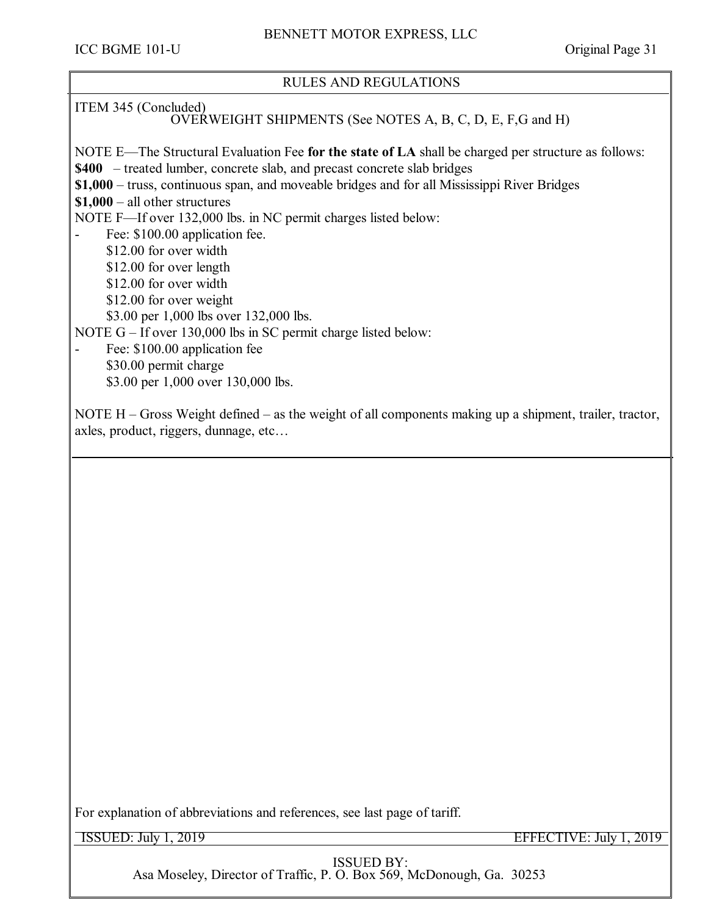#### ITEM 345 (Concluded) OVERWEIGHT SHIPMENTS (See NOTES A, B, C, D, E, F,G and H)

NOTE E—The Structural Evaluation Fee **for the state of LA** shall be charged per structure as follows: **\$400** – treated lumber, concrete slab, and precast concrete slab bridges **\$1,000** – truss, continuous span, and moveable bridges and for all Mississippi River Bridges **\$1,000** – all other structures NOTE F—If over 132,000 lbs. in NC permit charges listed below: Fee: \$100.00 application fee. \$12.00 for over width \$12.00 for over length \$12.00 for over width \$12.00 for over weight \$3.00 per 1,000 lbs over 132,000 lbs. NOTE G – If over 130,000 lbs in SC permit charge listed below: - Fee: \$100.00 application fee \$30.00 permit charge \$3.00 per 1,000 over 130,000 lbs.

NOTE H – Gross Weight defined – as the weight of all components making up a shipment, trailer, tractor, axles, product, riggers, dunnage, etc…

For explanation of abbreviations and references, see last page of tariff.

ISSUED: July 1, 2019 EFFECTIVE: July 1, 2019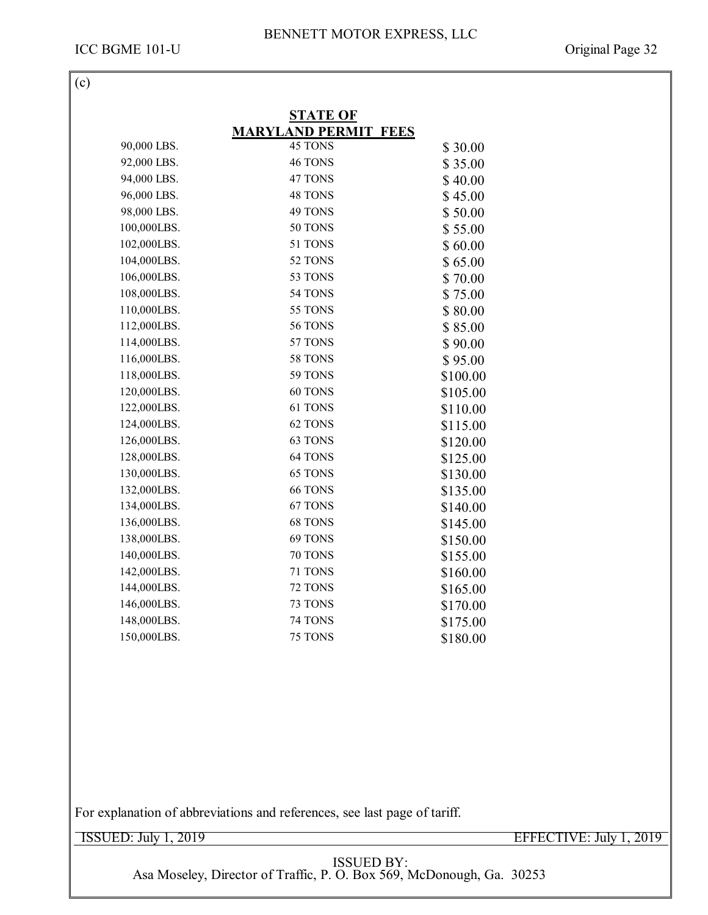(c)

|             | <b>STATE OF</b>             |          |
|-------------|-----------------------------|----------|
|             | <b>MARYLAND PERMIT FEES</b> |          |
| 90,000 LBS. | 45 TONS                     | \$30.00  |
| 92,000 LBS. | 46 TONS                     | \$35.00  |
| 94,000 LBS. | 47 TONS                     | \$40.00  |
| 96,000 LBS. | 48 TONS                     | \$45.00  |
| 98,000 LBS. | 49 TONS                     | \$50.00  |
| 100,000LBS. | 50 TONS                     | \$55.00  |
| 102,000LBS. | 51 TONS                     | \$60.00  |
| 104,000LBS. | 52 TONS                     | \$65.00  |
| 106,000LBS. | 53 TONS                     | \$70.00  |
| 108,000LBS. | 54 TONS                     | \$75.00  |
| 110,000LBS. | 55 TONS                     | \$80.00  |
| 112,000LBS. | 56 TONS                     | \$85.00  |
| 114,000LBS. | 57 TONS                     | \$90.00  |
| 116,000LBS. | 58 TONS                     | \$95.00  |
| 118,000LBS. | 59 TONS                     | \$100.00 |
| 120,000LBS. | 60 TONS                     | \$105.00 |
| 122,000LBS. | 61 TONS                     | \$110.00 |
| 124,000LBS. | 62 TONS                     | \$115.00 |
| 126,000LBS. | 63 TONS                     | \$120.00 |
| 128,000LBS. | 64 TONS                     | \$125.00 |
| 130,000LBS. | 65 TONS                     | \$130.00 |
| 132,000LBS. | 66 TONS                     | \$135.00 |
| 134,000LBS. | 67 TONS                     | \$140.00 |
| 136,000LBS. | 68 TONS                     | \$145.00 |
| 138,000LBS. | 69 TONS                     | \$150.00 |
| 140,000LBS. | 70 TONS                     | \$155.00 |
| 142,000LBS. | 71 TONS                     | \$160.00 |
| 144,000LBS. | 72 TONS                     | \$165.00 |
| 146,000LBS. | 73 TONS                     | \$170.00 |
| 148,000LBS. | 74 TONS                     | \$175.00 |
| 150,000LBS. | 75 TONS                     | \$180.00 |

For explanation of abbreviations and references, see last page of tariff.

ISSUED: July 1, 2019 EFFECTIVE: July 1, 2019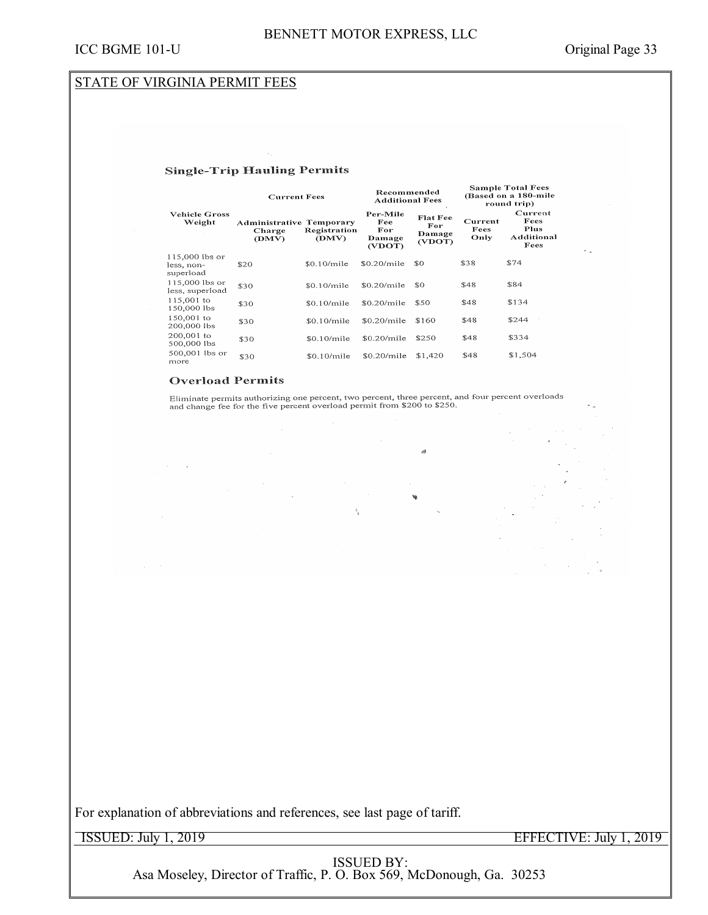## ICC BGME 101-U Original Page 33

## STATE OF VIRGINIA PERMIT FEES

#### **Single-Trip Hauling Permits**

|                                           | <b>Current Fees</b>                                |                       | Recommended<br><b>Additional Fees</b>      |                                            | <b>Sample Total Fees</b><br>(Based on a 180-mile<br>round trip) |                                               |
|-------------------------------------------|----------------------------------------------------|-----------------------|--------------------------------------------|--------------------------------------------|-----------------------------------------------------------------|-----------------------------------------------|
| <b>Vehicle Gross</b><br>Weight            | <b>Administrative Temporary</b><br>Charge<br>(DMV) | Registration<br>(DMV) | Per-Mile<br>Fee<br>For<br>Damage<br>(VDOT) | <b>Flat Fee</b><br>For<br>Damage<br>(VDOT) | Current<br>Fees<br>Only                                         | Current<br>Fees<br>Plus<br>Additional<br>Fees |
| 115,000 lbs or<br>less, non-<br>superload | \$20                                               | \$0.10/mile           | \$0.20/mile                                | SO.                                        | \$38                                                            | \$74                                          |
| 115,000 lbs or<br>less, superload         | \$30                                               | \$0.10/mile           | \$0.20/mile                                | \$0                                        | \$48                                                            | \$84                                          |
| 115,001 to<br>150,000 lbs                 | \$30                                               | \$0.10/mile           | \$0.20/mile                                | \$50                                       | \$48                                                            | \$134                                         |
| 150,001 to<br>200,000 lbs                 | \$30                                               | \$0.10/mile           | \$0.20/mile                                | \$160                                      | \$48                                                            | \$244                                         |
| 200,001 to<br>500,000 lbs                 | \$30                                               | \$0.10/mile           | \$0.20/mile                                | \$250                                      | \$48                                                            | \$334                                         |
| 500,001 lbs or<br>more                    | \$30                                               | \$0.10/mile           | \$0.20/mile                                | \$1,420                                    | \$48                                                            | \$1,504                                       |

#### **Overload Permits**

Eliminate permits authorizing one percent, two percent, three percent, and four percent overloads and change fee for the five percent overload permit from \$200 to \$250.

 $\frac{5}{k}$ 

 $\mathcal{S}$ 

For explanation of abbreviations and references, see last page of tariff.

ISSUED: July 1, 2019 EFFECTIVE: July 1, 2019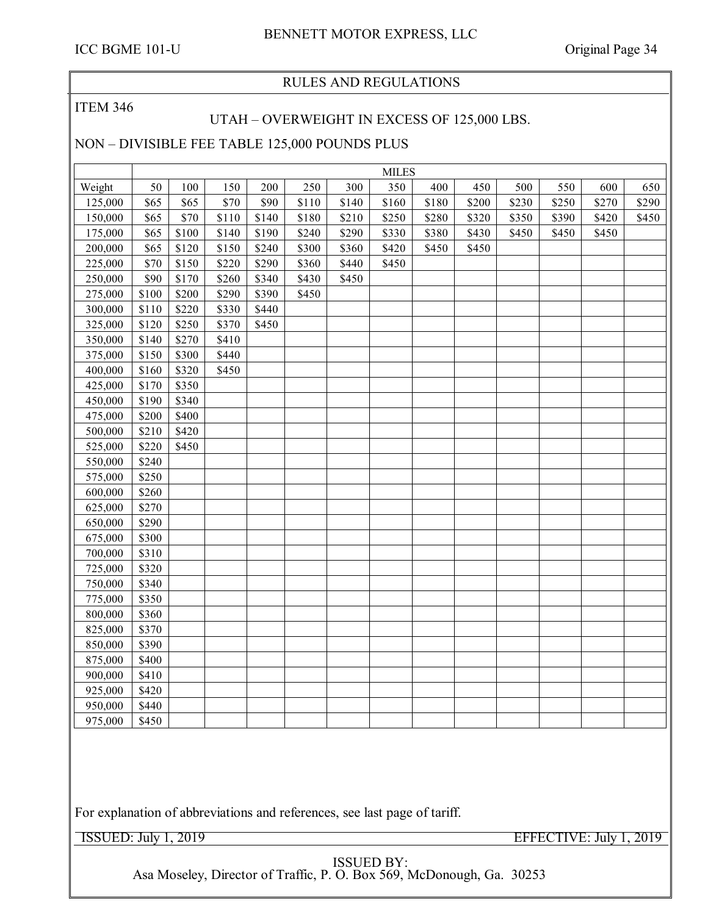## ITEM 346

## UTAH – OVERWEIGHT IN EXCESS OF 125,000 LBS.

# NON – DIVISIBLE FEE TABLE 125,000 POUNDS PLUS

|         |       |       |       |       |       |       | <b>MILES</b> |       |       |       |       |       |       |
|---------|-------|-------|-------|-------|-------|-------|--------------|-------|-------|-------|-------|-------|-------|
| Weight  | 50    | 100   | 150   | 200   | 250   | 300   | 350          | 400   | 450   | 500   | 550   | 600   | 650   |
| 125,000 | \$65  | \$65  | \$70  | \$90  | \$110 | \$140 | \$160        | \$180 | \$200 | \$230 | \$250 | \$270 | \$290 |
| 150,000 | \$65  | \$70  | \$110 | \$140 | \$180 | \$210 | \$250        | \$280 | \$320 | \$350 | \$390 | \$420 | \$450 |
| 175,000 | \$65  | \$100 | \$140 | \$190 | \$240 | \$290 | \$330        | \$380 | \$430 | \$450 | \$450 | \$450 |       |
| 200,000 | \$65  | \$120 | \$150 | \$240 | \$300 | \$360 | \$420        | \$450 | \$450 |       |       |       |       |
| 225,000 | \$70  | \$150 | \$220 | \$290 | \$360 | \$440 | \$450        |       |       |       |       |       |       |
| 250,000 | \$90  | \$170 | \$260 | \$340 | \$430 | \$450 |              |       |       |       |       |       |       |
| 275,000 | \$100 | \$200 | \$290 | \$390 | \$450 |       |              |       |       |       |       |       |       |
| 300,000 | \$110 | \$220 | \$330 | \$440 |       |       |              |       |       |       |       |       |       |
| 325,000 | \$120 | \$250 | \$370 | \$450 |       |       |              |       |       |       |       |       |       |
| 350,000 | \$140 | \$270 | \$410 |       |       |       |              |       |       |       |       |       |       |
| 375,000 | \$150 | \$300 | \$440 |       |       |       |              |       |       |       |       |       |       |
| 400,000 | \$160 | \$320 | \$450 |       |       |       |              |       |       |       |       |       |       |
| 425,000 | \$170 | \$350 |       |       |       |       |              |       |       |       |       |       |       |
| 450,000 | \$190 | \$340 |       |       |       |       |              |       |       |       |       |       |       |
| 475,000 | \$200 | \$400 |       |       |       |       |              |       |       |       |       |       |       |
| 500,000 | \$210 | \$420 |       |       |       |       |              |       |       |       |       |       |       |
| 525,000 | \$220 | \$450 |       |       |       |       |              |       |       |       |       |       |       |
| 550,000 | \$240 |       |       |       |       |       |              |       |       |       |       |       |       |
| 575,000 | \$250 |       |       |       |       |       |              |       |       |       |       |       |       |
| 600,000 | \$260 |       |       |       |       |       |              |       |       |       |       |       |       |
| 625,000 | \$270 |       |       |       |       |       |              |       |       |       |       |       |       |
| 650,000 | \$290 |       |       |       |       |       |              |       |       |       |       |       |       |
| 675,000 | \$300 |       |       |       |       |       |              |       |       |       |       |       |       |
| 700,000 | \$310 |       |       |       |       |       |              |       |       |       |       |       |       |
| 725,000 | \$320 |       |       |       |       |       |              |       |       |       |       |       |       |
| 750,000 | \$340 |       |       |       |       |       |              |       |       |       |       |       |       |
| 775,000 | \$350 |       |       |       |       |       |              |       |       |       |       |       |       |
| 800,000 | \$360 |       |       |       |       |       |              |       |       |       |       |       |       |
| 825,000 | \$370 |       |       |       |       |       |              |       |       |       |       |       |       |
| 850,000 | \$390 |       |       |       |       |       |              |       |       |       |       |       |       |
| 875,000 | \$400 |       |       |       |       |       |              |       |       |       |       |       |       |
| 900,000 | \$410 |       |       |       |       |       |              |       |       |       |       |       |       |
| 925,000 | \$420 |       |       |       |       |       |              |       |       |       |       |       |       |
| 950,000 | \$440 |       |       |       |       |       |              |       |       |       |       |       |       |
| 975,000 | \$450 |       |       |       |       |       |              |       |       |       |       |       |       |
|         |       |       |       |       |       |       |              |       |       |       |       |       |       |

For explanation of abbreviations and references, see last page of tariff.

ISSUED: July 1, 2019 EFFECTIVE: July 1, 2019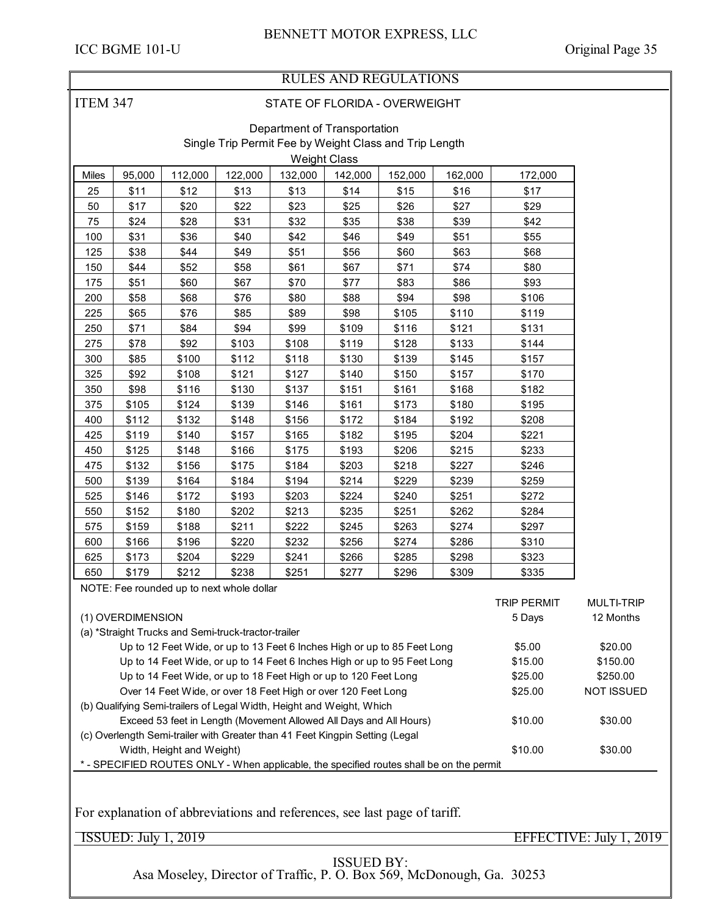## **ITEM 347** STATE OF FLORIDA - OVERWEIGHT

#### Department of Transportation Single Trip Permit Fee by Weight Class and Trip Length Weight Class

| Miles | 95,000                                    | 112,000 | 122,000 | 132,000 | 142,000 | 152,000 | 162,000 | 172,000 |
|-------|-------------------------------------------|---------|---------|---------|---------|---------|---------|---------|
| 25    | \$11                                      | \$12    | \$13    | \$13    | \$14    | \$15    | \$16    | \$17    |
| 50    | \$17                                      | \$20    | \$22    | \$23    | \$25    | \$26    | \$27    | \$29    |
| 75    | \$24                                      | \$28    | \$31    | \$32    | \$35    | \$38    | \$39    | \$42    |
| 100   | \$31                                      | \$36    | \$40    | \$42    | \$46    | \$49    | \$51    | \$55    |
| 125   | \$38                                      | \$44    | \$49    | \$51    | \$56    | \$60    | \$63    | \$68    |
| 150   | \$44                                      | \$52    | \$58    | \$61    | \$67    | \$71    | \$74    | \$80    |
| 175   | \$51                                      | \$60    | \$67    | \$70    | \$77    | \$83    | \$86    | \$93    |
| 200   | \$58                                      | \$68    | \$76    | \$80    | \$88    | \$94    | \$98    | \$106   |
| 225   | \$65                                      | \$76    | \$85    | \$89    | \$98    | \$105   | \$110   | \$119   |
| 250   | \$71                                      | \$84    | \$94    | \$99    | \$109   | \$116   | \$121   | \$131   |
| 275   | \$78                                      | \$92    | \$103   | \$108   | \$119   | \$128   | \$133   | \$144   |
| 300   | \$85                                      | \$100   | \$112   | \$118   | \$130   | \$139   | \$145   | \$157   |
| 325   | \$92                                      | \$108   | \$121   | \$127   | \$140   | \$150   | \$157   | \$170   |
| 350   | \$98                                      | \$116   | \$130   | \$137   | \$151   | \$161   | \$168   | \$182   |
| 375   | \$105                                     | \$124   | \$139   | \$146   | \$161   | \$173   | \$180   | \$195   |
| 400   | \$112                                     | \$132   | \$148   | \$156   | \$172   | \$184   | \$192   | \$208   |
| 425   | \$119                                     | \$140   | \$157   | \$165   | \$182   | \$195   | \$204   | \$221   |
| 450   | \$125                                     | \$148   | \$166   | \$175   | \$193   | \$206   | \$215   | \$233   |
| 475   | \$132                                     | \$156   | \$175   | \$184   | \$203   | \$218   | \$227   | \$246   |
| 500   | \$139                                     | \$164   | \$184   | \$194   | \$214   | \$229   | \$239   | \$259   |
| 525   | \$146                                     | \$172   | \$193   | \$203   | \$224   | \$240   | \$251   | \$272   |
| 550   | \$152                                     | \$180   | \$202   | \$213   | \$235   | \$251   | \$262   | \$284   |
| 575   | \$159                                     | \$188   | \$211   | \$222   | \$245   | \$263   | \$274   | \$297   |
| 600   | \$166                                     | \$196   | \$220   | \$232   | \$256   | \$274   | \$286   | \$310   |
| 625   | \$173                                     | \$204   | \$229   | \$241   | \$266   | \$285   | \$298   | \$323   |
| 650   | \$179                                     | \$212   | \$238   | \$251   | \$277   | \$296   | \$309   | \$335   |
|       | NOTE: Fee rounded up to next whole dollar |         |         |         |         |         |         |         |

|                                                                                          | TRIP PERMIT | <b>MULTI-TRIP</b> |
|------------------------------------------------------------------------------------------|-------------|-------------------|
| (1) OVERDIMENSION                                                                        | 5 Days      | 12 Months         |
| (a) *Straight Trucks and Semi-truck-tractor-trailer                                      |             |                   |
| Up to 12 Feet Wide, or up to 13 Feet 6 Inches High or up to 85 Feet Long                 | \$5.00      | \$20.00           |
| Up to 14 Feet Wide, or up to 14 Feet 6 Inches High or up to 95 Feet Long                 | \$15.00     | \$150.00          |
| Up to 14 Feet Wide, or up to 18 Feet High or up to 120 Feet Long                         | \$25.00     | \$250.00          |
| Over 14 Feet Wide, or over 18 Feet High or over 120 Feet Long                            | \$25.00     | <b>NOT ISSUED</b> |
| (b) Qualifying Semi-trailers of Legal Width, Height and Weight, Which                    |             |                   |
| Exceed 53 feet in Length (Movement Allowed All Days and All Hours)                       | \$10.00     | \$30.00           |
| (c) Overlength Semi-trailer with Greater than 41 Feet Kingpin Setting (Legal             |             |                   |
| Width, Height and Weight)                                                                | \$10.00     | \$30.00           |
| * - SPECIFIED ROUTES ONLY - When applicable, the specified routes shall be on the permit |             |                   |

For explanation of abbreviations and references, see last page of tariff.

ISSUED: July 1, 2019 EFFECTIVE: July 1, 2019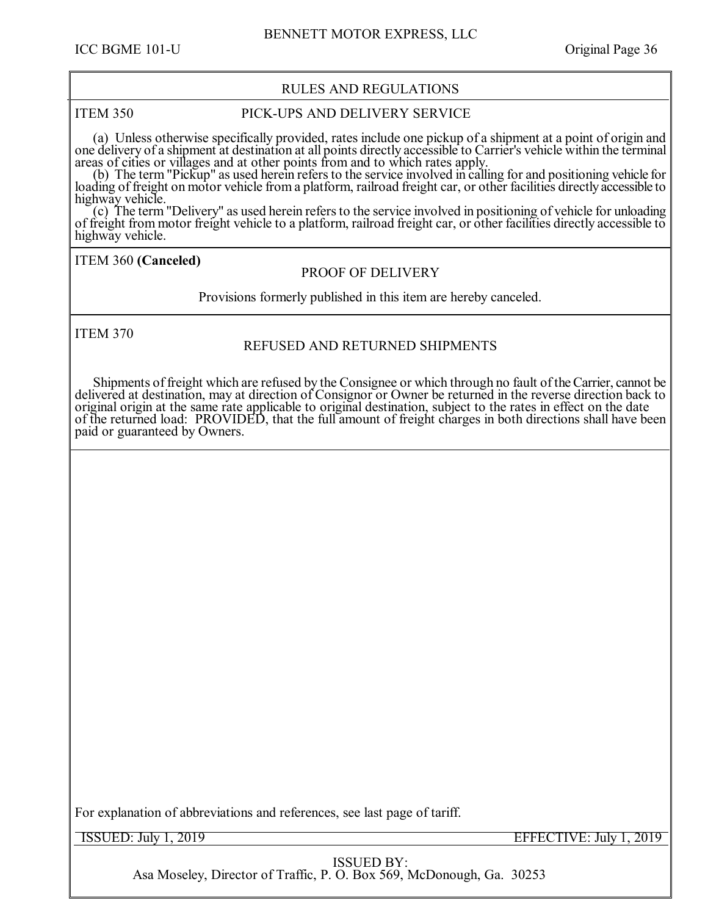## ITEM 350 PICK-UPS AND DELIVERY SERVICE

 (a) Unless otherwise specifically provided, rates include one pickup of a shipment at a point of origin and one delivery of a shipment at destination at all points directly accessible to Carrier's vehicle within the terminal areas of cities or villages and at other points from and to which rates apply.

 (b) The term "Pickup" as used herein refers to the service involved in calling for and positioning vehicle for loading of freight on motor vehicle from a platform, railroad freight car, or other facilities directly accessible to highway vehicle.

 $\zeta$  (c) The term "Delivery" as used herein refers to the service involved in positioning of vehicle for unloading of freight from motor freight vehicle to a platform, railroad freight car, or other facilities directly accessible to highway vehicle.

## ITEM 360 **(Canceled)**

#### PROOF OF DELIVERY

Provisions formerly published in this item are hereby canceled.

ITEM 370

## REFUSED AND RETURNED SHIPMENTS

 Shipments of freight which are refused by the Consignee or which through no fault of the Carrier, cannot be delivered at destination, may at direction of Consignor or Owner be returned in the reverse direction back to original origin at the same rate applicable to original destination, subject to the rates in effect on the date of the returned load: PROVIDED, that the full amount of freight charges in both directions shall have been paid or guaranteed by Owners.

For explanation of abbreviations and references, see last page of tariff.

ISSUED: July 1, 2019 EFFECTIVE: July 1, 2019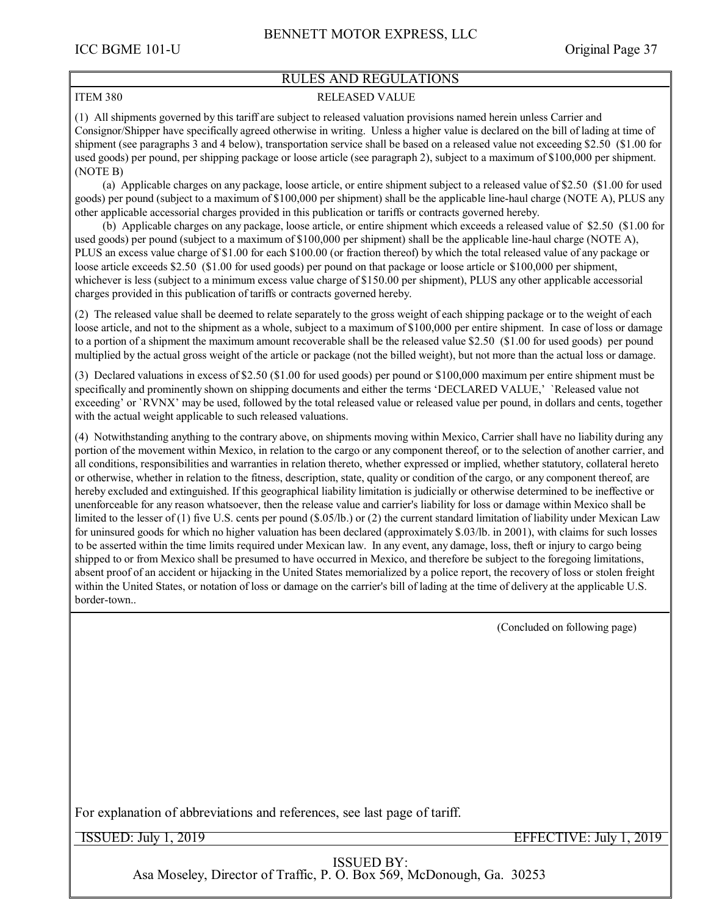### ITEM 380 RELEASED VALUE

(1) All shipments governed by this tariff are subject to released valuation provisions named herein unless Carrier and Consignor/Shipper have specifically agreed otherwise in writing. Unless a higher value is declared on the bill of lading at time of shipment (see paragraphs 3 and 4 below), transportation service shall be based on a released value not exceeding \$2.50 (\$1.00 for used goods) per pound, per shipping package or loose article (see paragraph 2), subject to a maximum of \$100,000 per shipment. (NOTE B)

 (a) Applicable charges on any package, loose article, or entire shipment subject to a released value of \$2.50 (\$1.00 for used goods) per pound (subject to a maximum of \$100,000 per shipment) shall be the applicable line-haul charge (NOTE A), PLUS any other applicable accessorial charges provided in this publication or tariffs or contracts governed hereby.

 (b) Applicable charges on any package, loose article, or entire shipment which exceeds a released value of \$2.50 (\$1.00 for used goods) per pound (subject to a maximum of \$100,000 per shipment) shall be the applicable line-haul charge (NOTE A), PLUS an excess value charge of \$1.00 for each \$100.00 (or fraction thereof) by which the total released value of any package or loose article exceeds \$2.50 (\$1.00 for used goods) per pound on that package or loose article or \$100,000 per shipment, whichever is less (subject to a minimum excess value charge of \$150.00 per shipment), PLUS any other applicable accessorial charges provided in this publication of tariffs or contracts governed hereby.

(2) The released value shall be deemed to relate separately to the gross weight of each shipping package or to the weight of each loose article, and not to the shipment as a whole, subject to a maximum of \$100,000 per entire shipment. In case of loss or damage to a portion of a shipment the maximum amount recoverable shall be the released value \$2.50 (\$1.00 for used goods) per pound multiplied by the actual gross weight of the article or package (not the billed weight), but not more than the actual loss or damage.

(3) Declared valuations in excess of \$2.50 (\$1.00 for used goods) per pound or \$100,000 maximum per entire shipment must be specifically and prominently shown on shipping documents and either the terms 'DECLARED VALUE,' `Released value not exceeding' or `RVNX' may be used, followed by the total released value or released value per pound, in dollars and cents, together with the actual weight applicable to such released valuations.

(4) Notwithstanding anything to the contrary above, on shipments moving within Mexico, Carrier shall have no liability during any portion of the movement within Mexico, in relation to the cargo or any component thereof, or to the selection of another carrier, and all conditions, responsibilities and warranties in relation thereto, whether expressed or implied, whether statutory, collateral hereto or otherwise, whether in relation to the fitness, description, state, quality or condition of the cargo, or any component thereof, are hereby excluded and extinguished. If this geographical liability limitation is judicially or otherwise determined to be ineffective or unenforceable for any reason whatsoever, then the release value and carrier's liability for loss or damage within Mexico shall be limited to the lesser of (1) five U.S. cents per pound (\$.05/lb.) or (2) the current standard limitation of liability under Mexican Law for uninsured goods for which no higher valuation has been declared (approximately \$.03/lb. in 2001), with claims for such losses to be asserted within the time limits required under Mexican law. In any event, any damage, loss, theft or injury to cargo being shipped to or from Mexico shall be presumed to have occurred in Mexico, and therefore be subject to the foregoing limitations, absent proof of an accident or hijacking in the United States memorialized by a police report, the recovery of loss or stolen freight within the United States, or notation of loss or damage on the carrier's bill of lading at the time of delivery at the applicable U.S. border-town..

(Concluded on following page)

For explanation of abbreviations and references, see last page of tariff.

ISSUED: July 1, 2019 EFFECTIVE: July 1, 2019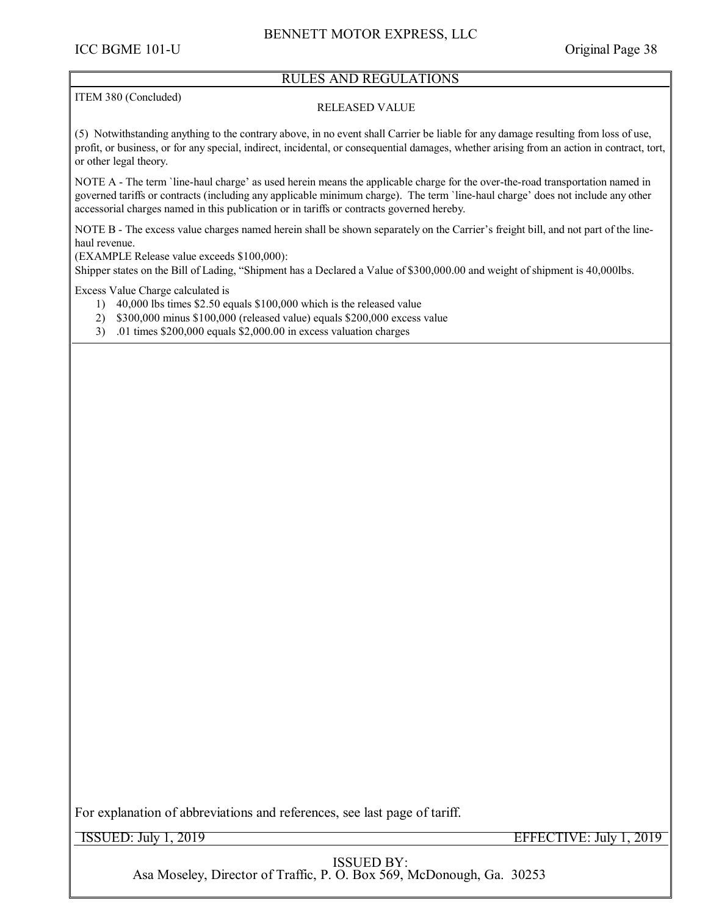ITEM 380 (Concluded)

#### RELEASED VALUE

(5) Notwithstanding anything to the contrary above, in no event shall Carrier be liable for any damage resulting from loss of use, profit, or business, or for any special, indirect, incidental, or consequential damages, whether arising from an action in contract, tort, or other legal theory.

NOTE A - The term `line-haul charge' as used herein means the applicable charge for the over-the-road transportation named in governed tariffs or contracts (including any applicable minimum charge). The term `line-haul charge' does not include any other accessorial charges named in this publication or in tariffs or contracts governed hereby.

NOTE B - The excess value charges named herein shall be shown separately on the Carrier's freight bill, and not part of the linehaul revenue.

(EXAMPLE Release value exceeds \$100,000):

Shipper states on the Bill of Lading, "Shipment has a Declared a Value of \$300,000.00 and weight of shipment is 40,000lbs.

Excess Value Charge calculated is

- 1) 40,000 lbs times \$2.50 equals \$100,000 which is the released value
- 2) \$300,000 minus \$100,000 (released value) equals \$200,000 excess value

3) .01 times \$200,000 equals \$2,000.00 in excess valuation charges

For explanation of abbreviations and references, see last page of tariff.

ISSUED: July 1, 2019 EFFECTIVE: July 1, 2019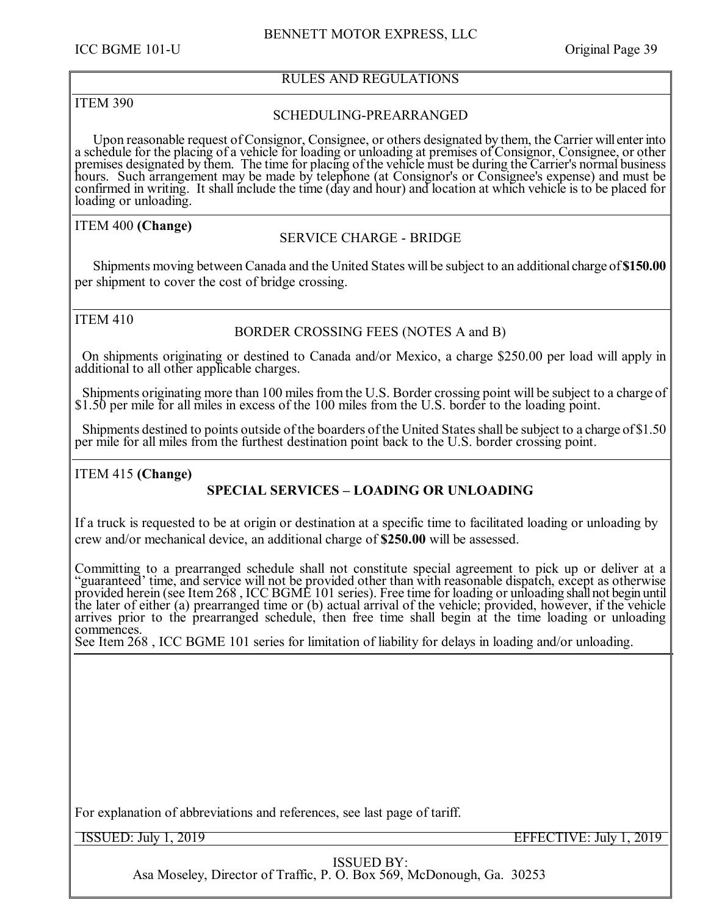## ITEM 390

#### SCHEDULING-PREARRANGED

 Upon reasonable request of Consignor, Consignee, or others designated by them, the Carrier will enter into a schedule for the placing of a vehicle for loading or unloading at premises of Consignor, Consignee, or other premises designated by them. The time for placing of the vehicle must be during the Carrier's normal business hours. Such arrangement may be made by telephone (at Consignor's or Consignee's expense) and must be confirmed in writing. It shall include the time (day and hour) and location at which vehicle is to be placed for loading or unloading.

## ITEM 400 **(Change)**

## SERVICE CHARGE - BRIDGE

 Shipments moving between Canada and the United States will be subject to an additional charge of **\$150.00** per shipment to cover the cost of bridge crossing.

 $\overline{a}$ ITEM 410

## BORDER CROSSING FEES (NOTES A and B)

 On shipments originating or destined to Canada and/or Mexico, a charge \$250.00 per load will apply in additional to all other applicable charges.

 Shipments originating more than 100 miles from the U.S. Border crossing point will be subject to a charge of \$1.50 per mile for all miles in excess of the 100 miles from the U.S. border to the loading point.

 Shipments destined to points outside of the boarders of the United States shall be subject to a charge of \$1.50 per mile for all miles from the furthest destination point back to the U.S. border crossing point.

ITEM 415 **(Change)** 

## **SPECIAL SERVICES – LOADING OR UNLOADING**

If a truck is requested to be at origin or destination at a specific time to facilitated loading or unloading by crew and/or mechanical device, an additional charge of **\$250.00** will be assessed.

Committing to a prearranged schedule shall not constitute special agreement to pick up or deliver at a "guaranteed' time, and service will not be provided other than with reasonable dispatch, except as otherwise provided herein (see Item 268 , ICC BGME 101 series). Free time for loading or unloading shall not begin until the later of either (a) prearranged time or (b) actual arrival of the vehicle; provided, however, if the vehicle arrives prior to the prearranged schedule, then free time shall begin at the time loading or unloading commences.

See Item 268 , ICC BGME 101 series for limitation of liability for delays in loading and/or unloading.

For explanation of abbreviations and references, see last page of tariff.

ISSUED: July 1, 2019 EFFECTIVE: July 1, 2019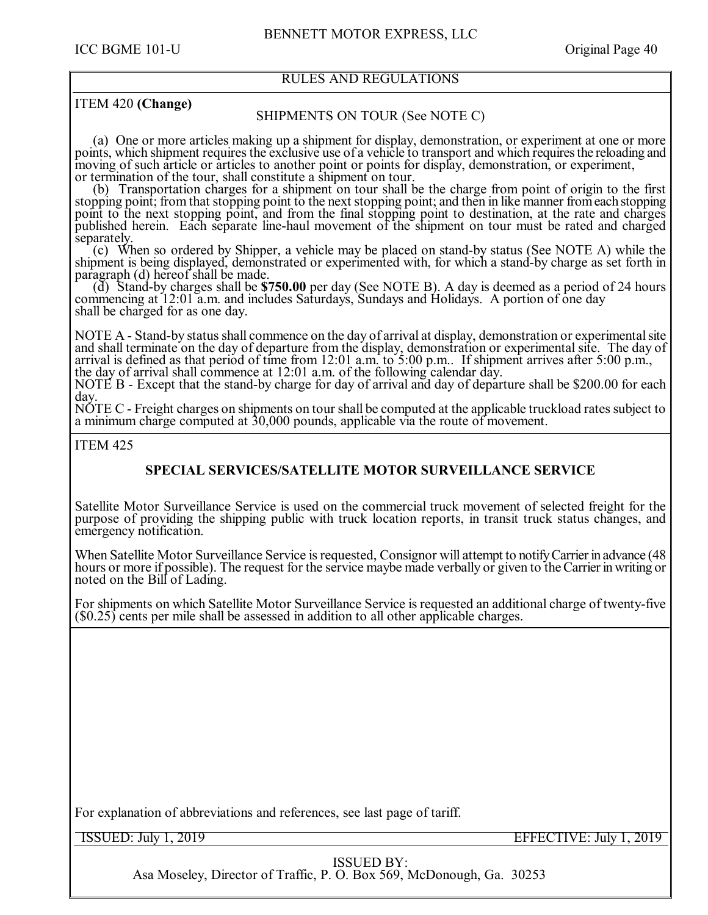## ITEM 420 **(Change)**

#### SHIPMENTS ON TOUR (See NOTE C)

 (a) One or more articles making up a shipment for display, demonstration, or experiment at one or more points, which shipment requires the exclusive use of a vehicle to transport and which requires the reloading and moving of such article or articles to another point or points for display, demonstration, or experiment, or termination of the tour, shall constitute a shipment on tour.

 (b) Transportation charges for a shipment on tour shall be the charge from point of origin to the first stopping point; from that stopping point to the next stopping point; and then in like manner from each stopping point to the next stopping point, and from the final stopping point to destination, at the rate and charges published herein. Each separate line-haul movement of the shipment on tour must be rated and charged separately.

 (c) When so ordered by Shipper, a vehicle may be placed on stand-by status (See NOTE A) while the shipment is being displayed, demonstrated or experimented with, for which a stand-by charge as set forth in paragraph (d) hereof shall be made.

 (d) Stand-by charges shall be **\$750.00** per day (See NOTE B). A day is deemed as a period of 24 hours commencing at 12:01 a.m. and includes Saturdays, Sundays and Holidays. A portion of one day shall be charged for as one day.

NOTE A - Stand-by status shall commence on the day of arrival at display, demonstration or experimental site and shall terminate on the day of departure from the display, demonstration or experimental site. The day of arrival is defined as that period of time from 12:01 a.m. to 5:00 p.m.. If shipment arrives after 5:00 p.m., the day of arrival shall commence at 12:01 a.m. of the following calendar day.

NOTE B - Except that the stand-by charge for day of arrival and day of departure shall be \$200.00 for each day.

NOTE C - Freight charges on shipments on tour shall be computed at the applicable truckload rates subject to a minimum charge computed at 30,000 pounds, applicable via the route of movement.

#### ITEM 425

## **SPECIAL SERVICES/SATELLITE MOTOR SURVEILLANCE SERVICE**

Satellite Motor Surveillance Service is used on the commercial truck movement of selected freight for the purpose of providing the shipping public with truck location reports, in transit truck status changes, and emergency notification.

When Satellite Motor Surveillance Service is requested, Consignor will attempt to notify Carrier in advance (48 hours or more if possible). The request for the service maybe made verbally or given to the Carrier in writing or noted on the Bill of Lading.

For shipments on which Satellite Motor Surveillance Service is requested an additional charge of twenty-five (\$0.25) cents per mile shall be assessed in addition to all other applicable charges.

For explanation of abbreviations and references, see last page of tariff.

ISSUED: July 1, 2019 EFFECTIVE: July 1, 2019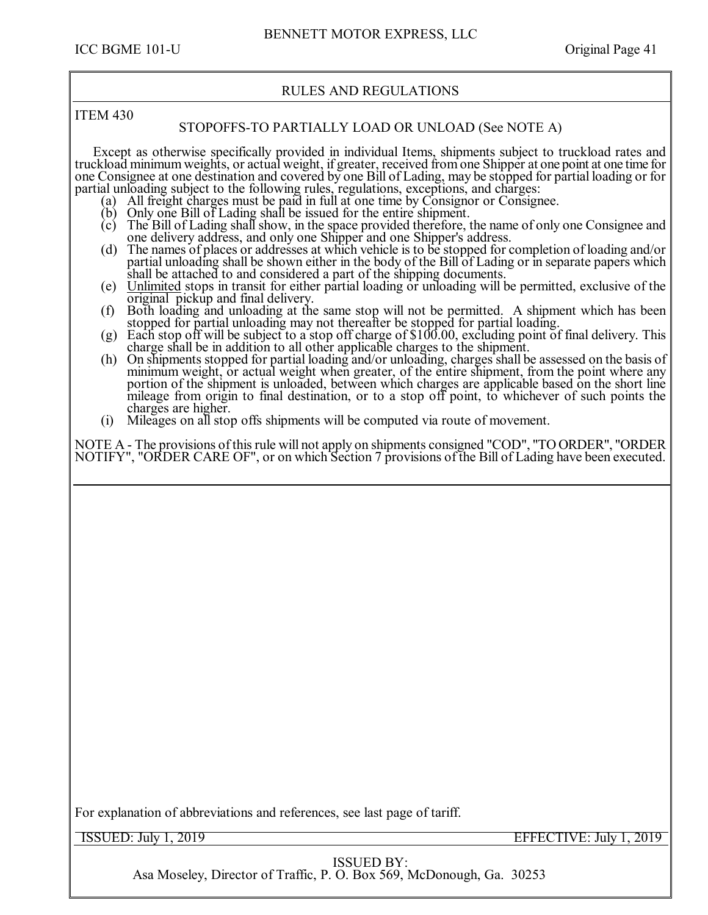#### ITEM 430

## STOPOFFS-TO PARTIALLY LOAD OR UNLOAD (See NOTE A)

 Except as otherwise specifically provided in individual Items, shipments subject to truckload rates and truckload minimum weights, or actual weight, if greater, received from one Shipper at one point at one time for one Consignee at one destination and covered by one Bill of Lading, may be stopped for partial loading or for partial unloading subject to the following rules, regulations, exceptions, and charges:

- (a) All freight charges must be paid in full at one time by Consignor or Consignee.
- (b) Only one Bill of Lading shall be issued for the entire shipment.
- (c) The Bill of Lading shall show, in the space provided therefore, the name of only one Consignee and one delivery address, and only one Shipper and one Shipper's address.
- (d) The names of places or addresses at which vehicle is to be stopped for completion of loading and/or partial unloading shall be shown either in the body of the Bill of Lading or in separate papers which shall be attached to and considered a part of the shipping documents.
- (e) Unlimited stops in transit for either partial loading or unloading will be permitted, exclusive of the original pickup and final delivery.
- (f) Both loading and unloading at the same stop will not be permitted. A shipment which has been stopped for partial unloading may not thereafter be stopped for partial loading.
- (g) Each stop off will be subject to a stop off charge of \$100.00, excluding point of final delivery. This charge shall be in addition to all other applicable charges to the shipment.
- (h) On shipments stopped for partial loading and/or unloading, charges shall be assessed on the basis of minimum weight, or actual weight when greater, of the entire shipment, from the point where any portion of the shipment is unloaded, between which charges are applicable based on the short line mileage from origin to final destination, or to a stop off point, to whichever of such points the charges are higher.
- (i) Mileages on all stop offs shipments will be computed via route of movement.

NOTE A - The provisions of this rule will not apply on shipments consigned "COD", "TO ORDER", "ORDER NOTIFY", "ORDER CARE OF", or on which Section 7 provisions of the Bill of Lading have been executed.

For explanation of abbreviations and references, see last page of tariff.

ISSUED: July 1, 2019 EFFECTIVE: July 1, 2019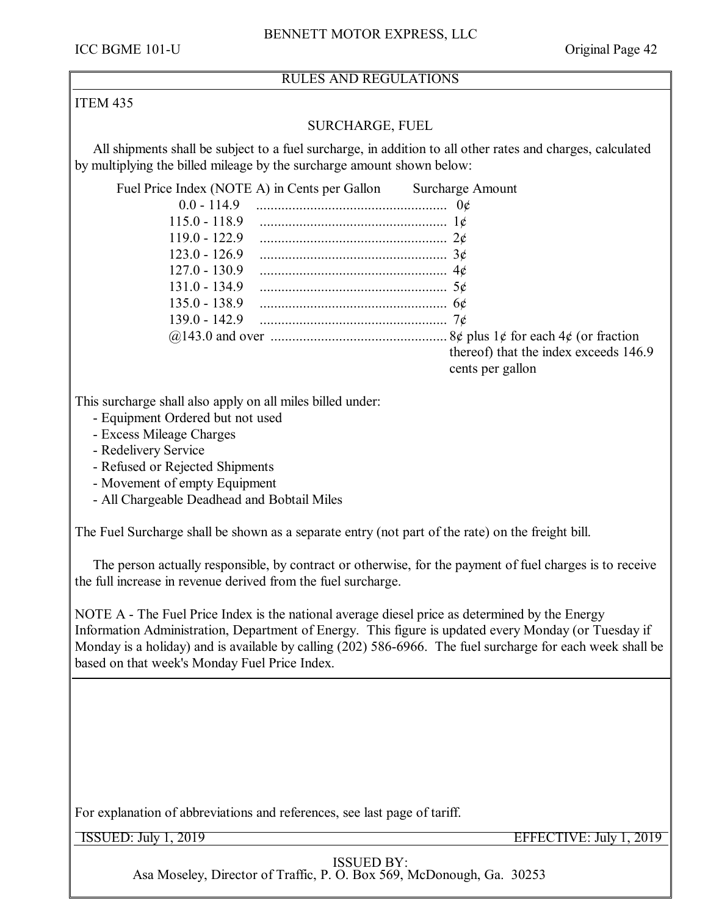#### ITEM 435

#### SURCHARGE, FUEL

 All shipments shall be subject to a fuel surcharge, in addition to all other rates and charges, calculated by multiplying the billed mileage by the surcharge amount shown below:

Fuel Price Index (NOTE A) in Cents per Gallon Surcharge Amount

| $0.0 - 114.9$   |                                       |
|-----------------|---------------------------------------|
| $115.0 - 118.9$ |                                       |
| $119.0 - 122.9$ |                                       |
| $123.0 - 126.9$ |                                       |
| $127.0 - 130.9$ |                                       |
| $131.0 - 134.9$ | $\ldots$ 5¢                           |
|                 |                                       |
|                 |                                       |
|                 |                                       |
|                 | thereof) that the index exceeds 146.9 |
|                 | cents per gallon                      |

This surcharge shall also apply on all miles billed under:

- Equipment Ordered but not used
- Excess Mileage Charges
- Redelivery Service
- Refused or Rejected Shipments
- Movement of empty Equipment
- All Chargeable Deadhead and Bobtail Miles

The Fuel Surcharge shall be shown as a separate entry (not part of the rate) on the freight bill.

 The person actually responsible, by contract or otherwise, for the payment of fuel charges is to receive the full increase in revenue derived from the fuel surcharge.

NOTE A - The Fuel Price Index is the national average diesel price as determined by the Energy Information Administration, Department of Energy. This figure is updated every Monday (or Tuesday if Monday is a holiday) and is available by calling (202) 586-6966. The fuel surcharge for each week shall be based on that week's Monday Fuel Price Index.

For explanation of abbreviations and references, see last page of tariff.

ISSUED: July 1, 2019 EFFECTIVE: July 1, 2019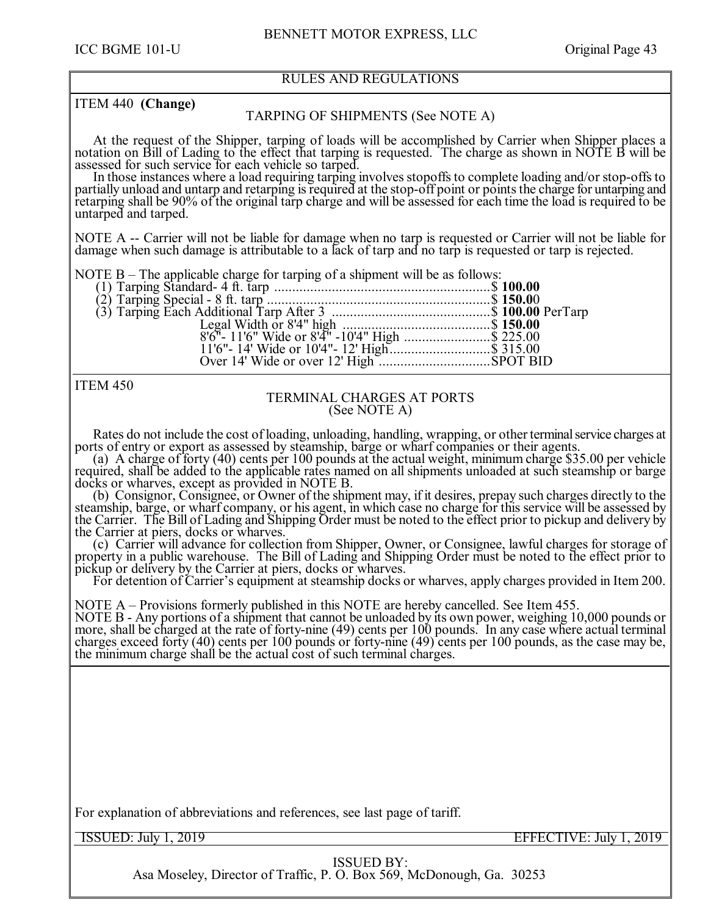## ITEM 440 **(Change)**

## TARPING OF SHIPMENTS (See NOTE A)

 At the request of the Shipper, tarping of loads will be accomplished by Carrier when Shipper places a notation on Bill of Lading to the effect that tarping is requested. The charge as shown in NOTE B will be assessed for such service for each vehicle so tarped.

 In those instances where a load requiring tarping involves stopoffs to complete loading and/or stop-offs to partially unload and untarp and retarping is required at the stop-off point or points the charge for untarping and retarping shall be 90% of the original tarp charge and will be assessed for each time the load is required to be untarped and tarped.

NOTE A -- Carrier will not be liable for damage when no tarp is requested or Carrier will not be liable for damage when such damage is attributable to a lack of tarp and no tarp is requested or tarp is rejected.

NOTE  $B$  – The applicable charge for tarping of a shipment will be as follows:

| 8'6" - 11'6" Wide or 8'4" -10'4" High \$ 225.00 |
|-------------------------------------------------|
| 11'6"- 14' Wide or 10'4"- 12' High\$ 315.00     |
|                                                 |
|                                                 |

#### ITEM 450

## TERMINAL CHARGES AT PORTS (See NOTE A)

 Rates do not include the cost of loading, unloading, handling, wrapping, or other terminal service charges at ports of entry or export as assessed by steamship, barge or wharf companies or their agents.

 (a) A charge of forty (40) cents per 100 pounds at the actual weight, minimum charge \$35.00 per vehicle required, shall be added to the applicable rates named on all shipments unloaded at such steamship or barge docks or wharves, except as provided in NOTE B.

 (b) Consignor, Consignee, or Owner of the shipment may, if it desires, prepay such charges directly to the steamship, barge, or wharf company, or his agent, in which case no charge for this service will be assessed by the Carrier. The Bill of Lading and Shipping Order must be noted to the effect prior to pickup and delivery by the Carrier at piers, docks or wharves.

 (c) Carrier will advance for collection from Shipper, Owner, or Consignee, lawful charges for storage of property in a public warehouse. The Bill of Lading and Shipping Order must be noted to the effect prior to pickup or delivery by the Carrier at piers, docks or wharves.

For detention of Carrier's equipment at steamship docks or wharves, apply charges provided in Item 200.

NOTE A – Provisions formerly published in this NOTE are hereby cancelled. See Item 455.

NOTE B - Any portions of a shipment that cannot be unloaded by its own power, weighing 10,000 pounds or more, shall be charged at the rate of forty-nine (49) cents per 100 pounds. In any case where actual terminal charges exceed forty (40) cents per 100 pounds or forty-nine (49) cents per 100 pounds, as the case may be, the minimum charge shall be the actual cost of such terminal charges.

For explanation of abbreviations and references, see last page of tariff.

ISSUED: July 1, 2019 EFFECTIVE: July 1, 2019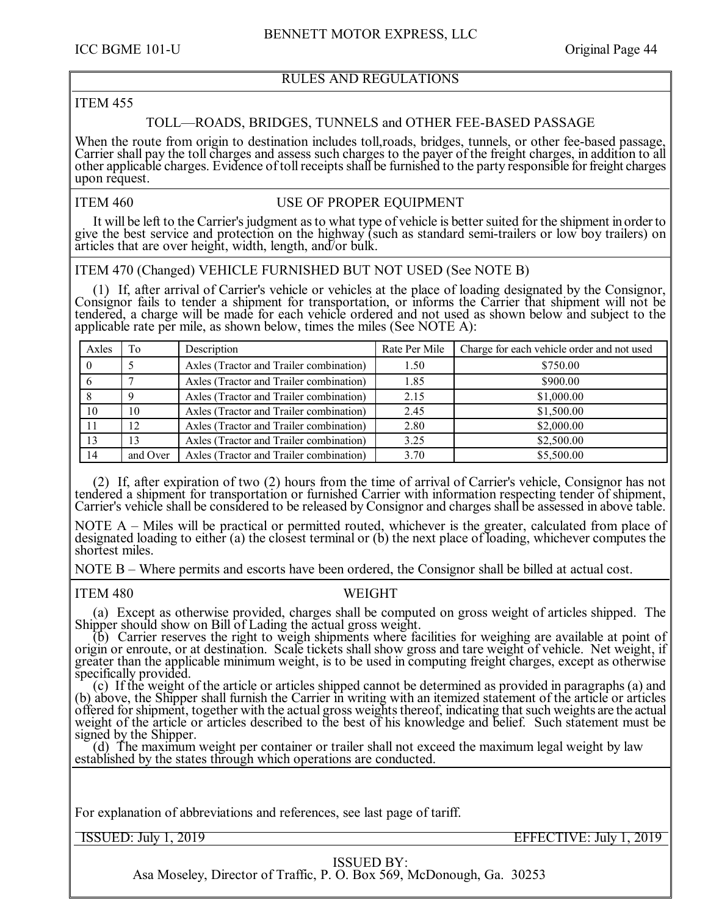#### ITEM 455

#### TOLL—ROADS, BRIDGES, TUNNELS and OTHER FEE-BASED PASSAGE

When the route from origin to destination includes toll,roads, bridges, tunnels, or other fee-based passage, Carrier shall pay the toll charges and assess such charges to the payer of the freight charges, in addition to all other applicable charges. Evidence of toll receipts shall be furnished to the party responsible for freight charges upon request.

## ITEM 460 USE OF PROPER EQUIPMENT

 It will be left to the Carrier's judgment as to what type of vehicle is better suited for the shipment in order to give the best service and protection on the highway (such as standard semi-trailers or low boy trailers) on articles that are over height, width, length, and/or bulk.

## ITEM 470 (Changed) VEHICLE FURNISHED BUT NOT USED (See NOTE B)

 (1) If, after arrival of Carrier's vehicle or vehicles at the place of loading designated by the Consignor, Consignor fails to tender a shipment for transportation, or informs the Carrier that shipment will not be tendered, a charge will be made for each vehicle ordered and not used as shown below and subject to the applicable rate per mile, as shown below, times the miles (See NOTE A):

| Axles | Tо       | Description                             | Rate Per Mile | Charge for each vehicle order and not used |
|-------|----------|-----------------------------------------|---------------|--------------------------------------------|
|       |          | Axles (Tractor and Trailer combination) | 1.50          | \$750.00                                   |
|       |          | Axles (Tractor and Trailer combination) | 1.85          | \$900.00                                   |
|       |          | Axles (Tractor and Trailer combination) | 2.15          | \$1,000.00                                 |
| 10    | 10       | Axles (Tractor and Trailer combination) | 2.45          | \$1,500.00                                 |
| 11    | 12       | Axles (Tractor and Trailer combination) | 2.80          | \$2,000.00                                 |
| 13    | 13       | Axles (Tractor and Trailer combination) | 3.25          | \$2,500.00                                 |
| 14    | and Over | Axles (Tractor and Trailer combination) | 3.70          | \$5,500.00                                 |

 (2) If, after expiration of two (2) hours from the time of arrival of Carrier's vehicle, Consignor has not tendered a shipment for transportation or furnished Carrier with information respecting tender of shipment, Carrier's vehicle shall be considered to be released by Consignor and charges shall be assessed in above table.

NOTE A – Miles will be practical or permitted routed, whichever is the greater, calculated from place of designated loading to either (a) the closest terminal or (b) the next place of loading, whichever computes the shortest miles.

NOTE B – Where permits and escorts have been ordered, the Consignor shall be billed at actual cost.

#### ITEM 480 WEIGHT

 (a) Except as otherwise provided, charges shall be computed on gross weight of articles shipped. The Shipper should show on Bill of Lading the actual gross weight.

 (b) Carrier reserves the right to weigh shipments where facilities for weighing are available at point of origin or enroute, or at destination. Scale tickets shall show gross and tare weight of vehicle. Net weight, if greater than the applicable minimum weight, is to be used in computing freight charges, except as otherwise specifically provided.

 (c) If the weight of the article or articles shipped cannot be determined as provided in paragraphs (a) and (b) above, the Shipper shall furnish the Carrier in writing with an itemized statement of the article or articles offered for shipment, together with the actual gross weights thereof, indicating that such weights are the actual weight of the article or articles described to the best of his knowledge and belief. Such statement must be signed by the Shipper.

 (d) The maximum weight per container or trailer shall not exceed the maximum legal weight by law established by the states through which operations are conducted.

For explanation of abbreviations and references, see last page of tariff.

ISSUED: July 1, 2019 EFFECTIVE: July 1, 2019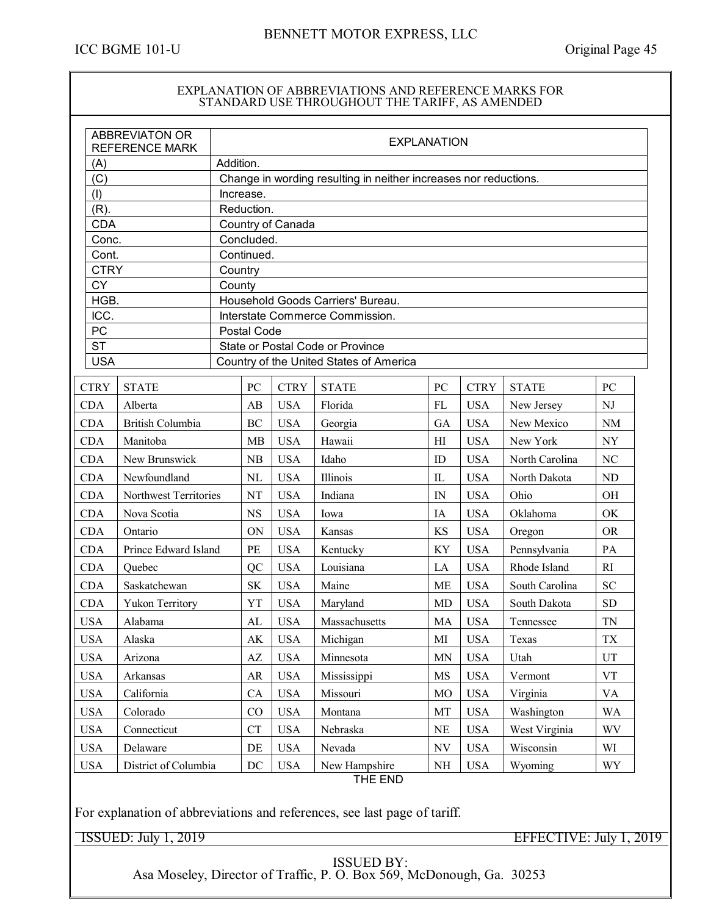#### EXPLANATION OF ABBREVIATIONS AND REFERENCE MARKS FOR STANDARD USE THROUGHOUT THE TARIFF, AS AMENDED

| <b>ABBREVIATON OR</b><br><b>REFERENCE MARK</b> | <b>EXPLANATION</b>                      |                                                                  |                                 |                                                 |               |                |             |                |                          |  |
|------------------------------------------------|-----------------------------------------|------------------------------------------------------------------|---------------------------------|-------------------------------------------------|---------------|----------------|-------------|----------------|--------------------------|--|
| (A)                                            |                                         | Addition.                                                        |                                 |                                                 |               |                |             |                |                          |  |
| (C)                                            |                                         | Change in wording resulting in neither increases nor reductions. |                                 |                                                 |               |                |             |                |                          |  |
| (1)                                            |                                         | Increase.                                                        |                                 |                                                 |               |                |             |                |                          |  |
| $(R)$ .                                        | Reduction.                              |                                                                  |                                 |                                                 |               |                |             |                |                          |  |
| <b>CDA</b>                                     | Country of Canada                       |                                                                  |                                 |                                                 |               |                |             |                |                          |  |
| Conc.                                          |                                         |                                                                  | Concluded.                      |                                                 |               |                |             |                |                          |  |
| Cont.                                          |                                         |                                                                  | Continued.                      |                                                 |               |                |             |                |                          |  |
| <b>CTRY</b>                                    |                                         | Country                                                          |                                 |                                                 |               |                |             |                |                          |  |
| <b>CY</b>                                      |                                         |                                                                  | County                          |                                                 |               |                |             |                |                          |  |
| HGB.<br>ICC.                                   |                                         | Household Goods Carriers' Bureau.                                |                                 |                                                 |               |                |             |                |                          |  |
| PC                                             |                                         |                                                                  | Interstate Commerce Commission. |                                                 |               |                |             |                |                          |  |
| <b>ST</b>                                      |                                         |                                                                  |                                 | Postal Code<br>State or Postal Code or Province |               |                |             |                |                          |  |
| <b>USA</b>                                     | Country of the United States of America |                                                                  |                                 |                                                 |               |                |             |                |                          |  |
| <b>CTRY</b>                                    | <b>STATE</b>                            |                                                                  | PC                              | <b>CTRY</b>                                     | <b>STATE</b>  | PC             | <b>CTRY</b> | <b>STATE</b>   | PC                       |  |
| <b>CDA</b>                                     | Alberta                                 |                                                                  | AB                              | <b>USA</b>                                      | Florida       | <b>FL</b>      | <b>USA</b>  | New Jersey     | NJ                       |  |
| <b>CDA</b>                                     | <b>British Columbia</b>                 |                                                                  | BC                              | <b>USA</b>                                      | Georgia       | GA             | <b>USA</b>  | New Mexico     | NM                       |  |
| <b>CDA</b>                                     | Manitoba                                |                                                                  | MB                              | <b>USA</b>                                      | Hawaii        | H <sub>I</sub> | <b>USA</b>  | New York       | $\ensuremath{\text{NY}}$ |  |
| <b>CDA</b>                                     | New Brunswick                           |                                                                  | NB                              | <b>USA</b>                                      | Idaho         | ID             | <b>USA</b>  | North Carolina | NC                       |  |
| <b>CDA</b>                                     | Newfoundland                            |                                                                  | NL                              | <b>USA</b>                                      | Illinois      | IL             | <b>USA</b>  | North Dakota   | ND                       |  |
| <b>CDA</b>                                     | Northwest Territories                   |                                                                  | NT                              | <b>USA</b>                                      | Indiana       | IN             | <b>USA</b>  | Ohio           | OH                       |  |
| <b>CDA</b>                                     | Nova Scotia                             |                                                                  | <b>NS</b>                       | <b>USA</b>                                      | Iowa          | IA             | <b>USA</b>  | Oklahoma       | OK                       |  |
| <b>CDA</b>                                     | Ontario                                 |                                                                  | ON                              | <b>USA</b>                                      | Kansas        | <b>KS</b>      | <b>USA</b>  | Oregon         | <b>OR</b>                |  |
| <b>CDA</b>                                     | Prince Edward Island                    |                                                                  | PE                              | <b>USA</b>                                      | Kentucky      | KY             | <b>USA</b>  | Pennsylvania   | PA                       |  |
| <b>CDA</b>                                     | Quebec                                  |                                                                  | QC                              | <b>USA</b>                                      | Louisiana     | LA             | <b>USA</b>  | Rhode Island   | RI                       |  |
| <b>CDA</b>                                     | Saskatchewan                            |                                                                  | <b>SK</b>                       | <b>USA</b>                                      | Maine         | <b>ME</b>      | <b>USA</b>  | South Carolina | <b>SC</b>                |  |
| <b>CDA</b>                                     | <b>Yukon Territory</b>                  |                                                                  | <b>YT</b>                       | <b>USA</b>                                      | Maryland      | <b>MD</b>      | <b>USA</b>  | South Dakota   | SD                       |  |
| <b>USA</b>                                     | Alabama                                 |                                                                  | AL                              | <b>USA</b>                                      | Massachusetts | MA             | <b>USA</b>  | Tennessee      | TN                       |  |
| <b>USA</b>                                     | Alaska                                  |                                                                  | AK                              | <b>USA</b>                                      | Michigan      | MI             | <b>USA</b>  | Texas          | ${\rm TX}$               |  |
| <b>USA</b>                                     | Arizona                                 |                                                                  | AZ                              | <b>USA</b>                                      | Minnesota     | <b>MN</b>      | <b>USA</b>  | Utah           | UT                       |  |
| <b>USA</b>                                     | Arkansas                                |                                                                  | ${\sf AR}$                      | <b>USA</b>                                      | Mississippi   | <b>MS</b>      | <b>USA</b>  | Vermont        | <b>VT</b>                |  |
| <b>USA</b>                                     | California                              |                                                                  | CA                              | <b>USA</b>                                      | Missouri      | <b>MO</b>      | <b>USA</b>  | Virginia       | VA                       |  |
| <b>USA</b>                                     | Colorado                                |                                                                  | CO                              | <b>USA</b>                                      | Montana       | MT             | <b>USA</b>  | Washington     | WA                       |  |
| <b>USA</b>                                     | Connecticut                             |                                                                  | ${\cal C}{\cal T}$              | <b>USA</b>                                      | Nebraska      | NE             | <b>USA</b>  | West Virginia  | WV                       |  |
| <b>USA</b>                                     | Delaware                                |                                                                  | DE                              | <b>USA</b>                                      | Nevada        | <b>NV</b>      | <b>USA</b>  | Wisconsin      | WI                       |  |
| <b>USA</b>                                     | District of Columbia                    |                                                                  | $\rm DC$                        | <b>USA</b>                                      | New Hampshire | NH             | <b>USA</b>  | Wyoming        | WY                       |  |

THE END

For explanation of abbreviations and references, see last page of tariff.

ISSUED: July 1, 2019 EFFECTIVE: July 1, 2019